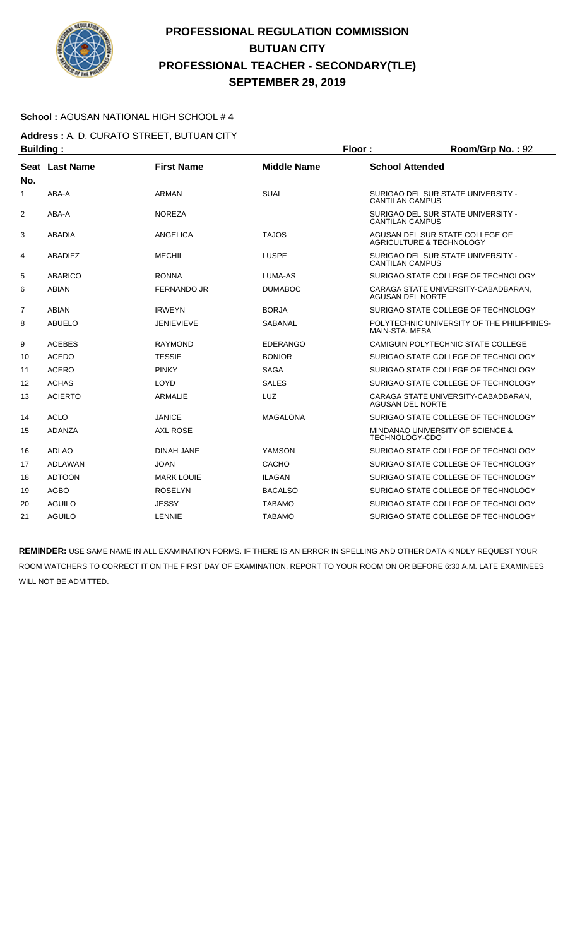

### **School :** AGUSAN NATIONAL HIGH SCHOOL # 4

**Address :** A. D. CURATO STREET, BUTUAN CITY **Building : Floor : Floor : Room/Grp No. : 92** 

| No.            | Seat Last Name | <b>First Name</b>  | <b>Middle Name</b> | <b>School Attended</b>                                         |
|----------------|----------------|--------------------|--------------------|----------------------------------------------------------------|
| 1              | ABA-A          | <b>ARMAN</b>       | <b>SUAL</b>        | SURIGAO DEL SUR STATE UNIVERSITY -<br><b>CANTILAN CAMPUS</b>   |
| 2              | ABA-A          | <b>NOREZA</b>      |                    | SURIGAO DEL SUR STATE UNIVERSITY -<br><b>CANTILAN CAMPUS</b>   |
| 3              | <b>ABADIA</b>  | ANGELICA           | <b>TAJOS</b>       | AGUSAN DEL SUR STATE COLLEGE OF<br>AGRICULTURE & TECHNOLOGY    |
| 4              | ABADIEZ        | <b>MECHIL</b>      | <b>LUSPE</b>       | SURIGAO DEL SUR STATE UNIVERSITY -<br><b>CANTILAN CAMPUS</b>   |
| 5              | <b>ABARICO</b> | <b>RONNA</b>       | LUMA-AS            | SURIGAO STATE COLLEGE OF TECHNOLOGY                            |
| 6              | <b>ABIAN</b>   | <b>FERNANDO JR</b> | <b>DUMABOC</b>     | CARAGA STATE UNIVERSITY-CABADBARAN,<br><b>AGUSAN DEL NORTE</b> |
| $\overline{7}$ | <b>ABIAN</b>   | <b>IRWEYN</b>      | <b>BORJA</b>       | SURIGAO STATE COLLEGE OF TECHNOLOGY                            |
| 8              | <b>ABUELO</b>  | JENIEVIEVE         | <b>SABANAL</b>     | POLYTECHNIC UNIVERSITY OF THE PHILIPPINES-<br>MAIN-STA, MESA   |
| 9              | <b>ACEBES</b>  | <b>RAYMOND</b>     | <b>EDERANGO</b>    | CAMIGUIN POLYTECHNIC STATE COLLEGE                             |
| 10             | <b>ACEDO</b>   | <b>TESSIE</b>      | <b>BONIOR</b>      | SURIGAO STATE COLLEGE OF TECHNOLOGY                            |
| 11             | <b>ACERO</b>   | <b>PINKY</b>       | <b>SAGA</b>        | SURIGAO STATE COLLEGE OF TECHNOLOGY                            |
| 12             | <b>ACHAS</b>   | LOYD               | <b>SALES</b>       | SURIGAO STATE COLLEGE OF TECHNOLOGY                            |
| 13             | <b>ACIERTO</b> | <b>ARMALIE</b>     | <b>LUZ</b>         | CARAGA STATE UNIVERSITY-CABADBARAN.<br><b>AGUSAN DEL NORTE</b> |
| 14             | <b>ACLO</b>    | <b>JANICE</b>      | <b>MAGALONA</b>    | SURIGAO STATE COLLEGE OF TECHNOLOGY                            |
| 15             | ADANZA         | <b>AXL ROSE</b>    |                    | MINDANAO UNIVERSITY OF SCIENCE &<br><b>TECHNOLOGY-CDO</b>      |
| 16             | <b>ADLAO</b>   | <b>DINAH JANE</b>  | <b>YAMSON</b>      | SURIGAO STATE COLLEGE OF TECHNOLOGY                            |
| 17             | <b>ADLAWAN</b> | <b>JOAN</b>        | CACHO              | SURIGAO STATE COLLEGE OF TECHNOLOGY                            |
| 18             | <b>ADTOON</b>  | <b>MARK LOUIE</b>  | <b>ILAGAN</b>      | SURIGAO STATE COLLEGE OF TECHNOLOGY                            |
| 19             | <b>AGBO</b>    | <b>ROSELYN</b>     | <b>BACALSO</b>     | SURIGAO STATE COLLEGE OF TECHNOLOGY                            |
| 20             | AGUILO         | <b>JESSY</b>       | <b>TABAMO</b>      | SURIGAO STATE COLLEGE OF TECHNOLOGY                            |
| 21             | <b>AGUILO</b>  | LENNIE             | <b>TABAMO</b>      | SURIGAO STATE COLLEGE OF TECHNOLOGY                            |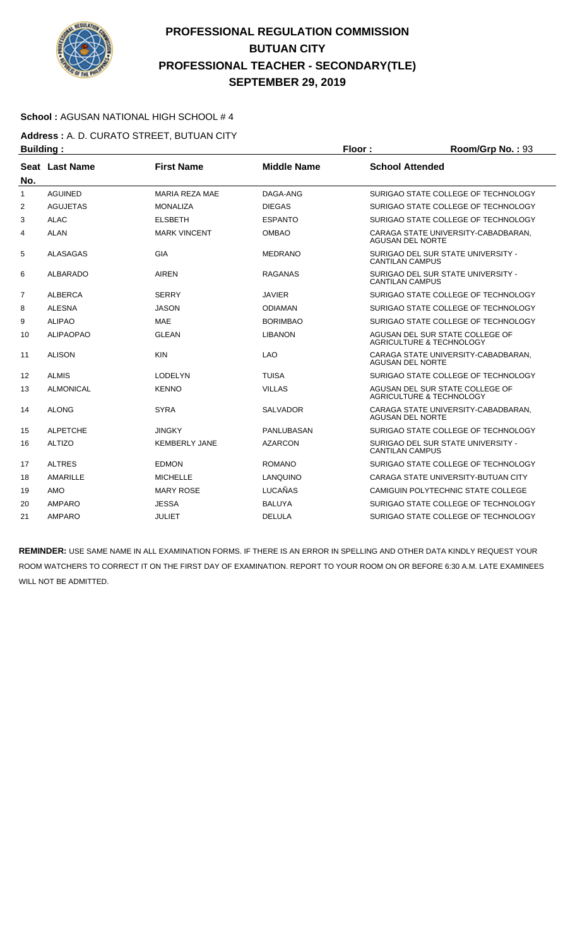

### **School :** AGUSAN NATIONAL HIGH SCHOOL # 4

**Address :** A. D. CURATO STREET, BUTUAN CITY **Building : Floor : Room/Grp No. : 93** 

| .              |                  |                       |                    |                                                                        |
|----------------|------------------|-----------------------|--------------------|------------------------------------------------------------------------|
| No.            | Seat Last Name   | <b>First Name</b>     | <b>Middle Name</b> | <b>School Attended</b>                                                 |
| 1              | <b>AGUINED</b>   | <b>MARIA REZA MAE</b> | DAGA-ANG           | SURIGAO STATE COLLEGE OF TECHNOLOGY                                    |
| 2              | <b>AGUJETAS</b>  | <b>MONALIZA</b>       | <b>DIEGAS</b>      | SURIGAO STATE COLLEGE OF TECHNOLOGY                                    |
| 3              | <b>ALAC</b>      | <b>ELSBETH</b>        | <b>ESPANTO</b>     | SURIGAO STATE COLLEGE OF TECHNOLOGY                                    |
| 4              | <b>ALAN</b>      | <b>MARK VINCENT</b>   | <b>OMBAO</b>       | CARAGA STATE UNIVERSITY-CABADBARAN,<br><b>AGUSAN DEL NORTE</b>         |
| 5              | <b>ALASAGAS</b>  | <b>GIA</b>            | <b>MEDRANO</b>     | SURIGAO DEL SUR STATE UNIVERSITY -<br><b>CANTILAN CAMPUS</b>           |
| 6              | <b>ALBARADO</b>  | <b>AIREN</b>          | <b>RAGANAS</b>     | SURIGAO DEL SUR STATE UNIVERSITY -<br><b>CANTILAN CAMPUS</b>           |
| $\overline{7}$ | <b>ALBERCA</b>   | <b>SERRY</b>          | JAVIER             | SURIGAO STATE COLLEGE OF TECHNOLOGY                                    |
| 8              | <b>ALESNA</b>    | <b>JASON</b>          | <b>ODIAMAN</b>     | SURIGAO STATE COLLEGE OF TECHNOLOGY                                    |
| 9              | <b>ALIPAO</b>    | <b>MAE</b>            | <b>BORIMBAO</b>    | SURIGAO STATE COLLEGE OF TECHNOLOGY                                    |
| 10             | <b>ALIPAOPAO</b> | <b>GLEAN</b>          | <b>LIBANON</b>     | AGUSAN DEL SUR STATE COLLEGE OF<br><b>AGRICULTURE &amp; TECHNOLOGY</b> |
| 11             | <b>ALISON</b>    | <b>KIN</b>            | <b>LAO</b>         | CARAGA STATE UNIVERSITY-CABADBARAN.<br><b>AGUSAN DEL NORTE</b>         |
| 12             | <b>ALMIS</b>     | <b>LODELYN</b>        | <b>TUISA</b>       | SURIGAO STATE COLLEGE OF TECHNOLOGY                                    |
| 13             | <b>ALMONICAL</b> | <b>KENNO</b>          | <b>VILLAS</b>      | AGUSAN DEL SUR STATE COLLEGE OF<br>AGRICULTURE & TECHNOLOGY            |
| 14             | <b>ALONG</b>     | <b>SYRA</b>           | <b>SALVADOR</b>    | CARAGA STATE UNIVERSITY-CABADBARAN.<br><b>AGUSAN DEL NORTE</b>         |
| 15             | <b>ALPETCHE</b>  | <b>JINGKY</b>         | PANLUBASAN         | SURIGAO STATE COLLEGE OF TECHNOLOGY                                    |
| 16             | <b>ALTIZO</b>    | <b>KEMBERLY JANE</b>  | <b>AZARCON</b>     | SURIGAO DEL SUR STATE UNIVERSITY -<br><b>CANTILAN CAMPUS</b>           |
| 17             | <b>ALTRES</b>    | <b>EDMON</b>          | ROMANO             | SURIGAO STATE COLLEGE OF TECHNOLOGY                                    |
| 18             | <b>AMARILLE</b>  | <b>MICHELLE</b>       | LANQUINO           | CARAGA STATE UNIVERSITY-BUTUAN CITY                                    |
| 19             | <b>AMO</b>       | <b>MARY ROSE</b>      | LUCAÑAS            | CAMIGUIN POLYTECHNIC STATE COLLEGE                                     |
| 20             | <b>AMPARO</b>    | <b>JESSA</b>          | <b>BALUYA</b>      | SURIGAO STATE COLLEGE OF TECHNOLOGY                                    |
| 21             | <b>AMPARO</b>    | <b>JULIET</b>         | <b>DELULA</b>      | SURIGAO STATE COLLEGE OF TECHNOLOGY                                    |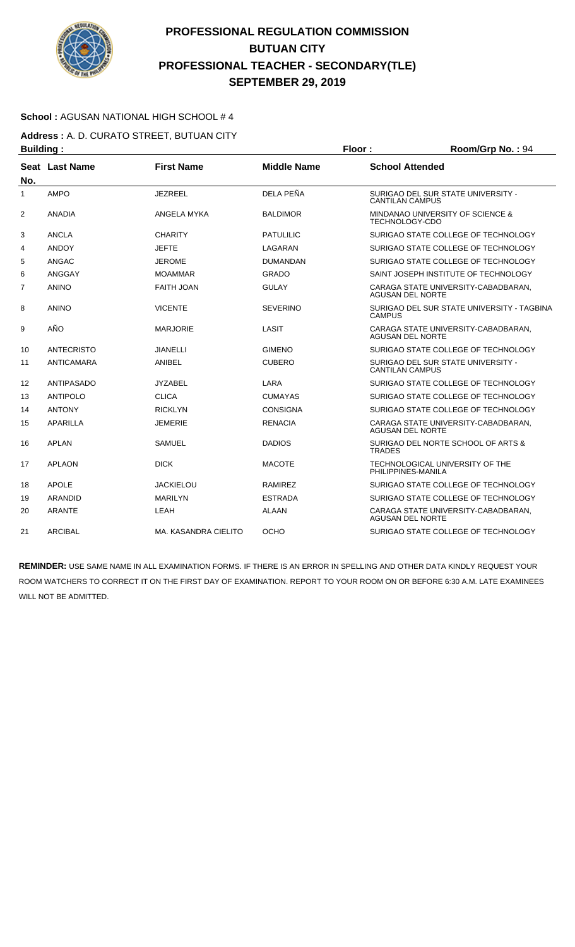

### **School :** AGUSAN NATIONAL HIGH SCHOOL # 4

**Address :** A. D. CURATO STREET, BUTUAN CITY **Building : Floor : Floor : Room/Grp No. : 94** 

| No.            | Seat Last Name    | <b>First Name</b>    | <b>Middle Name</b> | <b>School Attended</b>                                         |
|----------------|-------------------|----------------------|--------------------|----------------------------------------------------------------|
| 1              | <b>AMPO</b>       | <b>JEZREEL</b>       | DELA PEÑA          | SURIGAO DEL SUR STATE UNIVERSITY -<br><b>CANTILAN CAMPUS</b>   |
| $\overline{2}$ | ANADIA            | ANGELA MYKA          | <b>BALDIMOR</b>    | MINDANAO UNIVERSITY OF SCIENCE &<br>TECHNOLOGY-CDO             |
| 3              | ANCLA             | <b>CHARITY</b>       | <b>PATULILIC</b>   | SURIGAO STATE COLLEGE OF TECHNOLOGY                            |
| 4              | <b>ANDOY</b>      | <b>JEFTE</b>         | LAGARAN            | SURIGAO STATE COLLEGE OF TECHNOLOGY                            |
| 5              | ANGAC             | <b>JEROME</b>        | <b>DUMANDAN</b>    | SURIGAO STATE COLLEGE OF TECHNOLOGY                            |
| 6              | ANGGAY            | <b>MOAMMAR</b>       | <b>GRADO</b>       | SAINT JOSEPH INSTITUTE OF TECHNOLOGY                           |
| $\overline{7}$ | <b>ANINO</b>      | <b>FAITH JOAN</b>    | <b>GULAY</b>       | CARAGA STATE UNIVERSITY-CABADBARAN.<br><b>AGUSAN DEL NORTE</b> |
| 8              | <b>ANINO</b>      | <b>VICENTE</b>       | <b>SEVERINO</b>    | SURIGAO DEL SUR STATE UNIVERSITY - TAGBINA<br>CAMPUS           |
| 9              | AÑO               | <b>MARJORIE</b>      | LASIT              | CARAGA STATE UNIVERSITY-CABADBARAN,<br><b>AGUSAN DEL NORTE</b> |
| 10             | <b>ANTECRISTO</b> | <b>JIANELLI</b>      | <b>GIMENO</b>      | SURIGAO STATE COLLEGE OF TECHNOLOGY                            |
| 11             | ANTICAMARA        | ANIBEL               | <b>CUBERO</b>      | SURIGAO DEL SUR STATE UNIVERSITY -<br><b>CANTILAN CAMPUS</b>   |
| 12             | ANTIPASADO        | JYZABEL              | LARA               | SURIGAO STATE COLLEGE OF TECHNOLOGY                            |
| 13             | <b>ANTIPOLO</b>   | <b>CLICA</b>         | <b>CUMAYAS</b>     | SURIGAO STATE COLLEGE OF TECHNOLOGY                            |
| 14             | <b>ANTONY</b>     | <b>RICKLYN</b>       | <b>CONSIGNA</b>    | SURIGAO STATE COLLEGE OF TECHNOLOGY                            |
| 15             | APARILLA          | <b>JEMERIE</b>       | <b>RENACIA</b>     | CARAGA STATE UNIVERSITY-CABADBARAN,<br><b>AGUSAN DEL NORTE</b> |
| 16             | <b>APLAN</b>      | <b>SAMUEL</b>        | <b>DADIOS</b>      | SURIGAO DEL NORTE SCHOOL OF ARTS &<br><b>TRADES</b>            |
| 17             | <b>APLAON</b>     | <b>DICK</b>          | <b>MACOTE</b>      | TECHNOLOGICAL UNIVERSITY OF THE<br>PHILIPPINES-MANILA          |
| 18             | <b>APOLE</b>      | JACKIELOU            | RAMIREZ            | SURIGAO STATE COLLEGE OF TECHNOLOGY                            |
| 19             | <b>ARANDID</b>    | <b>MARILYN</b>       | <b>ESTRADA</b>     | SURIGAO STATE COLLEGE OF TECHNOLOGY                            |
| 20             | <b>ARANTE</b>     | LEAH                 | <b>ALAAN</b>       | CARAGA STATE UNIVERSITY-CABADBARAN,<br><b>AGUSAN DEL NORTE</b> |
| 21             | <b>ARCIBAL</b>    | MA, KASANDRA CIELITO | <b>OCHO</b>        | SURIGAO STATE COLLEGE OF TECHNOLOGY                            |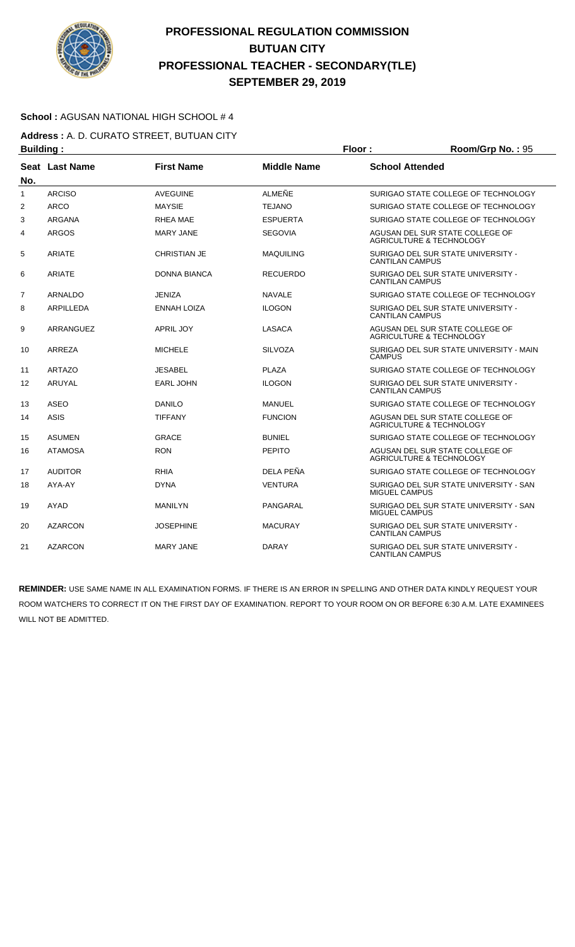

### **School :** AGUSAN NATIONAL HIGH SCHOOL # 4

**Address :** A. D. CURATO STREET, BUTUAN CITY **Building : Floor : Floor : Room/Grp No. :** 95

|                | -------        |                     |                    |                                                                        |
|----------------|----------------|---------------------|--------------------|------------------------------------------------------------------------|
| No.            | Seat Last Name | <b>First Name</b>   | <b>Middle Name</b> | <b>School Attended</b>                                                 |
| $\mathbf{1}$   | <b>ARCISO</b>  | <b>AVEGUINE</b>     | ALMEÑE             | SURIGAO STATE COLLEGE OF TECHNOLOGY                                    |
| $\overline{2}$ | <b>ARCO</b>    | <b>MAYSIE</b>       | <b>TEJANO</b>      | SURIGAO STATE COLLEGE OF TECHNOLOGY                                    |
| 3              | <b>ARGANA</b>  | RHEA MAE            | <b>ESPUERTA</b>    | SURIGAO STATE COLLEGE OF TECHNOLOGY                                    |
| 4              | <b>ARGOS</b>   | <b>MARY JANE</b>    | <b>SEGOVIA</b>     | AGUSAN DEL SUR STATE COLLEGE OF<br>AGRICULTURE & TECHNOLOGY            |
| 5              | <b>ARIATE</b>  | <b>CHRISTIAN JE</b> | <b>MAQUILING</b>   | SURIGAO DEL SUR STATE UNIVERSITY -<br><b>CANTILAN CAMPUS</b>           |
| 6              | <b>ARIATE</b>  | DONNA BIANCA        | <b>RECUERDO</b>    | SURIGAO DEL SUR STATE UNIVERSITY -<br><b>CANTILAN CAMPUS</b>           |
| $\overline{7}$ | <b>ARNALDO</b> | <b>JENIZA</b>       | <b>NAVALE</b>      | SURIGAO STATE COLLEGE OF TECHNOLOGY                                    |
| 8              | ARPILLEDA      | <b>ENNAH LOIZA</b>  | <b>ILOGON</b>      | SURIGAO DEL SUR STATE UNIVERSITY -<br><b>CANTILAN CAMPUS</b>           |
| 9              | ARRANGUEZ      | <b>APRIL JOY</b>    | LASACA             | AGUSAN DEL SUR STATE COLLEGE OF<br><b>AGRICULTURE &amp; TECHNOLOGY</b> |
| 10             | ARREZA         | <b>MICHELE</b>      | <b>SILVOZA</b>     | SURIGAO DEL SUR STATE UNIVERSITY - MAIN<br><b>CAMPUS</b>               |
| 11             | <b>ARTAZO</b>  | JESABEL             | <b>PLAZA</b>       | SURIGAO STATE COLLEGE OF TECHNOLOGY                                    |
| 12             | ARUYAL         | <b>EARL JOHN</b>    | <b>ILOGON</b>      | SURIGAO DEL SUR STATE UNIVERSITY -<br><b>CANTILAN CAMPUS</b>           |
| 13             | ASEO           | DANILO              | MANUEL             | SURIGAO STATE COLLEGE OF TECHNOLOGY                                    |
| 14             | <b>ASIS</b>    | <b>TIFFANY</b>      | <b>FUNCION</b>     | AGUSAN DEL SUR STATE COLLEGE OF<br>AGRICULTURE & TECHNOLOGY            |
| 15             | <b>ASUMEN</b>  | <b>GRACE</b>        | <b>BUNIEL</b>      | SURIGAO STATE COLLEGE OF TECHNOLOGY                                    |
| 16             | <b>ATAMOSA</b> | <b>RON</b>          | <b>PEPITO</b>      | AGUSAN DEL SUR STATE COLLEGE OF<br><b>AGRICULTURE &amp; TECHNOLOGY</b> |
| 17             | <b>AUDITOR</b> | <b>RHIA</b>         | DELA PEÑA          | SURIGAO STATE COLLEGE OF TECHNOLOGY                                    |
| 18             | AYA-AY         | <b>DYNA</b>         | <b>VENTURA</b>     | SURIGAO DEL SUR STATE UNIVERSITY - SAN<br><b>MIGUEL CAMPUS</b>         |
| 19             | AYAD           | <b>MANILYN</b>      | PANGARAL           | SURIGAO DEL SUR STATE UNIVERSITY - SAN<br><b>MIGUEL CAMPUS</b>         |
| 20             | <b>AZARCON</b> | <b>JOSEPHINE</b>    | <b>MACURAY</b>     | SURIGAO DEL SUR STATE UNIVERSITY -<br><b>CANTILAN CAMPUS</b>           |
| 21             | <b>AZARCON</b> | <b>MARY JANE</b>    | <b>DARAY</b>       | SURIGAO DEL SUR STATE UNIVERSITY -<br><b>CANTILAN CAMPUS</b>           |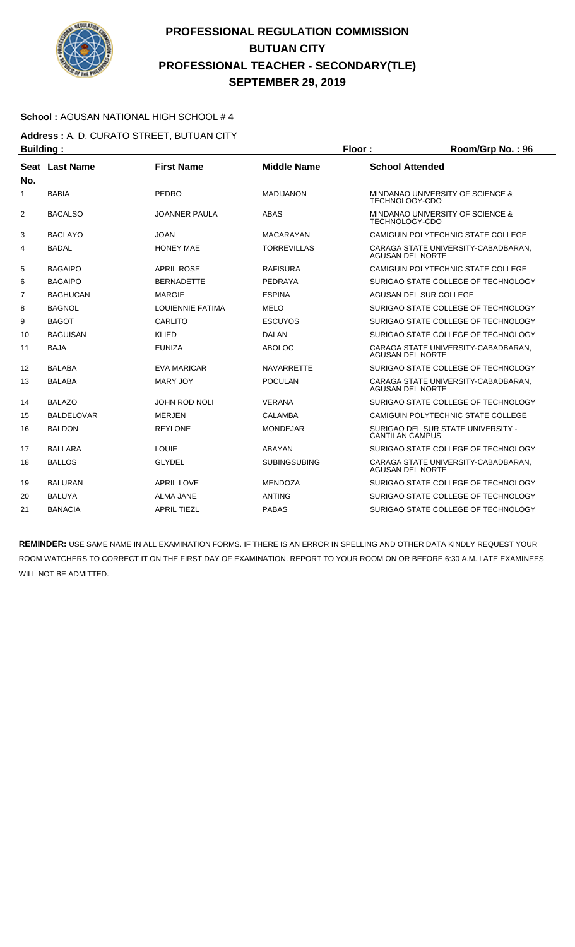

### **School :** AGUSAN NATIONAL HIGH SCHOOL # 4

**Address :** A. D. CURATO STREET, BUTUAN CITY **Building : Floor : Room/Grp No. :** 96

| No. | Seat Last Name    | <b>First Name</b>       | <b>Middle Name</b>  | <b>School Attended</b>                                               |
|-----|-------------------|-------------------------|---------------------|----------------------------------------------------------------------|
| 1   | <b>BABIA</b>      | PEDRO                   | <b>MADIJANON</b>    | <b>MINDANAO UNIVERSITY OF SCIENCE &amp;</b><br><b>TECHNOLOGY-CDO</b> |
| 2   | <b>BACALSO</b>    | <b>JOANNER PAULA</b>    | <b>ABAS</b>         | <b>MINDANAO UNIVERSITY OF SCIENCE &amp;</b><br>TECHNOLOGY-CDO        |
| 3   | <b>BACLAYO</b>    | <b>JOAN</b>             | <b>MACARAYAN</b>    | CAMIGUIN POLYTECHNIC STATE COLLEGE                                   |
| 4   | <b>BADAL</b>      | <b>HONEY MAE</b>        | <b>TORREVILLAS</b>  | CARAGA STATE UNIVERSITY-CABADBARAN,<br><b>AGUSAN DEL NORTE</b>       |
| 5   | <b>BAGAIPO</b>    | <b>APRIL ROSE</b>       | <b>RAFISURA</b>     | <b>CAMIGUIN POLYTECHNIC STATE COLLEGE</b>                            |
| 6   | <b>BAGAIPO</b>    | <b>BERNADETTE</b>       | PEDRAYA             | SURIGAO STATE COLLEGE OF TECHNOLOGY                                  |
| 7   | <b>BAGHUCAN</b>   | <b>MARGIE</b>           | <b>ESPINA</b>       | AGUSAN DEL SUR COLLEGE                                               |
| 8   | <b>BAGNOL</b>     | <b>LOUIENNIE FATIMA</b> | <b>MELO</b>         | SURIGAO STATE COLLEGE OF TECHNOLOGY                                  |
| 9   | <b>BAGOT</b>      | CARLITO                 | <b>ESCUYOS</b>      | SURIGAO STATE COLLEGE OF TECHNOLOGY                                  |
| 10  | <b>BAGUISAN</b>   | <b>KLIED</b>            | <b>DALAN</b>        | SURIGAO STATE COLLEGE OF TECHNOLOGY                                  |
| 11  | <b>BAJA</b>       | <b>EUNIZA</b>           | <b>ABOLOC</b>       | CARAGA STATE UNIVERSITY-CABADBARAN.<br><b>AGUSAN DEL NORTE</b>       |
| 12  | <b>BALABA</b>     | <b>EVA MARICAR</b>      | <b>NAVARRETTE</b>   | SURIGAO STATE COLLEGE OF TECHNOLOGY                                  |
| 13  | BALABA            | <b>MARY JOY</b>         | <b>POCULAN</b>      | CARAGA STATE UNIVERSITY-CABADBARAN.<br><b>AGUSAN DEL NORTE</b>       |
| 14  | <b>BALAZO</b>     | <b>JOHN ROD NOLI</b>    | <b>VERANA</b>       | SURIGAO STATE COLLEGE OF TECHNOLOGY                                  |
| 15  | <b>BALDELOVAR</b> | <b>MERJEN</b>           | <b>CALAMBA</b>      | <b>CAMIGUIN POLYTECHNIC STATE COLLEGE</b>                            |
| 16  | <b>BALDON</b>     | <b>REYLONE</b>          | <b>MONDEJAR</b>     | SURIGAO DEL SUR STATE UNIVERSITY -<br><b>CANTILAN CAMPUS</b>         |
| 17  | <b>BALLARA</b>    | <b>LOUIE</b>            | ABAYAN              | SURIGAO STATE COLLEGE OF TECHNOLOGY                                  |
| 18  | <b>BALLOS</b>     | <b>GLYDEL</b>           | <b>SUBINGSUBING</b> | CARAGA STATE UNIVERSITY-CABADBARAN,<br><b>AGUSAN DEL NORTE</b>       |
| 19  | <b>BALURAN</b>    | <b>APRIL LOVE</b>       | <b>MENDOZA</b>      | SURIGAO STATE COLLEGE OF TECHNOLOGY                                  |
| 20  | BALUYA            | ALMA JANE               | <b>ANTING</b>       | SURIGAO STATE COLLEGE OF TECHNOLOGY                                  |
| 21  | <b>BANACIA</b>    | <b>APRIL TIEZL</b>      | <b>PABAS</b>        | SURIGAO STATE COLLEGE OF TECHNOLOGY                                  |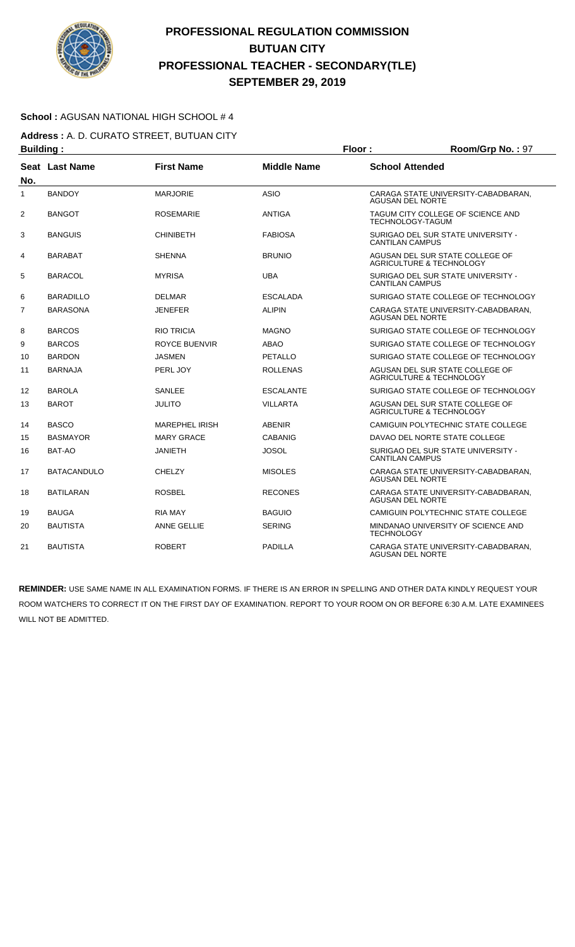

### **School :** AGUSAN NATIONAL HIGH SCHOOL # 4

**Address :** A. D. CURATO STREET, BUTUAN CITY **Building : Floor : Floor : Room/Grp No. : 97** 

| .              |                    |                       |                    |                                                                        |
|----------------|--------------------|-----------------------|--------------------|------------------------------------------------------------------------|
| No.            | Seat Last Name     | <b>First Name</b>     | <b>Middle Name</b> | <b>School Attended</b>                                                 |
| $\mathbf{1}$   | <b>BANDOY</b>      | <b>MARJORIE</b>       | <b>ASIO</b>        | CARAGA STATE UNIVERSITY-CABADBARAN,<br><b>AGUSAN DEL NORTE</b>         |
| 2              | <b>BANGOT</b>      | <b>ROSEMARIE</b>      | <b>ANTIGA</b>      | TAGUM CITY COLLEGE OF SCIENCE AND<br><b>TECHNOLOGY-TAGUM</b>           |
| 3              | <b>BANGUIS</b>     | <b>CHINIBETH</b>      | <b>FABIOSA</b>     | SURIGAO DEL SUR STATE UNIVERSITY -<br><b>CANTILAN CAMPUS</b>           |
| 4              | <b>BARABAT</b>     | <b>SHENNA</b>         | <b>BRUNIO</b>      | AGUSAN DEL SUR STATE COLLEGE OF<br><b>AGRICULTURE &amp; TECHNOLOGY</b> |
| 5              | <b>BARACOL</b>     | <b>MYRISA</b>         | <b>UBA</b>         | SURIGAO DEL SUR STATE UNIVERSITY -<br><b>CANTILAN CAMPUS</b>           |
| 6              | <b>BARADILLO</b>   | <b>DELMAR</b>         | <b>ESCALADA</b>    | SURIGAO STATE COLLEGE OF TECHNOLOGY                                    |
| $\overline{7}$ | <b>BARASONA</b>    | JENEFER               | <b>ALIPIN</b>      | CARAGA STATE UNIVERSITY-CABADBARAN.<br><b>AGUSAN DEL NORTE</b>         |
| 8              | <b>BARCOS</b>      | <b>RIO TRICIA</b>     | <b>MAGNO</b>       | SURIGAO STATE COLLEGE OF TECHNOLOGY                                    |
| 9              | <b>BARCOS</b>      | <b>ROYCE BUENVIR</b>  | <b>ABAO</b>        | SURIGAO STATE COLLEGE OF TECHNOLOGY                                    |
| 10             | <b>BARDON</b>      | JASMEN                | PETALLO            | SURIGAO STATE COLLEGE OF TECHNOLOGY                                    |
| 11             | <b>BARNAJA</b>     | PERL JOY              | <b>ROLLENAS</b>    | AGUSAN DEL SUR STATE COLLEGE OF<br>AGRICULTURE & TECHNOLOGY            |
| 12             | <b>BAROLA</b>      | SANLEE                | <b>ESCALANTE</b>   | SURIGAO STATE COLLEGE OF TECHNOLOGY                                    |
| 13             | <b>BAROT</b>       | <b>JULITO</b>         | <b>VILLARTA</b>    | AGUSAN DEL SUR STATE COLLEGE OF<br><b>AGRICULTURE &amp; TECHNOLOGY</b> |
| 14             | <b>BASCO</b>       | <b>MAREPHEL IRISH</b> | <b>ABENIR</b>      | CAMIGUIN POLYTECHNIC STATE COLLEGE                                     |
| 15             | <b>BASMAYOR</b>    | <b>MARY GRACE</b>     | <b>CABANIG</b>     | DAVAO DEL NORTE STATE COLLEGE                                          |
| 16             | BAT-AO             | <b>JANIETH</b>        | <b>JOSOL</b>       | SURIGAO DEL SUR STATE UNIVERSITY -<br><b>CANTILAN CAMPUS</b>           |
| 17             | <b>BATACANDULO</b> | CHELZY                | <b>MISOLES</b>     | CARAGA STATE UNIVERSITY-CABADBARAN.<br><b>AGUSAN DEL NORTE</b>         |
| 18             | <b>BATILARAN</b>   | <b>ROSBEL</b>         | <b>RECONES</b>     | CARAGA STATE UNIVERSITY-CABADBARAN.<br><b>AGUSAN DEL NORTE</b>         |
| 19             | <b>BAUGA</b>       | <b>RIA MAY</b>        | <b>BAGUIO</b>      | CAMIGUIN POLYTECHNIC STATE COLLEGE                                     |
| 20             | <b>BAUTISTA</b>    | <b>ANNE GELLIE</b>    | <b>SERING</b>      | MINDANAO UNIVERSITY OF SCIENCE AND<br><b>TECHNOLOGY</b>                |
| 21             | <b>BAUTISTA</b>    | <b>ROBERT</b>         | <b>PADILLA</b>     | CARAGA STATE UNIVERSITY-CABADBARAN.<br><b>AGUSAN DEL NORTE</b>         |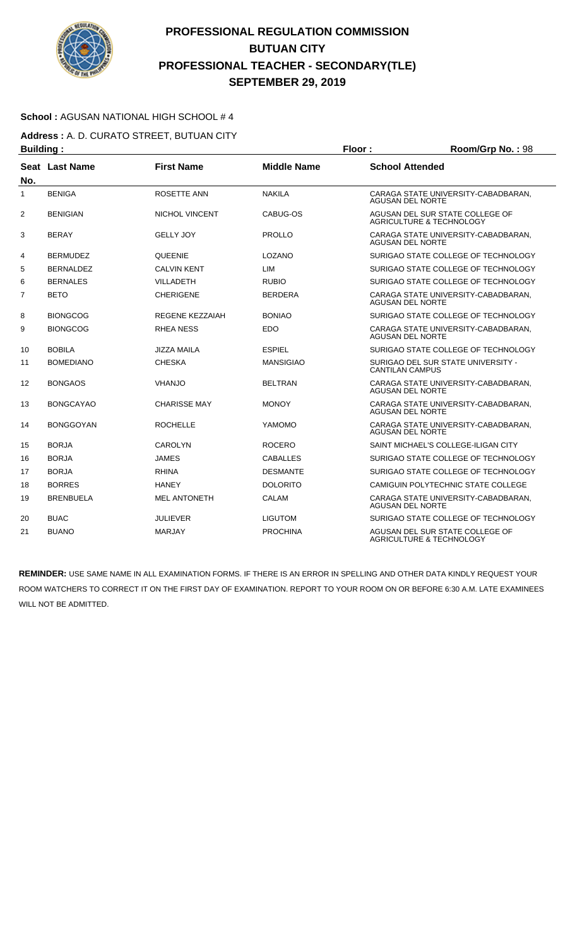

### **School :** AGUSAN NATIONAL HIGH SCHOOL # 4

**Address :** A. D. CURATO STREET, BUTUAN CITY **Building : Floor : Room/Grp No. :** 98

| -------        |                  |                     |                    |                                                                |
|----------------|------------------|---------------------|--------------------|----------------------------------------------------------------|
| No.            | Seat Last Name   | <b>First Name</b>   | <b>Middle Name</b> | <b>School Attended</b>                                         |
| 1              | <b>BENIGA</b>    | ROSETTE ANN         | <b>NAKILA</b>      | CARAGA STATE UNIVERSITY-CABADBARAN.<br><b>AGUSAN DEL NORTE</b> |
| $\overline{2}$ | <b>BENIGIAN</b>  | NICHOL VINCENT      | CABUG-OS           | AGUSAN DEL SUR STATE COLLEGE OF<br>AGRICULTURE & TECHNOLOGY    |
| 3              | <b>BERAY</b>     | <b>GELLY JOY</b>    | <b>PROLLO</b>      | CARAGA STATE UNIVERSITY-CABADBARAN.<br><b>AGUSAN DEL NORTE</b> |
| 4              | <b>BERMUDEZ</b>  | <b>QUEENIE</b>      | LOZANO             | SURIGAO STATE COLLEGE OF TECHNOLOGY                            |
| 5              | <b>BERNALDEZ</b> | <b>CALVIN KENT</b>  | LIM                | SURIGAO STATE COLLEGE OF TECHNOLOGY                            |
| 6              | <b>BERNALES</b>  | <b>VILLADETH</b>    | <b>RUBIO</b>       | SURIGAO STATE COLLEGE OF TECHNOLOGY                            |
| $\overline{7}$ | <b>BETO</b>      | <b>CHERIGENE</b>    | <b>BERDERA</b>     | CARAGA STATE UNIVERSITY-CABADBARAN.<br><b>AGUSAN DEL NORTE</b> |
| 8              | <b>BIONGCOG</b>  | REGENE KEZZAIAH     | <b>BONIAO</b>      | SURIGAO STATE COLLEGE OF TECHNOLOGY                            |
| 9              | <b>BIONGCOG</b>  | RHEA NESS           | <b>EDO</b>         | CARAGA STATE UNIVERSITY-CABADBARAN.<br><b>AGUSAN DEL NORTE</b> |
| 10             | <b>BOBILA</b>    | <b>JIZZA MAILA</b>  | <b>ESPIEL</b>      | SURIGAO STATE COLLEGE OF TECHNOLOGY                            |
| 11             | <b>BOMEDIANO</b> | <b>CHESKA</b>       | <b>MANSIGIAO</b>   | SURIGAO DEL SUR STATE UNIVERSITY -<br><b>CANTILAN CAMPUS</b>   |
| 12             | <b>BONGAOS</b>   | <b>VHANJO</b>       | <b>BELTRAN</b>     | CARAGA STATE UNIVERSITY-CABADBARAN.<br><b>AGUSAN DEL NORTE</b> |
| 13             | <b>BONGCAYAO</b> | <b>CHARISSE MAY</b> | <b>MONOY</b>       | CARAGA STATE UNIVERSITY-CABADBARAN.<br><b>AGUSAN DEL NORTE</b> |
| 14             | <b>BONGGOYAN</b> | <b>ROCHELLE</b>     | YAMOMO             | CARAGA STATE UNIVERSITY-CABADBARAN.<br>AGUSAN DEL NORTE        |
| 15             | <b>BORJA</b>     | <b>CAROLYN</b>      | <b>ROCERO</b>      | SAINT MICHAEL'S COLLEGE-ILIGAN CITY                            |
| 16             | <b>BORJA</b>     | <b>JAMES</b>        | <b>CABALLES</b>    | SURIGAO STATE COLLEGE OF TECHNOLOGY                            |
| 17             | <b>BORJA</b>     | <b>RHINA</b>        | <b>DESMANTE</b>    | SURIGAO STATE COLLEGE OF TECHNOLOGY                            |
| 18             | <b>BORRES</b>    | <b>HANEY</b>        | <b>DOLORITO</b>    | CAMIGUIN POLYTECHNIC STATE COLLEGE                             |
| 19             | <b>BRENBUELA</b> | <b>MEL ANTONETH</b> | CALAM              | CARAGA STATE UNIVERSITY-CABADBARAN.<br><b>AGUSAN DEL NORTE</b> |
| 20             | <b>BUAC</b>      | <b>JULIEVER</b>     | <b>LIGUTOM</b>     | SURIGAO STATE COLLEGE OF TECHNOLOGY                            |
| 21             | <b>BUANO</b>     | <b>MARJAY</b>       | <b>PROCHINA</b>    | AGUSAN DEL SUR STATE COLLEGE OF<br>AGRICULTURE & TECHNOLOGY    |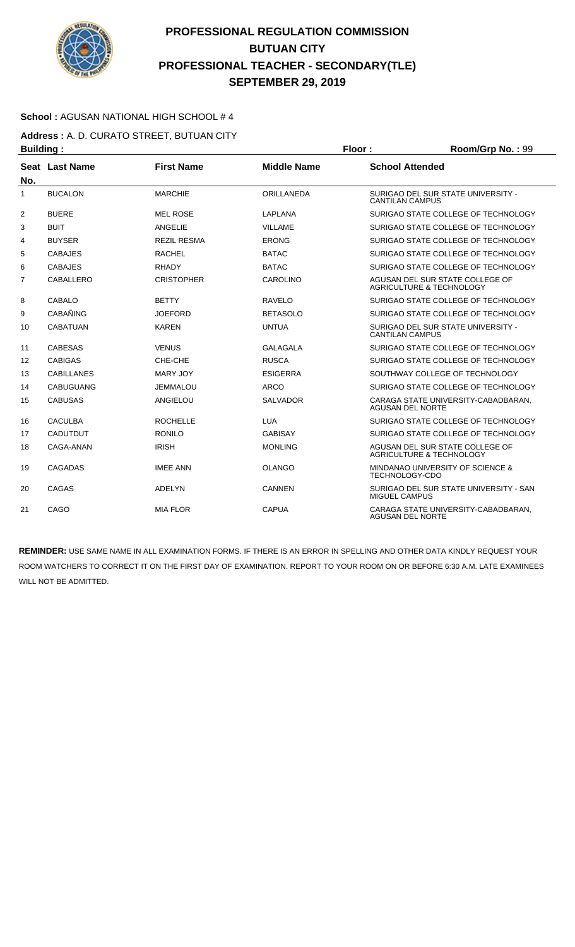

### **School :** AGUSAN NATIONAL HIGH SCHOOL # 4

**Address :** A. D. CURATO STREET, BUTUAN CITY **Building : Room/Grp No. : 99** 

| No.            | Seat Last Name    | <b>First Name</b>  | <b>Middle Name</b> | <b>School Attended</b>                                         |
|----------------|-------------------|--------------------|--------------------|----------------------------------------------------------------|
| 1              | <b>BUCALON</b>    | <b>MARCHIE</b>     | ORILLANEDA         | SURIGAO DEL SUR STATE UNIVERSITY -<br><b>CANTILAN CAMPUS</b>   |
| 2              | <b>BUERE</b>      | <b>MEL ROSE</b>    | <b>LAPLANA</b>     | SURIGAO STATE COLLEGE OF TECHNOLOGY                            |
| 3              | <b>BUIT</b>       | ANGELIE            | <b>VILLAME</b>     | SURIGAO STATE COLLEGE OF TECHNOLOGY                            |
| 4              | <b>BUYSER</b>     | <b>REZIL RESMA</b> | <b>ERONG</b>       | SURIGAO STATE COLLEGE OF TECHNOLOGY                            |
| 5              | <b>CABAJES</b>    | <b>RACHEL</b>      | <b>BATAC</b>       | SURIGAO STATE COLLEGE OF TECHNOLOGY                            |
| 6              | <b>CABAJES</b>    | <b>RHADY</b>       | <b>BATAC</b>       | SURIGAO STATE COLLEGE OF TECHNOLOGY                            |
| $\overline{7}$ | CABALLERO         | <b>CRISTOPHER</b>  | CAROLINO           | AGUSAN DEL SUR STATE COLLEGE OF<br>AGRICULTURE & TECHNOLOGY    |
| 8              | <b>CABALO</b>     | <b>BETTY</b>       | <b>RAVELO</b>      | SURIGAO STATE COLLEGE OF TECHNOLOGY                            |
| 9              | <b>CABAÑING</b>   | <b>JOEFORD</b>     | <b>BETASOLO</b>    | SURIGAO STATE COLLEGE OF TECHNOLOGY                            |
| 10             | <b>CABATUAN</b>   | <b>KAREN</b>       | <b>UNTUA</b>       | SURIGAO DEL SUR STATE UNIVERSITY -<br><b>CANTILAN CAMPUS</b>   |
| 11             | <b>CABESAS</b>    | <b>VENUS</b>       | <b>GALAGALA</b>    | SURIGAO STATE COLLEGE OF TECHNOLOGY                            |
| 12             | <b>CABIGAS</b>    | CHE-CHE            | <b>RUSCA</b>       | SURIGAO STATE COLLEGE OF TECHNOLOGY                            |
| 13             | <b>CABILLANES</b> | MARY JOY           | <b>ESIGERRA</b>    | SOUTHWAY COLLEGE OF TECHNOLOGY                                 |
| 14             | <b>CABUGUANG</b>  | <b>JEMMALOU</b>    | <b>ARCO</b>        | SURIGAO STATE COLLEGE OF TECHNOLOGY                            |
| 15             | <b>CABUSAS</b>    | ANGIELOU           | <b>SALVADOR</b>    | CARAGA STATE UNIVERSITY-CABADBARAN.<br><b>AGUSAN DEL NORTE</b> |
| 16             | <b>CACULBA</b>    | <b>ROCHELLE</b>    | <b>LUA</b>         | SURIGAO STATE COLLEGE OF TECHNOLOGY                            |
| 17             | <b>CADUTDUT</b>   | <b>RONILO</b>      | <b>GABISAY</b>     | SURIGAO STATE COLLEGE OF TECHNOLOGY                            |
| 18             | CAGA-ANAN         | <b>IRISH</b>       | <b>MONLING</b>     | AGUSAN DEL SUR STATE COLLEGE OF<br>AGRICULTURE & TECHNOLOGY    |
| 19             | <b>CAGADAS</b>    | <b>IMEE ANN</b>    | <b>OLANGO</b>      | MINDANAO UNIVERSITY OF SCIENCE &<br>TECHNOLOGY-CDO             |
| 20             | CAGAS             | <b>ADELYN</b>      | <b>CANNEN</b>      | SURIGAO DEL SUR STATE UNIVERSITY - SAN<br>MIGUEL CAMPUS        |
| 21             | CAGO              | <b>MIA FLOR</b>    | <b>CAPUA</b>       | CARAGA STATE UNIVERSITY-CABADBARAN.<br><b>AGUSAN DEL NORTE</b> |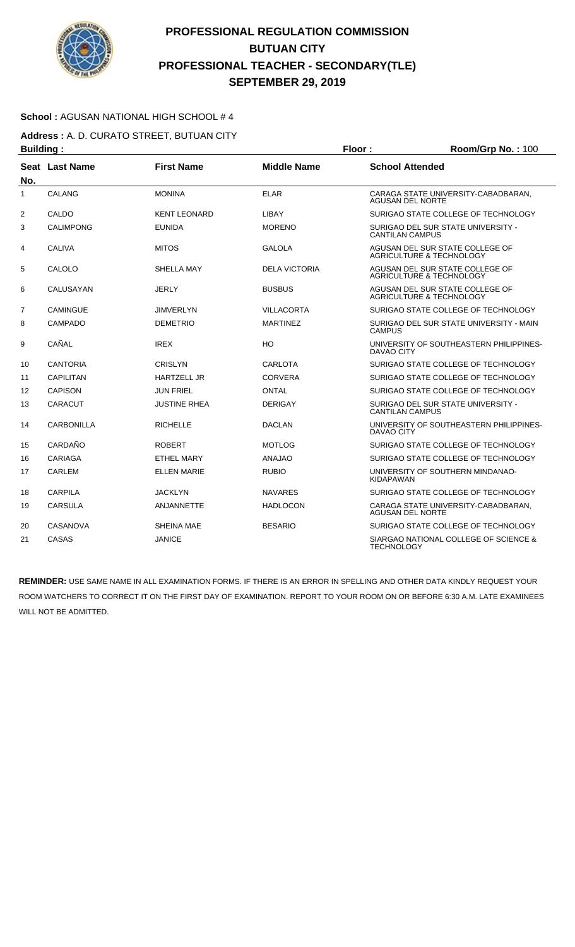

### **School :** AGUSAN NATIONAL HIGH SCHOOL # 4

**Address :** A. D. CURATO STREET, BUTUAN CITY **Building : Floor : Floor : Room/Grp No. : 100** 

| No.            | Seat Last Name   | <b>First Name</b>   | <b>Middle Name</b>   | <b>School Attended</b>                                         |  |
|----------------|------------------|---------------------|----------------------|----------------------------------------------------------------|--|
| 1              | <b>CALANG</b>    | <b>MONINA</b>       | <b>ELAR</b>          | CARAGA STATE UNIVERSITY-CABADBARAN,<br><b>AGUSAN DEL NORTE</b> |  |
| 2              | CALDO            | <b>KENT LEONARD</b> | LIBAY                | SURIGAO STATE COLLEGE OF TECHNOLOGY                            |  |
| 3              | <b>CALIMPONG</b> | <b>EUNIDA</b>       | <b>MORENO</b>        | SURIGAO DEL SUR STATE UNIVERSITY -<br><b>CANTILAN CAMPUS</b>   |  |
| 4              | <b>CALIVA</b>    | <b>MITOS</b>        | GALOLA               | AGUSAN DEL SUR STATE COLLEGE OF<br>AGRICULTURE & TECHNOLOGY    |  |
| 5              | CALOLO           | SHELLA MAY          | <b>DELA VICTORIA</b> | AGUSAN DEL SUR STATE COLLEGE OF<br>AGRICULTURE & TECHNOLOGY    |  |
| 6              | CALUSAYAN        | <b>JERLY</b>        | <b>BUSBUS</b>        | AGUSAN DEL SUR STATE COLLEGE OF<br>AGRICULTURE & TECHNOLOGY    |  |
| $\overline{7}$ | <b>CAMINGUE</b>  | <b>JIMVERLYN</b>    | <b>VILLACORTA</b>    | SURIGAO STATE COLLEGE OF TECHNOLOGY                            |  |
| 8              | <b>CAMPADO</b>   | <b>DEMETRIO</b>     | <b>MARTINEZ</b>      | SURIGAO DEL SUR STATE UNIVERSITY - MAIN<br><b>CAMPUS</b>       |  |
| 9              | CAÑAL            | <b>IREX</b>         | HO                   | UNIVERSITY OF SOUTHEASTERN PHILIPPINES-<br>DAVAO CITY          |  |
| 10             | <b>CANTORIA</b>  | <b>CRISLYN</b>      | <b>CARLOTA</b>       | SURIGAO STATE COLLEGE OF TECHNOLOGY                            |  |
| 11             | <b>CAPILITAN</b> | <b>HARTZELL JR</b>  | <b>CORVERA</b>       | SURIGAO STATE COLLEGE OF TECHNOLOGY                            |  |
| 12             | <b>CAPISON</b>   | <b>JUN FRIEL</b>    | ONTAL                | SURIGAO STATE COLLEGE OF TECHNOLOGY                            |  |
| 13             | <b>CARACUT</b>   | JUSTINE RHEA        | <b>DERIGAY</b>       | SURIGAO DEL SUR STATE UNIVERSITY -<br><b>CANTILAN CAMPUS</b>   |  |
| 14             | CARBONILLA       | <b>RICHELLE</b>     | <b>DACLAN</b>        | UNIVERSITY OF SOUTHEASTERN PHILIPPINES-<br><b>DAVAO CITY</b>   |  |
| 15             | CARDAÑO          | <b>ROBERT</b>       | <b>MOTLOG</b>        | SURIGAO STATE COLLEGE OF TECHNOLOGY                            |  |
| 16             | <b>CARIAGA</b>   | <b>ETHEL MARY</b>   | <b>ANAJAO</b>        | SURIGAO STATE COLLEGE OF TECHNOLOGY                            |  |
| 17             | <b>CARLEM</b>    | <b>ELLEN MARIE</b>  | <b>RUBIO</b>         | UNIVERSITY OF SOUTHERN MINDANAO-<br><b>KIDAPAWAN</b>           |  |
| 18             | <b>CARPILA</b>   | <b>JACKLYN</b>      | <b>NAVARES</b>       | SURIGAO STATE COLLEGE OF TECHNOLOGY                            |  |
| 19             | <b>CARSULA</b>   | <b>ANJANNETTE</b>   | <b>HADLOCON</b>      | CARAGA STATE UNIVERSITY-CABADBARAN,<br><b>AGUSAN DEL NORTE</b> |  |
| 20             | <b>CASANOVA</b>  | <b>SHEINA MAE</b>   | <b>BESARIO</b>       | SURIGAO STATE COLLEGE OF TECHNOLOGY                            |  |
| 21             | CASAS            | <b>JANICE</b>       |                      | SIARGAO NATIONAL COLLEGE OF SCIENCE &<br><b>TECHNOLOGY</b>     |  |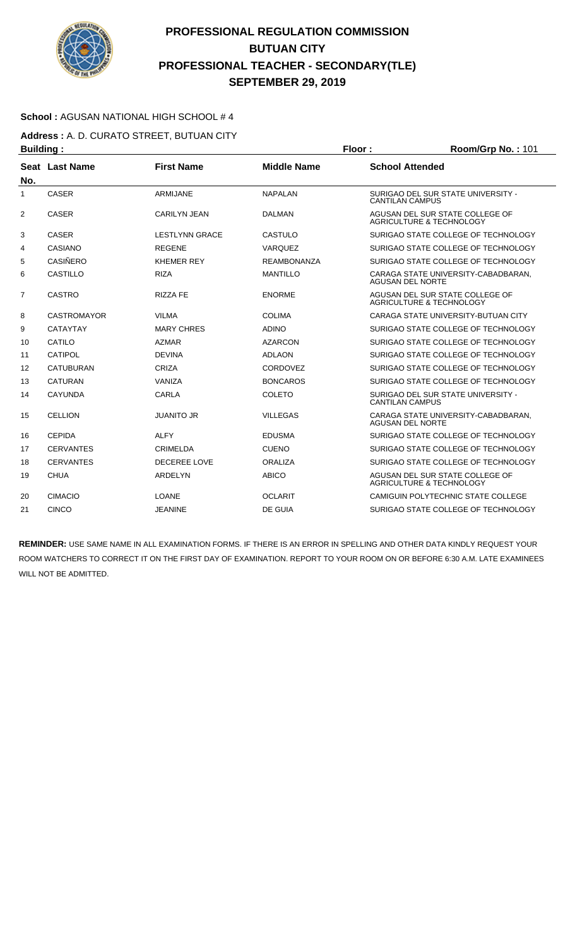

#### **School :** AGUSAN NATIONAL HIGH SCHOOL # 4

**Address :** A. D. CURATO STREET, BUTUAN CITY **Building : Floor : Room/Grp No. :** 101

| No.            | Seat Last Name     | <b>First Name</b>     | <b>Middle Name</b> | <b>School Attended</b>                                                 |  |
|----------------|--------------------|-----------------------|--------------------|------------------------------------------------------------------------|--|
| 1              | <b>CASER</b>       | <b>ARMIJANE</b>       | <b>NAPALAN</b>     | SURIGAO DEL SUR STATE UNIVERSITY -<br><b>CANTILAN CAMPUS</b>           |  |
| $\overline{2}$ | <b>CASER</b>       | <b>CARILYN JEAN</b>   | <b>DALMAN</b>      | AGUSAN DEL SUR STATE COLLEGE OF<br><b>AGRICULTURE &amp; TECHNOLOGY</b> |  |
| 3              | <b>CASER</b>       | <b>LESTLYNN GRACE</b> | CASTULO            | SURIGAO STATE COLLEGE OF TECHNOLOGY                                    |  |
| 4              | CASIANO            | <b>REGENE</b>         | <b>VARQUEZ</b>     | SURIGAO STATE COLLEGE OF TECHNOLOGY                                    |  |
| 5              | <b>CASIÑERO</b>    | <b>KHEMER REY</b>     | <b>REAMBONANZA</b> | SURIGAO STATE COLLEGE OF TECHNOLOGY                                    |  |
| 6              | <b>CASTILLO</b>    | <b>RIZA</b>           | <b>MANTILLO</b>    | CARAGA STATE UNIVERSITY-CABADBARAN.<br>AGUSAN DEL NORTE                |  |
| 7              | <b>CASTRO</b>      | <b>RIZZA FE</b>       | <b>ENORME</b>      | AGUSAN DEL SUR STATE COLLEGE OF<br><b>AGRICULTURE &amp; TECHNOLOGY</b> |  |
| 8              | <b>CASTROMAYOR</b> | <b>VILMA</b>          | <b>COLIMA</b>      | CARAGA STATE UNIVERSITY-BUTUAN CITY                                    |  |
| 9              | <b>CATAYTAY</b>    | <b>MARY CHRES</b>     | <b>ADINO</b>       | SURIGAO STATE COLLEGE OF TECHNOLOGY                                    |  |
| 10             | CATILO             | <b>AZMAR</b>          | <b>AZARCON</b>     | SURIGAO STATE COLLEGE OF TECHNOLOGY                                    |  |
| 11             | CATIPOL            | <b>DEVINA</b>         | <b>ADLAON</b>      | SURIGAO STATE COLLEGE OF TECHNOLOGY                                    |  |
| 12             | <b>CATUBURAN</b>   | CRIZA                 | CORDOVEZ           | SURIGAO STATE COLLEGE OF TECHNOLOGY                                    |  |
| 13             | <b>CATURAN</b>     | VANIZA                | <b>BONCAROS</b>    | SURIGAO STATE COLLEGE OF TECHNOLOGY                                    |  |
| 14             | <b>CAYUNDA</b>     | CARLA                 | COLETO             | SURIGAO DEL SUR STATE UNIVERSITY -<br><b>CANTILAN CAMPUS</b>           |  |
| 15             | <b>CELLION</b>     | <b>JUANITO JR</b>     | <b>VILLEGAS</b>    | CARAGA STATE UNIVERSITY-CABADBARAN.<br><b>AGUSAN DEL NORTE</b>         |  |
| 16             | <b>CEPIDA</b>      | <b>ALFY</b>           | <b>EDUSMA</b>      | SURIGAO STATE COLLEGE OF TECHNOLOGY                                    |  |
| 17             | <b>CERVANTES</b>   | <b>CRIMELDA</b>       | <b>CUENO</b>       | SURIGAO STATE COLLEGE OF TECHNOLOGY                                    |  |
| 18             | <b>CERVANTES</b>   | <b>DECEREE LOVE</b>   | ORALIZA            | SURIGAO STATE COLLEGE OF TECHNOLOGY                                    |  |
| 19             | <b>CHUA</b>        | ARDELYN               | <b>ABICO</b>       | AGUSAN DEL SUR STATE COLLEGE OF<br><b>AGRICULTURE &amp; TECHNOLOGY</b> |  |
| 20             | <b>CIMACIO</b>     | <b>LOANE</b>          | <b>OCLARIT</b>     | CAMIGUIN POLYTECHNIC STATE COLLEGE                                     |  |
| 21             | <b>CINCO</b>       | <b>JEANINE</b>        | DE GUIA            | SURIGAO STATE COLLEGE OF TECHNOLOGY                                    |  |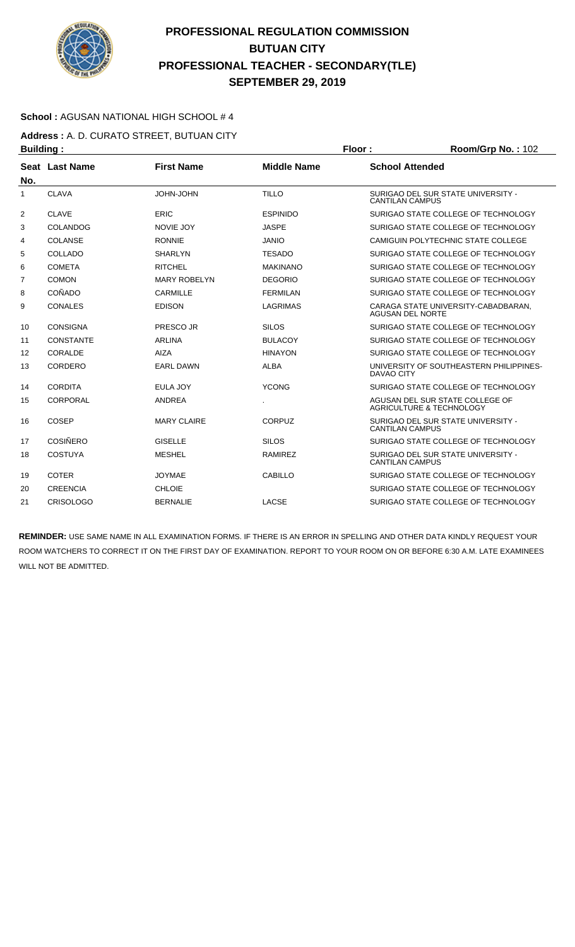

### **School :** AGUSAN NATIONAL HIGH SCHOOL # 4

**Address :** A. D. CURATO STREET, BUTUAN CITY **Building : Floor : Room/Grp No. :** 102

| No. | Seat Last Name   | <b>First Name</b>   | <b>Middle Name</b> | <b>School Attended</b>                                                 |
|-----|------------------|---------------------|--------------------|------------------------------------------------------------------------|
| 1   | <b>CLAVA</b>     | JOHN-JOHN           | <b>TILLO</b>       | SURIGAO DEL SUR STATE UNIVERSITY -<br><b>CANTILAN CAMPUS</b>           |
| 2   | <b>CLAVE</b>     | <b>ERIC</b>         | <b>ESPINIDO</b>    | SURIGAO STATE COLLEGE OF TECHNOLOGY                                    |
| 3   | <b>COLANDOG</b>  | <b>NOVIE JOY</b>    | <b>JASPE</b>       | SURIGAO STATE COLLEGE OF TECHNOLOGY                                    |
| 4   | <b>COLANSE</b>   | <b>RONNIE</b>       | <b>JANIO</b>       | CAMIGUIN POLYTECHNIC STATE COLLEGE                                     |
| 5   | COLLADO          | <b>SHARLYN</b>      | <b>TESADO</b>      | SURIGAO STATE COLLEGE OF TECHNOLOGY                                    |
| 6   | <b>COMETA</b>    | <b>RITCHEL</b>      | <b>MAKINANO</b>    | SURIGAO STATE COLLEGE OF TECHNOLOGY                                    |
| 7   | <b>COMON</b>     | <b>MARY ROBELYN</b> | <b>DEGORIO</b>     | SURIGAO STATE COLLEGE OF TECHNOLOGY                                    |
| 8   | COÑADO           | CARMILLE            | <b>FERMILAN</b>    | SURIGAO STATE COLLEGE OF TECHNOLOGY                                    |
| 9   | <b>CONALES</b>   | <b>EDISON</b>       | <b>LAGRIMAS</b>    | CARAGA STATE UNIVERSITY-CABADBARAN,<br><b>AGUSAN DEL NORTE</b>         |
| 10  | <b>CONSIGNA</b>  | PRESCO JR           | <b>SILOS</b>       | SURIGAO STATE COLLEGE OF TECHNOLOGY                                    |
| 11  | <b>CONSTANTE</b> | <b>ARLINA</b>       | <b>BULACOY</b>     | SURIGAO STATE COLLEGE OF TECHNOLOGY                                    |
| 12  | CORALDE          | <b>AIZA</b>         | <b>HINAYON</b>     | SURIGAO STATE COLLEGE OF TECHNOLOGY                                    |
| 13  | CORDERO          | <b>EARL DAWN</b>    | <b>ALBA</b>        | UNIVERSITY OF SOUTHEASTERN PHILIPPINES-<br>DAVAO CITY                  |
| 14  | <b>CORDITA</b>   | EULA JOY            | <b>YCONG</b>       | SURIGAO STATE COLLEGE OF TECHNOLOGY                                    |
| 15  | CORPORAL         | <b>ANDREA</b>       |                    | AGUSAN DEL SUR STATE COLLEGE OF<br><b>AGRICULTURE &amp; TECHNOLOGY</b> |
| 16  | COSEP            | <b>MARY CLAIRE</b>  | <b>CORPUZ</b>      | SURIGAO DEL SUR STATE UNIVERSITY -<br><b>CANTILAN CAMPUS</b>           |
| 17  | <b>COSIÑERO</b>  | <b>GISELLE</b>      | <b>SILOS</b>       | SURIGAO STATE COLLEGE OF TECHNOLOGY                                    |
| 18  | <b>COSTUYA</b>   | <b>MESHEL</b>       | <b>RAMIREZ</b>     | SURIGAO DEL SUR STATE UNIVERSITY -<br><b>CANTILAN CAMPUS</b>           |
| 19  | <b>COTER</b>     | <b>JOYMAE</b>       | <b>CABILLO</b>     | SURIGAO STATE COLLEGE OF TECHNOLOGY                                    |
| 20  | <b>CREENCIA</b>  | <b>CHLOIE</b>       |                    | SURIGAO STATE COLLEGE OF TECHNOLOGY                                    |
| 21  | <b>CRISOLOGO</b> | <b>BERNALIE</b>     | LACSE              | SURIGAO STATE COLLEGE OF TECHNOLOGY                                    |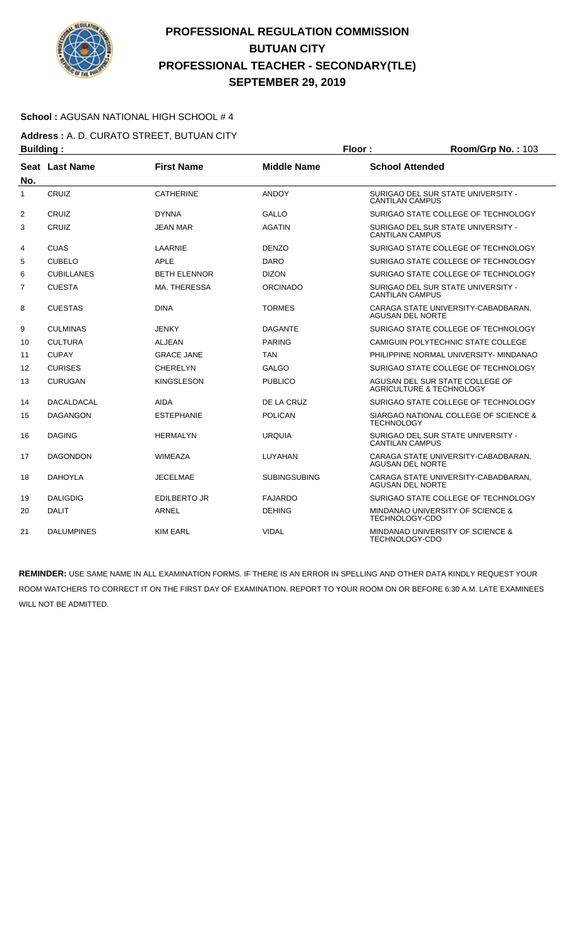

### **School :** AGUSAN NATIONAL HIGH SCHOOL # 4

**Address :** A. D. CURATO STREET, BUTUAN CITY **Building : Floor : Room/Grp No. :** 103

|                | .                 |                     |                     |                                                                |
|----------------|-------------------|---------------------|---------------------|----------------------------------------------------------------|
| No.            | Seat Last Name    | <b>First Name</b>   | <b>Middle Name</b>  | <b>School Attended</b>                                         |
| 1              | CRUIZ             | <b>CATHERINE</b>    | <b>ANDOY</b>        | SURIGAO DEL SUR STATE UNIVERSITY -<br><b>CANTILAN CAMPUS</b>   |
| $\overline{2}$ | <b>CRUIZ</b>      | <b>DYNNA</b>        | <b>GALLO</b>        | SURIGAO STATE COLLEGE OF TECHNOLOGY                            |
| 3              | <b>CRUIZ</b>      | JEAN MAR            | <b>AGATIN</b>       | SURIGAO DEL SUR STATE UNIVERSITY -<br><b>CANTILAN CAMPUS</b>   |
| 4              | <b>CUAS</b>       | LAARNIE             | <b>DENZO</b>        | SURIGAO STATE COLLEGE OF TECHNOLOGY                            |
| 5              | <b>CUBELO</b>     | <b>APLE</b>         | <b>DARO</b>         | SURIGAO STATE COLLEGE OF TECHNOLOGY                            |
| 6              | <b>CUBILLANES</b> | <b>BETH ELENNOR</b> | <b>DIZON</b>        | SURIGAO STATE COLLEGE OF TECHNOLOGY                            |
| $\overline{7}$ | <b>CUESTA</b>     | MA. THERESSA        | <b>ORCINADO</b>     | SURIGAO DEL SUR STATE UNIVERSITY -<br><b>CANTILAN CAMPUS</b>   |
| 8              | <b>CUESTAS</b>    | <b>DINA</b>         | <b>TORMES</b>       | CARAGA STATE UNIVERSITY-CABADBARAN,<br><b>AGUSAN DEL NORTE</b> |
| 9              | <b>CULMINAS</b>   | JENKY               | <b>DAGANTE</b>      | SURIGAO STATE COLLEGE OF TECHNOLOGY                            |
| 10             | <b>CULTURA</b>    | ALJEAN              | <b>PARING</b>       | CAMIGUIN POLYTECHNIC STATE COLLEGE                             |
| 11             | <b>CUPAY</b>      | <b>GRACE JANE</b>   | <b>TAN</b>          | PHILIPPINE NORMAL UNIVERSITY- MINDANAO                         |
| 12             | <b>CURISES</b>    | CHERELYN            | <b>GALGO</b>        | SURIGAO STATE COLLEGE OF TECHNOLOGY                            |
| 13             | <b>CURUGAN</b>    | <b>KINGSLESON</b>   | <b>PUBLICO</b>      | AGUSAN DEL SUR STATE COLLEGE OF<br>AGRICULTURE & TECHNOLOGY    |
| 14             | <b>DACALDACAL</b> | AIDA                | DE LA CRUZ          | SURIGAO STATE COLLEGE OF TECHNOLOGY                            |
| 15             | <b>DAGANGON</b>   | <b>ESTEPHANIE</b>   | <b>POLICAN</b>      | SIARGAO NATIONAL COLLEGE OF SCIENCE &<br><b>TECHNOLOGY</b>     |
| 16             | <b>DAGING</b>     | <b>HERMALYN</b>     | <b>URQUIA</b>       | SURIGAO DEL SUR STATE UNIVERSITY -<br><b>CANTILAN CAMPUS</b>   |
| 17             | <b>DAGONDON</b>   | WIMEAZA             | LUYAHAN             | CARAGA STATE UNIVERSITY-CABADBARAN,<br><b>AGUSAN DEL NORTE</b> |
| 18             | <b>DAHOYLA</b>    | <b>JECELMAE</b>     | <b>SUBINGSUBING</b> | CARAGA STATE UNIVERSITY-CABADBARAN.<br><b>AGUSAN DEL NORTE</b> |
| 19             | <b>DALIGDIG</b>   | <b>EDILBERTO JR</b> | <b>FAJARDO</b>      | SURIGAO STATE COLLEGE OF TECHNOLOGY                            |
| 20             | <b>DALIT</b>      | <b>ARNEL</b>        | <b>DEHING</b>       | MINDANAO UNIVERSITY OF SCIENCE &<br>TECHNOLOGY-CDO             |
| 21             | <b>DALUMPINES</b> | <b>KIM EARL</b>     | <b>VIDAL</b>        | MINDANAO UNIVERSITY OF SCIENCE &<br>TECHNOLOGY-CDO             |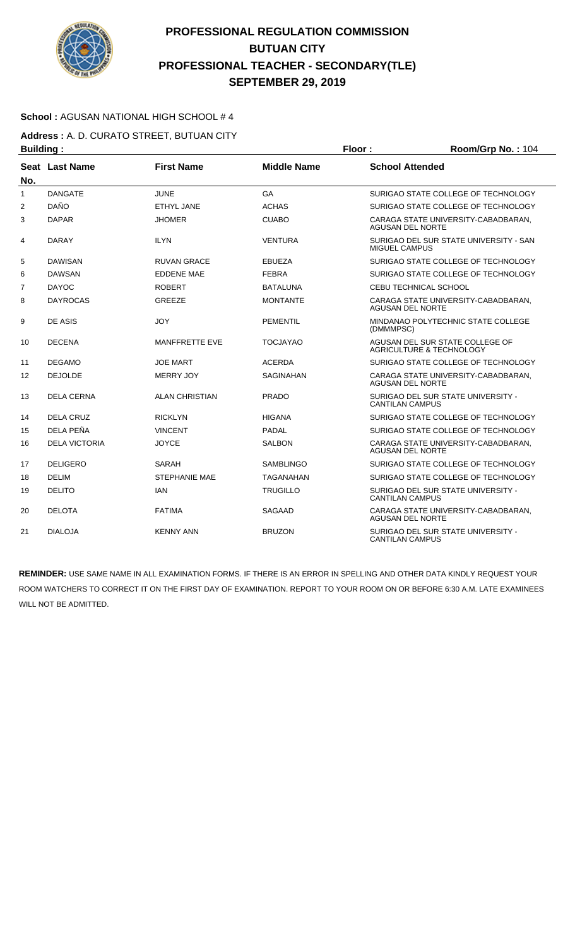

### **School :** AGUSAN NATIONAL HIGH SCHOOL # 4

**Address :** A. D. CURATO STREET, BUTUAN CITY **Building : Floor : Floor : Room/Grp No. : 104** 

| . <u>.</u>     |                      |                       |                    |                                                                        |
|----------------|----------------------|-----------------------|--------------------|------------------------------------------------------------------------|
| No.            | Seat Last Name       | <b>First Name</b>     | <b>Middle Name</b> | <b>School Attended</b>                                                 |
| 1              | <b>DANGATE</b>       | <b>JUNE</b>           | GA                 | SURIGAO STATE COLLEGE OF TECHNOLOGY                                    |
| 2              | <b>DAÑO</b>          | <b>ETHYL JANE</b>     | <b>ACHAS</b>       | SURIGAO STATE COLLEGE OF TECHNOLOGY                                    |
| 3              | <b>DAPAR</b>         | JHOMER                | <b>CUABO</b>       | CARAGA STATE UNIVERSITY-CABADBARAN,<br><b>AGUSAN DEL NORTE</b>         |
| 4              | <b>DARAY</b>         | <b>ILYN</b>           | <b>VENTURA</b>     | SURIGAO DEL SUR STATE UNIVERSITY - SAN<br><b>MIGUEL CAMPUS</b>         |
| 5              | <b>DAWISAN</b>       | <b>RUVAN GRACE</b>    | <b>EBUEZA</b>      | SURIGAO STATE COLLEGE OF TECHNOLOGY                                    |
| 6              | <b>DAWSAN</b>        | <b>EDDENE MAE</b>     | <b>FEBRA</b>       | SURIGAO STATE COLLEGE OF TECHNOLOGY                                    |
| $\overline{7}$ | <b>DAYOC</b>         | <b>ROBERT</b>         | <b>BATALUNA</b>    | CEBU TECHNICAL SCHOOL                                                  |
| 8              | <b>DAYROCAS</b>      | <b>GREEZE</b>         | <b>MONTANTE</b>    | CARAGA STATE UNIVERSITY-CABADBARAN,<br><b>AGUSAN DEL NORTE</b>         |
| 9              | DE ASIS              | JOY                   | <b>PEMENTIL</b>    | MINDANAO POLYTECHNIC STATE COLLEGE<br>(DMMMPSC)                        |
| 10             | <b>DECENA</b>        | MANFFRETTE EVE        | <b>TOCJAYAO</b>    | AGUSAN DEL SUR STATE COLLEGE OF<br><b>AGRICULTURE &amp; TECHNOLOGY</b> |
| 11             | <b>DEGAMO</b>        | <b>JOE MART</b>       | <b>ACERDA</b>      | SURIGAO STATE COLLEGE OF TECHNOLOGY                                    |
| 12             | <b>DEJOLDE</b>       | <b>MERRY JOY</b>      | <b>SAGINAHAN</b>   | CARAGA STATE UNIVERSITY-CABADBARAN.<br><b>AGUSAN DEL NORTE</b>         |
| 13             | <b>DELA CERNA</b>    | <b>ALAN CHRISTIAN</b> | <b>PRADO</b>       | SURIGAO DEL SUR STATE UNIVERSITY -<br><b>CANTILAN CAMPUS</b>           |
| 14             | <b>DELA CRUZ</b>     | <b>RICKLYN</b>        | <b>HIGANA</b>      | SURIGAO STATE COLLEGE OF TECHNOLOGY                                    |
| 15             | DELA PEÑA            | <b>VINCENT</b>        | <b>PADAL</b>       | SURIGAO STATE COLLEGE OF TECHNOLOGY                                    |
| 16             | <b>DELA VICTORIA</b> | <b>JOYCE</b>          | <b>SALBON</b>      | CARAGA STATE UNIVERSITY-CABADBARAN,<br><b>AGUSAN DEL NORTE</b>         |
| 17             | <b>DELIGERO</b>      | SARAH                 | <b>SAMBLINGO</b>   | SURIGAO STATE COLLEGE OF TECHNOLOGY                                    |
| 18             | <b>DELIM</b>         | <b>STEPHANIE MAE</b>  | TAGANAHAN          | SURIGAO STATE COLLEGE OF TECHNOLOGY                                    |
| 19             | <b>DELITO</b>        | <b>IAN</b>            | <b>TRUGILLO</b>    | SURIGAO DEL SUR STATE UNIVERSITY -<br><b>CANTILAN CAMPUS</b>           |
| 20             | <b>DELOTA</b>        | <b>FATIMA</b>         | <b>SAGAAD</b>      | CARAGA STATE UNIVERSITY-CABADBARAN,<br><b>AGUSAN DEL NORTE</b>         |
| 21             | <b>DIALOJA</b>       | <b>KENNY ANN</b>      | <b>BRUZON</b>      | SURIGAO DEL SUR STATE UNIVERSITY -<br><b>CANTILAN CAMPUS</b>           |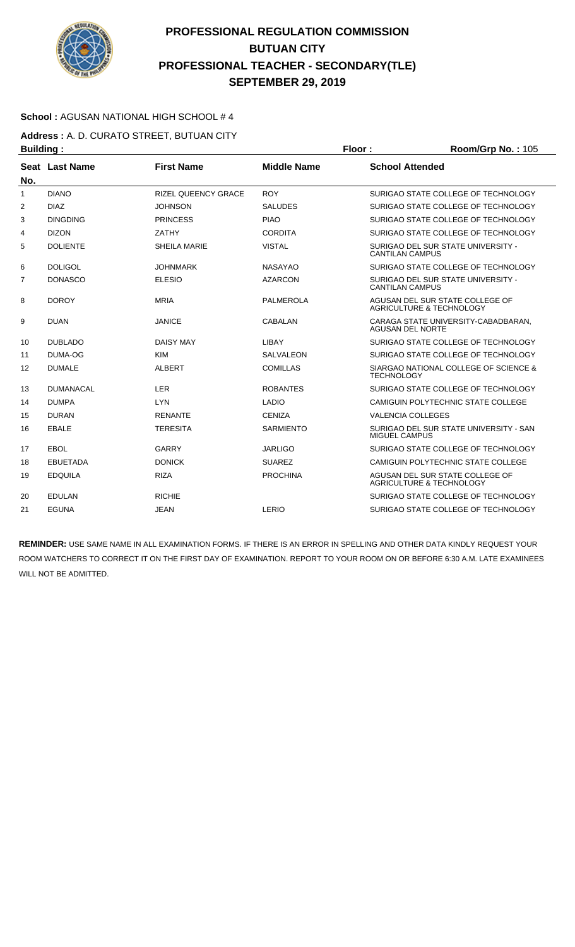

### **School :** AGUSAN NATIONAL HIGH SCHOOL # 4

**Address :** A. D. CURATO STREET, BUTUAN CITY **Building : Floor : Room/Grp No. :** 105

| No.            | Seat Last Name   | <b>First Name</b>          | <b>Middle Name</b> | <b>School Attended</b>                                                 |
|----------------|------------------|----------------------------|--------------------|------------------------------------------------------------------------|
| 1              | <b>DIANO</b>     | <b>RIZEL QUEENCY GRACE</b> | <b>ROY</b>         | SURIGAO STATE COLLEGE OF TECHNOLOGY                                    |
| $\overline{2}$ | <b>DIAZ</b>      | <b>JOHNSON</b>             | <b>SALUDES</b>     | SURIGAO STATE COLLEGE OF TECHNOLOGY                                    |
| 3              | <b>DINGDING</b>  | <b>PRINCESS</b>            | <b>PIAO</b>        | SURIGAO STATE COLLEGE OF TECHNOLOGY                                    |
| 4              | <b>DIZON</b>     | ZATHY                      | <b>CORDITA</b>     | SURIGAO STATE COLLEGE OF TECHNOLOGY                                    |
| 5              | <b>DOLIENTE</b>  | <b>SHEILA MARIE</b>        | <b>VISTAL</b>      | SURIGAO DEL SUR STATE UNIVERSITY -<br><b>CANTILAN CAMPUS</b>           |
| 6              | <b>DOLIGOL</b>   | <b>JOHNMARK</b>            | <b>NASAYAO</b>     | SURIGAO STATE COLLEGE OF TECHNOLOGY                                    |
| 7              | <b>DONASCO</b>   | <b>ELESIO</b>              | <b>AZARCON</b>     | SURIGAO DEL SUR STATE UNIVERSITY -<br><b>CANTILAN CAMPUS</b>           |
| 8              | <b>DOROY</b>     | <b>MRIA</b>                | <b>PALMEROLA</b>   | AGUSAN DEL SUR STATE COLLEGE OF<br><b>AGRICULTURE &amp; TECHNOLOGY</b> |
| 9              | <b>DUAN</b>      | <b>JANICE</b>              | CABALAN            | CARAGA STATE UNIVERSITY-CABADBARAN.<br><b>AGUSAN DEL NORTE</b>         |
| 10             | <b>DUBLADO</b>   | <b>DAISY MAY</b>           | LIBAY              | SURIGAO STATE COLLEGE OF TECHNOLOGY                                    |
| 11             | DUMA-OG          | <b>KIM</b>                 | SALVALEON          | SURIGAO STATE COLLEGE OF TECHNOLOGY                                    |
| 12             | <b>DUMALE</b>    | <b>ALBERT</b>              | <b>COMILLAS</b>    | SIARGAO NATIONAL COLLEGE OF SCIENCE &<br><b>TECHNOLOGY</b>             |
| 13             | <b>DUMANACAL</b> | <b>LER</b>                 | <b>ROBANTES</b>    | SURIGAO STATE COLLEGE OF TECHNOLOGY                                    |
| 14             | <b>DUMPA</b>     | <b>LYN</b>                 | <b>LADIO</b>       | CAMIGUIN POLYTECHNIC STATE COLLEGE                                     |
| 15             | <b>DURAN</b>     | <b>RENANTE</b>             | <b>CENIZA</b>      | <b>VALENCIA COLLEGES</b>                                               |
| 16             | EBALE            | <b>TERESITA</b>            | <b>SARMIENTO</b>   | SURIGAO DEL SUR STATE UNIVERSITY - SAN<br>MIGUEL CAMPUS                |
| 17             | EBOL             | GARRY                      | <b>JARLIGO</b>     | SURIGAO STATE COLLEGE OF TECHNOLOGY                                    |
| 18             | <b>EBUETADA</b>  | <b>DONICK</b>              | <b>SUAREZ</b>      | CAMIGUIN POLYTECHNIC STATE COLLEGE                                     |
| 19             | <b>EDQUILA</b>   | <b>RIZA</b>                | <b>PROCHINA</b>    | AGUSAN DEL SUR STATE COLLEGE OF<br><b>AGRICULTURE &amp; TECHNOLOGY</b> |
| 20             | <b>EDULAN</b>    | <b>RICHIE</b>              |                    | SURIGAO STATE COLLEGE OF TECHNOLOGY                                    |
| 21             | <b>EGUNA</b>     | <b>JEAN</b>                | LERIO              | SURIGAO STATE COLLEGE OF TECHNOLOGY                                    |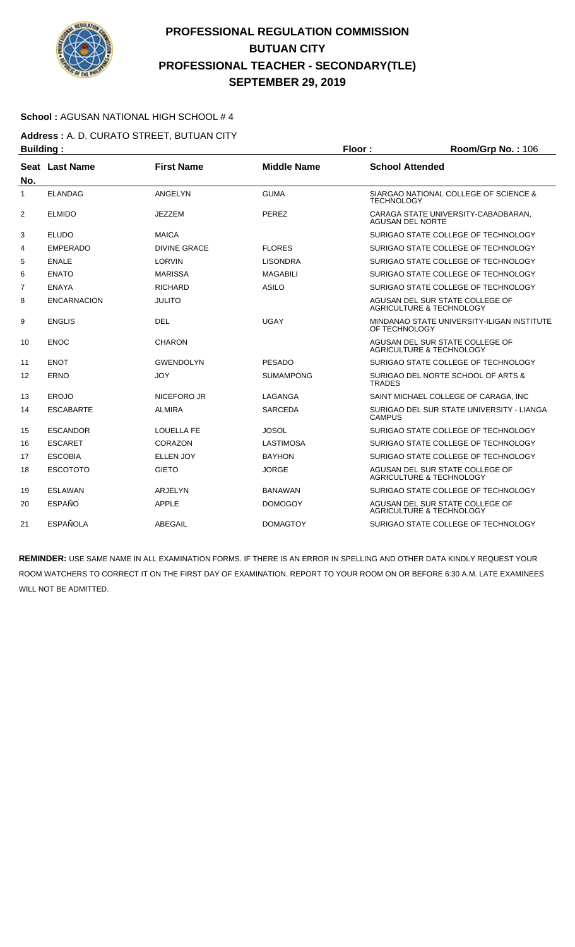

### **School :** AGUSAN NATIONAL HIGH SCHOOL # 4

**Address :** A. D. CURATO STREET, BUTUAN CITY **Building : Floor : Room/Grp No. :** 106

| No.            | Seat Last Name     | <b>First Name</b> | <b>Middle Name</b> | <b>School Attended</b>                                                 |
|----------------|--------------------|-------------------|--------------------|------------------------------------------------------------------------|
| $\mathbf{1}$   | <b>ELANDAG</b>     | ANGELYN           | <b>GUMA</b>        | SIARGAO NATIONAL COLLEGE OF SCIENCE &<br><b>TECHNOLOGY</b>             |
| 2              | <b>ELMIDO</b>      | JEZZEM            | <b>PEREZ</b>       | CARAGA STATE UNIVERSITY-CABADBARAN,<br><b>AGUSAN DEL NORTE</b>         |
| 3              | <b>ELUDO</b>       | <b>MAICA</b>      |                    | SURIGAO STATE COLLEGE OF TECHNOLOGY                                    |
| 4              | <b>EMPERADO</b>    | DIVINE GRACE      | <b>FLORES</b>      | SURIGAO STATE COLLEGE OF TECHNOLOGY                                    |
| 5              | <b>ENALE</b>       | LORVIN            | <b>LISONDRA</b>    | SURIGAO STATE COLLEGE OF TECHNOLOGY                                    |
| 6              | <b>ENATO</b>       | <b>MARISSA</b>    | <b>MAGABILI</b>    | SURIGAO STATE COLLEGE OF TECHNOLOGY                                    |
| $\overline{7}$ | <b>ENAYA</b>       | <b>RICHARD</b>    | <b>ASILO</b>       | SURIGAO STATE COLLEGE OF TECHNOLOGY                                    |
| 8              | <b>ENCARNACION</b> | <b>JULITO</b>     |                    | AGUSAN DEL SUR STATE COLLEGE OF<br><b>AGRICULTURE &amp; TECHNOLOGY</b> |
| 9              | <b>ENGLIS</b>      | <b>DEL</b>        | <b>UGAY</b>        | MINDANAO STATE UNIVERSITY-ILIGAN INSTITUTE<br>OF TECHNOLOGY            |
| 10             | <b>ENOC</b>        | <b>CHARON</b>     |                    | AGUSAN DEL SUR STATE COLLEGE OF<br>AGRICULTURE & TECHNOLOGY            |
| 11             | <b>ENOT</b>        | <b>GWENDOLYN</b>  | <b>PESADO</b>      | SURIGAO STATE COLLEGE OF TECHNOLOGY                                    |
| 12             | <b>ERNO</b>        | JOY               | <b>SUMAMPONG</b>   | SURIGAO DEL NORTE SCHOOL OF ARTS &<br><b>TRADES</b>                    |
| 13             | <b>EROJO</b>       | NICEFORO JR       | LAGANGA            | SAINT MICHAEL COLLEGE OF CARAGA, INC                                   |
| 14             | <b>ESCABARTE</b>   | <b>ALMIRA</b>     | <b>SARCEDA</b>     | SURIGAO DEL SUR STATE UNIVERSITY - LIANGA<br><b>CAMPUS</b>             |
| 15             | <b>ESCANDOR</b>    | <b>LOUELLA FE</b> | JOSOL              | SURIGAO STATE COLLEGE OF TECHNOLOGY                                    |
| 16             | <b>ESCARET</b>     | CORAZON           | <b>LASTIMOSA</b>   | SURIGAO STATE COLLEGE OF TECHNOLOGY                                    |
| 17             | <b>ESCOBIA</b>     | <b>ELLEN JOY</b>  | <b>BAYHON</b>      | SURIGAO STATE COLLEGE OF TECHNOLOGY                                    |
| 18             | <b>ESCOTOTO</b>    | <b>GIETO</b>      | <b>JORGE</b>       | AGUSAN DEL SUR STATE COLLEGE OF<br>AGRICULTURE & TECHNOLOGY            |
| 19             | <b>ESLAWAN</b>     | <b>ARJELYN</b>    | <b>BANAWAN</b>     | SURIGAO STATE COLLEGE OF TECHNOLOGY                                    |
| 20             | <b>ESPAÑO</b>      | <b>APPLE</b>      | <b>DOMOGOY</b>     | AGUSAN DEL SUR STATE COLLEGE OF<br>AGRICULTURE & TECHNOLOGY            |
| 21             | <b>ESPAÑOLA</b>    | ABEGAIL           | <b>DOMAGTOY</b>    | SURIGAO STATE COLLEGE OF TECHNOLOGY                                    |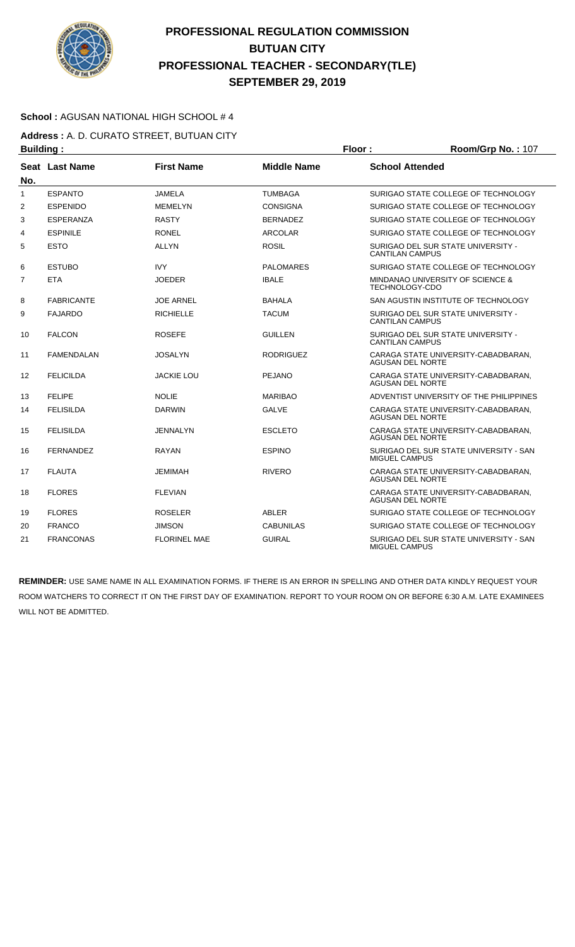

### **School :** AGUSAN NATIONAL HIGH SCHOOL # 4

**Address :** A. D. CURATO STREET, BUTUAN CITY **Building : Floor : Floor : Room/Grp No. : 107** 

| No. | Seat Last Name    | <b>First Name</b>   | <b>Middle Name</b> | <b>School Attended</b>                                         |
|-----|-------------------|---------------------|--------------------|----------------------------------------------------------------|
| 1   | <b>ESPANTO</b>    | <b>JAMELA</b>       | <b>TUMBAGA</b>     | SURIGAO STATE COLLEGE OF TECHNOLOGY                            |
| 2   | <b>ESPENIDO</b>   | <b>MEMELYN</b>      | <b>CONSIGNA</b>    | SURIGAO STATE COLLEGE OF TECHNOLOGY                            |
| 3   | <b>ESPERANZA</b>  | <b>RASTY</b>        | <b>BERNADEZ</b>    | SURIGAO STATE COLLEGE OF TECHNOLOGY                            |
| 4   | <b>ESPINILE</b>   | <b>RONEL</b>        | <b>ARCOLAR</b>     | SURIGAO STATE COLLEGE OF TECHNOLOGY                            |
| 5   | <b>ESTO</b>       | <b>ALLYN</b>        | <b>ROSIL</b>       | SURIGAO DEL SUR STATE UNIVERSITY -<br><b>CANTILAN CAMPUS</b>   |
| 6   | <b>ESTUBO</b>     | <b>IVY</b>          | <b>PALOMARES</b>   | SURIGAO STATE COLLEGE OF TECHNOLOGY                            |
| 7   | <b>ETA</b>        | <b>JOEDER</b>       | <b>IBALE</b>       | MINDANAO UNIVERSITY OF SCIENCE &<br>TECHNOLOGY-CDO             |
| 8   | <b>FABRICANTE</b> | <b>JOE ARNEL</b>    | <b>BAHALA</b>      | SAN AGUSTIN INSTITUTE OF TECHNOLOGY                            |
| 9   | <b>FAJARDO</b>    | <b>RICHIELLE</b>    | <b>TACUM</b>       | SURIGAO DEL SUR STATE UNIVERSITY -<br><b>CANTILAN CAMPUS</b>   |
| 10  | <b>FALCON</b>     | <b>ROSEFE</b>       | <b>GUILLEN</b>     | SURIGAO DEL SUR STATE UNIVERSITY -<br><b>CANTILAN CAMPUS</b>   |
| 11  | <b>FAMENDALAN</b> | <b>JOSALYN</b>      | <b>RODRIGUEZ</b>   | CARAGA STATE UNIVERSITY-CABADBARAN.<br><b>AGUSAN DEL NORTE</b> |
| 12  | <b>FELICILDA</b>  | <b>JACKIE LOU</b>   | <b>PEJANO</b>      | CARAGA STATE UNIVERSITY-CABADBARAN.<br><b>AGUSAN DEL NORTE</b> |
| 13  | <b>FELIPE</b>     | <b>NOLIE</b>        | <b>MARIBAO</b>     | ADVENTIST UNIVERSITY OF THE PHILIPPINES                        |
| 14  | <b>FELISILDA</b>  | <b>DARWIN</b>       | <b>GALVE</b>       | CARAGA STATE UNIVERSITY-CABADBARAN,<br><b>AGUSAN DEL NORTE</b> |
| 15  | <b>FELISILDA</b>  | <b>JENNALYN</b>     | <b>ESCLETO</b>     | CARAGA STATE UNIVERSITY-CABADBARAN.<br><b>AGUSAN DEL NORTE</b> |
| 16  | <b>FERNANDEZ</b>  | <b>RAYAN</b>        | <b>ESPINO</b>      | SURIGAO DEL SUR STATE UNIVERSITY - SAN<br><b>MIGUEL CAMPUS</b> |
| 17  | <b>FLAUTA</b>     | <b>JEMIMAH</b>      | <b>RIVERO</b>      | CARAGA STATE UNIVERSITY-CABADBARAN.<br><b>AGUSAN DEL NORTE</b> |
| 18  | <b>FLORES</b>     | <b>FLEVIAN</b>      |                    | CARAGA STATE UNIVERSITY-CABADBARAN,<br><b>AGUSAN DEL NORTE</b> |
| 19  | <b>FLORES</b>     | <b>ROSELER</b>      | ABLER              | SURIGAO STATE COLLEGE OF TECHNOLOGY                            |
| 20  | <b>FRANCO</b>     | <b>JIMSON</b>       | <b>CABUNILAS</b>   | SURIGAO STATE COLLEGE OF TECHNOLOGY                            |
| 21  | <b>FRANCONAS</b>  | <b>FLORINEL MAE</b> | <b>GUIRAL</b>      | SURIGAO DEL SUR STATE UNIVERSITY - SAN<br>MIGUEL CAMPUS        |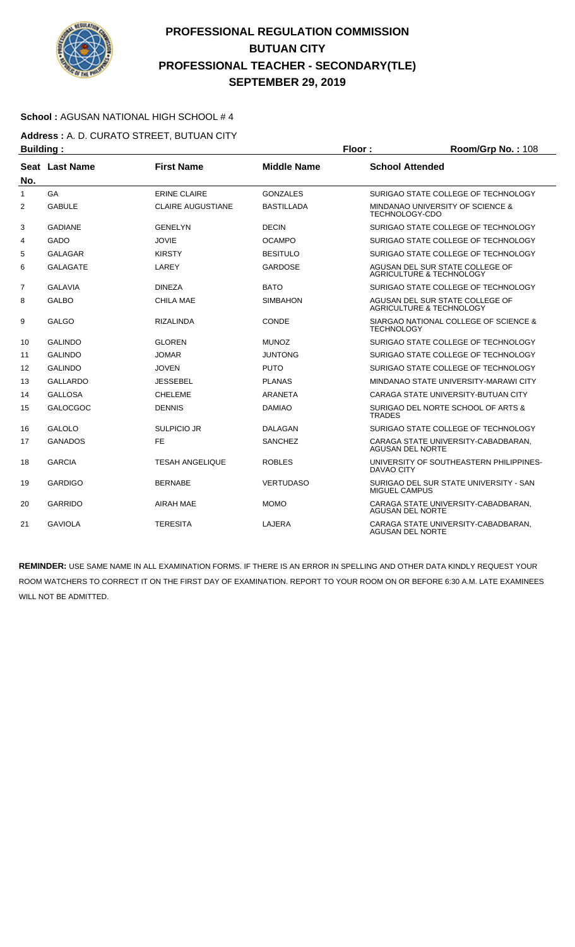

### **School :** AGUSAN NATIONAL HIGH SCHOOL # 4

**Address :** A. D. CURATO STREET, BUTUAN CITY **Building : Floor : Room/Grp No. :** 108

| No.            | Seat Last Name  | <b>First Name</b>        | <b>Middle Name</b> | <b>School Attended</b>                                                 |
|----------------|-----------------|--------------------------|--------------------|------------------------------------------------------------------------|
| $\mathbf{1}$   | GA              | <b>ERINE CLAIRE</b>      | <b>GONZALES</b>    | SURIGAO STATE COLLEGE OF TECHNOLOGY                                    |
| $\overline{2}$ | <b>GABULE</b>   | <b>CLAIRE AUGUSTIANE</b> | <b>BASTILLADA</b>  | MINDANAO UNIVERSITY OF SCIENCE &<br><b>TECHNOLOGY-CDO</b>              |
| 3              | <b>GADIANE</b>  | <b>GENELYN</b>           | <b>DECIN</b>       | SURIGAO STATE COLLEGE OF TECHNOLOGY                                    |
| 4              | <b>GADO</b>     | <b>JOVIE</b>             | <b>OCAMPO</b>      | SURIGAO STATE COLLEGE OF TECHNOLOGY                                    |
| 5              | GALAGAR         | <b>KIRSTY</b>            | <b>BESITULO</b>    | SURIGAO STATE COLLEGE OF TECHNOLOGY                                    |
| 6              | <b>GALAGATE</b> | LAREY                    | <b>GARDOSE</b>     | AGUSAN DEL SUR STATE COLLEGE OF<br><b>AGRICULTURE &amp; TECHNOLOGY</b> |
| 7              | <b>GALAVIA</b>  | <b>DINEZA</b>            | <b>BATO</b>        | SURIGAO STATE COLLEGE OF TECHNOLOGY                                    |
| 8              | <b>GALBO</b>    | <b>CHILA MAE</b>         | <b>SIMBAHON</b>    | AGUSAN DEL SUR STATE COLLEGE OF<br><b>AGRICULTURE &amp; TECHNOLOGY</b> |
| 9              | <b>GALGO</b>    | <b>RIZALINDA</b>         | <b>CONDE</b>       | SIARGAO NATIONAL COLLEGE OF SCIENCE &<br><b>TECHNOLOGY</b>             |
| 10             | <b>GALINDO</b>  | <b>GLOREN</b>            | <b>MUNOZ</b>       | SURIGAO STATE COLLEGE OF TECHNOLOGY                                    |
| 11             | <b>GALINDO</b>  | <b>JOMAR</b>             | <b>JUNTONG</b>     | SURIGAO STATE COLLEGE OF TECHNOLOGY                                    |
| 12             | <b>GALINDO</b>  | <b>JOVEN</b>             | <b>PUTO</b>        | SURIGAO STATE COLLEGE OF TECHNOLOGY                                    |
| 13             | <b>GALLARDO</b> | <b>JESSEBEL</b>          | <b>PLANAS</b>      | MINDANAO STATE UNIVERSITY-MARAWI CITY                                  |
| 14             | <b>GALLOSA</b>  | <b>CHELEME</b>           | ARANETA            | CARAGA STATE UNIVERSITY-BUTUAN CITY                                    |
| 15             | <b>GALOCGOC</b> | <b>DENNIS</b>            | <b>DAMIAO</b>      | SURIGAO DEL NORTE SCHOOL OF ARTS &<br><b>TRADES</b>                    |
| 16             | <b>GALOLO</b>   | <b>SULPICIO JR</b>       | DALAGAN            | SURIGAO STATE COLLEGE OF TECHNOLOGY                                    |
| 17             | <b>GANADOS</b>  | <b>FE</b>                | <b>SANCHEZ</b>     | CARAGA STATE UNIVERSITY-CABADBARAN,<br><b>AGUSAN DEL NORTE</b>         |
| 18             | <b>GARCIA</b>   | <b>TESAH ANGELIQUE</b>   | <b>ROBLES</b>      | UNIVERSITY OF SOUTHEASTERN PHILIPPINES-<br>DAVAO CITY                  |
| 19             | <b>GARDIGO</b>  | <b>BERNABE</b>           | <b>VERTUDASO</b>   | SURIGAO DEL SUR STATE UNIVERSITY - SAN<br>MIGUEL CAMPUS                |
| 20             | <b>GARRIDO</b>  | <b>AIRAH MAE</b>         | <b>MOMO</b>        | CARAGA STATE UNIVERSITY-CABADBARAN.<br><b>AGUSAN DEL NORTE</b>         |
| 21             | <b>GAVIOLA</b>  | <b>TERESITA</b>          | LAJERA             | CARAGA STATE UNIVERSITY-CABADBARAN.<br><b>AGUSAN DEL NORTE</b>         |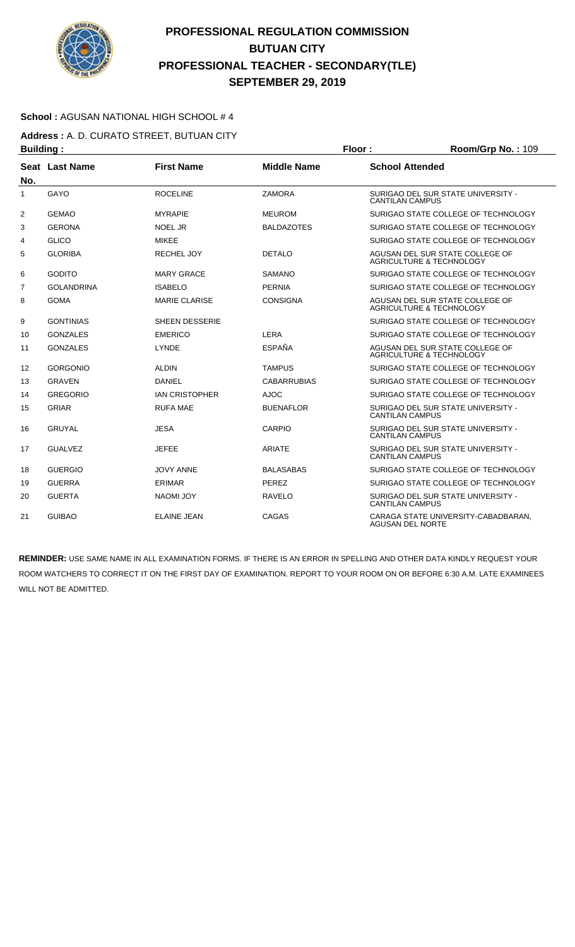

### **School :** AGUSAN NATIONAL HIGH SCHOOL # 4

**Address :** A. D. CURATO STREET, BUTUAN CITY **Building : Floor : Room/Grp No. :** 109

| No.            | Seat Last Name    | <b>First Name</b>     | <b>Middle Name</b> | <b>School Attended</b>                                         |
|----------------|-------------------|-----------------------|--------------------|----------------------------------------------------------------|
| 1              | GAYO              | <b>ROCELINE</b>       | <b>ZAMORA</b>      | SURIGAO DEL SUR STATE UNIVERSITY -<br><b>CANTILAN CAMPUS</b>   |
| $\overline{2}$ | <b>GEMAO</b>      | <b>MYRAPIE</b>        | <b>MEUROM</b>      | SURIGAO STATE COLLEGE OF TECHNOLOGY                            |
| 3              | <b>GERONA</b>     | <b>NOEL JR</b>        | <b>BALDAZOTES</b>  | SURIGAO STATE COLLEGE OF TECHNOLOGY                            |
| 4              | <b>GLICO</b>      | <b>MIKEE</b>          |                    | SURIGAO STATE COLLEGE OF TECHNOLOGY                            |
| 5              | <b>GLORIBA</b>    | <b>RECHEL JOY</b>     | <b>DETALO</b>      | AGUSAN DEL SUR STATE COLLEGE OF<br>AGRICULTURE & TECHNOLOGY    |
| 6              | <b>GODITO</b>     | <b>MARY GRACE</b>     | <b>SAMANO</b>      | SURIGAO STATE COLLEGE OF TECHNOLOGY                            |
| $\overline{7}$ | <b>GOLANDRINA</b> | <b>ISABELO</b>        | <b>PERNIA</b>      | SURIGAO STATE COLLEGE OF TECHNOLOGY                            |
| 8              | <b>GOMA</b>       | <b>MARIE CLARISE</b>  | <b>CONSIGNA</b>    | AGUSAN DEL SUR STATE COLLEGE OF<br>AGRICULTURE & TECHNOLOGY    |
| 9              | <b>GONTINIAS</b>  | <b>SHEEN DESSERIE</b> |                    | SURIGAO STATE COLLEGE OF TECHNOLOGY                            |
| 10             | <b>GONZALES</b>   | <b>EMERICO</b>        | LERA               | SURIGAO STATE COLLEGE OF TECHNOLOGY                            |
| 11             | <b>GONZALES</b>   | LYNDE                 | <b>ESPAÑA</b>      | AGUSAN DEL SUR STATE COLLEGE OF<br>AGRICULTURE & TECHNOLOGY    |
| 12             | <b>GORGONIO</b>   | <b>ALDIN</b>          | <b>TAMPUS</b>      | SURIGAO STATE COLLEGE OF TECHNOLOGY                            |
| 13             | <b>GRAVEN</b>     | <b>DANIEL</b>         | <b>CABARRUBIAS</b> | SURIGAO STATE COLLEGE OF TECHNOLOGY                            |
| 14             | <b>GREGORIO</b>   | <b>IAN CRISTOPHER</b> | <b>AJOC</b>        | SURIGAO STATE COLLEGE OF TECHNOLOGY                            |
| 15             | <b>GRIAR</b>      | <b>RUFA MAE</b>       | <b>BUENAFLOR</b>   | SURIGAO DEL SUR STATE UNIVERSITY -<br><b>CANTILAN CAMPUS</b>   |
| 16             | <b>GRUYAL</b>     | <b>JESA</b>           | CARPIO             | SURIGAO DEL SUR STATE UNIVERSITY -<br><b>CANTILAN CAMPUS</b>   |
| 17             | <b>GUALVEZ</b>    | <b>JEFEE</b>          | <b>ARIATE</b>      | SURIGAO DEL SUR STATE UNIVERSITY -<br><b>CANTILAN CAMPUS</b>   |
| 18             | <b>GUERGIO</b>    | <b>JOVY ANNE</b>      | <b>BALASABAS</b>   | SURIGAO STATE COLLEGE OF TECHNOLOGY                            |
| 19             | <b>GUERRA</b>     | <b>ERIMAR</b>         | <b>PEREZ</b>       | SURIGAO STATE COLLEGE OF TECHNOLOGY                            |
| 20             | <b>GUERTA</b>     | <b>NAOMI JOY</b>      | <b>RAVELO</b>      | SURIGAO DEL SUR STATE UNIVERSITY -<br><b>CANTILAN CAMPUS</b>   |
| 21             | <b>GUIBAO</b>     | <b>ELAINE JEAN</b>    | CAGAS              | CARAGA STATE UNIVERSITY-CABADBARAN.<br><b>AGUSAN DEL NORTE</b> |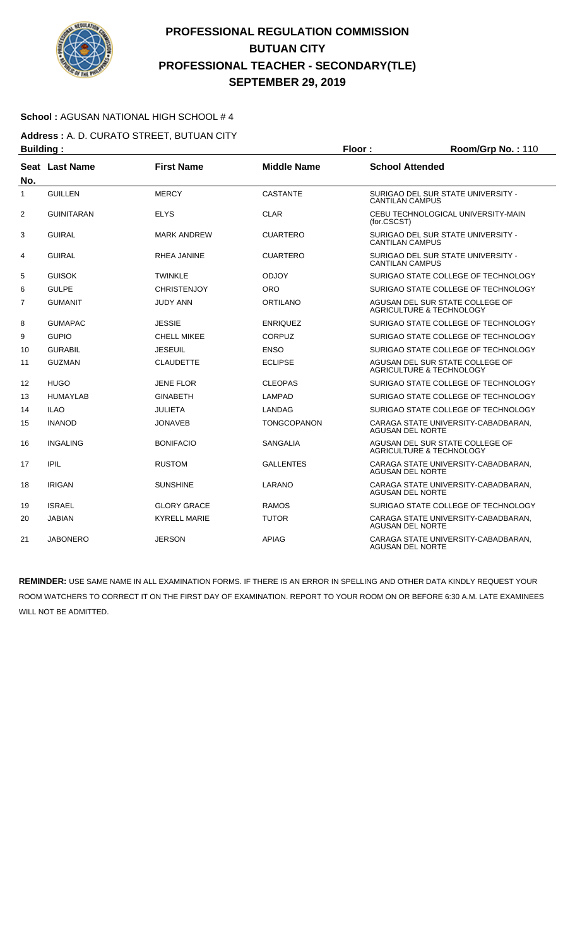

### **School :** AGUSAN NATIONAL HIGH SCHOOL # 4

**Address :** A. D. CURATO STREET, BUTUAN CITY **Building : Floor : Floor : Room/Grp No. : 110** 

| No.            | Seat Last Name    | <b>First Name</b>   | <b>Middle Name</b> | <b>School Attended</b>                                                 |  |
|----------------|-------------------|---------------------|--------------------|------------------------------------------------------------------------|--|
| $\mathbf{1}$   | <b>GUILLEN</b>    | <b>MERCY</b>        | <b>CASTANTE</b>    | SURIGAO DEL SUR STATE UNIVERSITY -<br><b>CANTILAN CAMPUS</b>           |  |
| $\overline{2}$ | <b>GUINITARAN</b> | <b>ELYS</b>         | <b>CLAR</b>        | CEBU TECHNOLOGICAL UNIVERSITY-MAIN<br>(for.CSCST)                      |  |
| 3              | <b>GUIRAL</b>     | <b>MARK ANDREW</b>  | <b>CUARTERO</b>    | SURIGAO DEL SUR STATE UNIVERSITY -<br><b>CANTILAN CAMPUS</b>           |  |
| 4              | <b>GUIRAL</b>     | RHEA JANINE         | <b>CUARTERO</b>    | SURIGAO DEL SUR STATE UNIVERSITY -<br><b>CANTILAN CAMPUS</b>           |  |
| 5              | <b>GUISOK</b>     | TWINKLE             | <b>ODJOY</b>       | SURIGAO STATE COLLEGE OF TECHNOLOGY                                    |  |
| 6              | <b>GULPE</b>      | <b>CHRISTENJOY</b>  | <b>ORO</b>         | SURIGAO STATE COLLEGE OF TECHNOLOGY                                    |  |
| $\overline{7}$ | <b>GUMANIT</b>    | <b>JUDY ANN</b>     | ORTILANO           | AGUSAN DEL SUR STATE COLLEGE OF<br>AGRICULTURE & TECHNOLOGY            |  |
| 8              | <b>GUMAPAC</b>    | <b>JESSIE</b>       | <b>ENRIQUEZ</b>    | SURIGAO STATE COLLEGE OF TECHNOLOGY                                    |  |
| 9              | <b>GUPIO</b>      | CHELL MIKEE         | <b>CORPUZ</b>      | SURIGAO STATE COLLEGE OF TECHNOLOGY                                    |  |
| 10             | <b>GURABIL</b>    | <b>JESEUIL</b>      | <b>ENSO</b>        | SURIGAO STATE COLLEGE OF TECHNOLOGY                                    |  |
| 11             | <b>GUZMAN</b>     | <b>CLAUDETTE</b>    | <b>ECLIPSE</b>     | AGUSAN DEL SUR STATE COLLEGE OF<br>AGRICULTURE & TECHNOLOGY            |  |
| 12             | <b>HUGO</b>       | <b>JENE FLOR</b>    | <b>CLEOPAS</b>     | SURIGAO STATE COLLEGE OF TECHNOLOGY                                    |  |
| 13             | <b>HUMAYLAB</b>   | <b>GINABETH</b>     | LAMPAD             | SURIGAO STATE COLLEGE OF TECHNOLOGY                                    |  |
| 14             | <b>ILAO</b>       | JULIETA             | LANDAG             | SURIGAO STATE COLLEGE OF TECHNOLOGY                                    |  |
| 15             | <b>INANOD</b>     | <b>JONAVEB</b>      | TONGCOPANON        | CARAGA STATE UNIVERSITY-CABADBARAN,<br><b>AGUSAN DEL NORTE</b>         |  |
| 16             | <b>INGALING</b>   | <b>BONIFACIO</b>    | <b>SANGALIA</b>    | AGUSAN DEL SUR STATE COLLEGE OF<br><b>AGRICULTURE &amp; TECHNOLOGY</b> |  |
| 17             | <b>IPIL</b>       | <b>RUSTOM</b>       | <b>GALLENTES</b>   | CARAGA STATE UNIVERSITY-CABADBARAN,<br>AGUSAN DEL NORTE                |  |
| 18             | <b>IRIGAN</b>     | <b>SUNSHINE</b>     | LARANO             | CARAGA STATE UNIVERSITY-CABADBARAN,<br><b>AGUSAN DEL NORTE</b>         |  |
| 19             | <b>ISRAEL</b>     | <b>GLORY GRACE</b>  | <b>RAMOS</b>       | SURIGAO STATE COLLEGE OF TECHNOLOGY                                    |  |
| 20             | <b>JABIAN</b>     | <b>KYRELL MARIE</b> | <b>TUTOR</b>       | CARAGA STATE UNIVERSITY-CABADBARAN.<br><b>AGUSAN DEL NORTE</b>         |  |
| 21             | <b>JABONERO</b>   | <b>JERSON</b>       | <b>APIAG</b>       | CARAGA STATE UNIVERSITY-CABADBARAN.<br><b>AGUSAN DEL NORTE</b>         |  |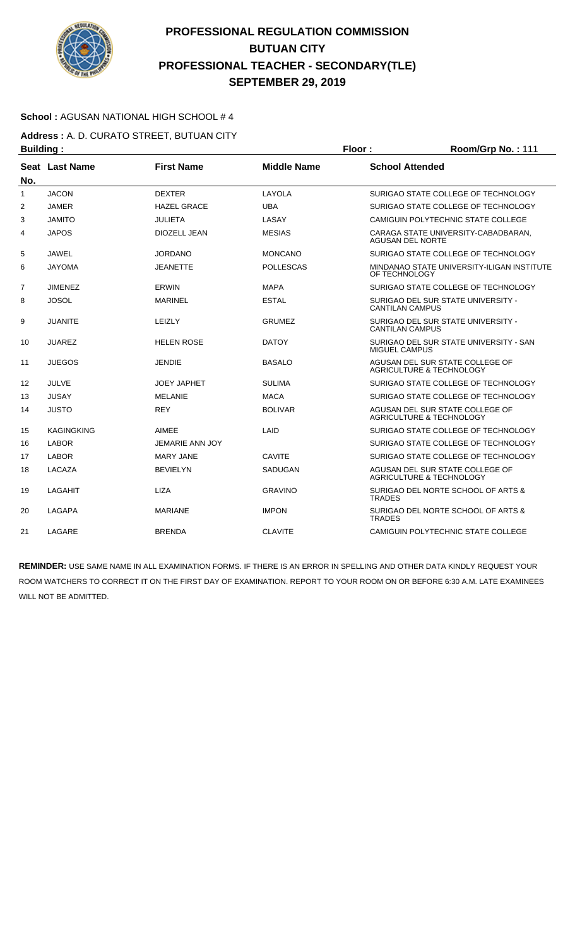

### **School :** AGUSAN NATIONAL HIGH SCHOOL # 4

**Address :** A. D. CURATO STREET, BUTUAN CITY **Building : Floor : Room/Grp No. :** 111

|                | sananig i         |                    |                    |                                                                        |
|----------------|-------------------|--------------------|--------------------|------------------------------------------------------------------------|
| No.            | Seat Last Name    | <b>First Name</b>  | <b>Middle Name</b> | <b>School Attended</b>                                                 |
| $\mathbf{1}$   | <b>JACON</b>      | <b>DEXTER</b>      | LAYOLA             | SURIGAO STATE COLLEGE OF TECHNOLOGY                                    |
| 2              | <b>JAMER</b>      | <b>HAZEL GRACE</b> | <b>UBA</b>         | SURIGAO STATE COLLEGE OF TECHNOLOGY                                    |
| 3              | <b>JAMITO</b>     | JULIETA            | LASAY              | CAMIGUIN POLYTECHNIC STATE COLLEGE                                     |
| 4              | <b>JAPOS</b>      | DIOZELL JEAN       | <b>MESIAS</b>      | CARAGA STATE UNIVERSITY-CABADBARAN,<br><b>AGUSAN DEL NORTE</b>         |
| 5              | JAWEL             | JORDANO            | <b>MONCANO</b>     | SURIGAO STATE COLLEGE OF TECHNOLOGY                                    |
| 6              | <b>JAYOMA</b>     | <b>JEANETTE</b>    | <b>POLLESCAS</b>   | MINDANAO STATE UNIVERSITY-ILIGAN INSTITUTE<br>OF TECHNOLOGY            |
| $\overline{7}$ | <b>JIMENEZ</b>    | <b>ERWIN</b>       | <b>MAPA</b>        | SURIGAO STATE COLLEGE OF TECHNOLOGY                                    |
| 8              | <b>JOSOL</b>      | <b>MARINEL</b>     | <b>ESTAL</b>       | SURIGAO DEL SUR STATE UNIVERSITY -<br><b>CANTILAN CAMPUS</b>           |
| 9              | <b>JUANITE</b>    | LEIZLY             | <b>GRUMEZ</b>      | SURIGAO DEL SUR STATE UNIVERSITY -<br><b>CANTILAN CAMPUS</b>           |
| 10             | <b>JUAREZ</b>     | <b>HELEN ROSE</b>  | <b>DATOY</b>       | SURIGAO DEL SUR STATE UNIVERSITY - SAN<br><b>MIGUEL CAMPUS</b>         |
| 11             | <b>JUEGOS</b>     | <b>JENDIE</b>      | <b>BASALO</b>      | AGUSAN DEL SUR STATE COLLEGE OF<br><b>AGRICULTURE &amp; TECHNOLOGY</b> |
| 12             | <b>JULVE</b>      | <b>JOEY JAPHET</b> | <b>SULIMA</b>      | SURIGAO STATE COLLEGE OF TECHNOLOGY                                    |
| 13             | <b>JUSAY</b>      | <b>MELANIE</b>     | <b>MACA</b>        | SURIGAO STATE COLLEGE OF TECHNOLOGY                                    |
| 14             | <b>JUSTO</b>      | <b>REY</b>         | <b>BOLIVAR</b>     | AGUSAN DEL SUR STATE COLLEGE OF<br>AGRICULTURE & TECHNOLOGY            |
| 15             | <b>KAGINGKING</b> | AIMEE              | LAID               | SURIGAO STATE COLLEGE OF TECHNOLOGY                                    |
| 16             | <b>LABOR</b>      | JEMARIE ANN JOY    |                    | SURIGAO STATE COLLEGE OF TECHNOLOGY                                    |
| 17             | <b>LABOR</b>      | <b>MARY JANE</b>   | <b>CAVITE</b>      | SURIGAO STATE COLLEGE OF TECHNOLOGY                                    |
| 18             | LACAZA            | <b>BEVIELYN</b>    | SADUGAN            | AGUSAN DEL SUR STATE COLLEGE OF<br>AGRICULTURE & TECHNOLOGY            |
| 19             | LAGAHIT           | <b>LIZA</b>        | <b>GRAVINO</b>     | SURIGAO DEL NORTE SCHOOL OF ARTS &<br><b>TRADES</b>                    |
| 20             | <b>LAGAPA</b>     | <b>MARIANE</b>     | <b>IMPON</b>       | SURIGAO DEL NORTE SCHOOL OF ARTS &<br><b>TRADES</b>                    |
| 21             | LAGARE            | <b>BRENDA</b>      | <b>CLAVITE</b>     | CAMIGUIN POLYTECHNIC STATE COLLEGE                                     |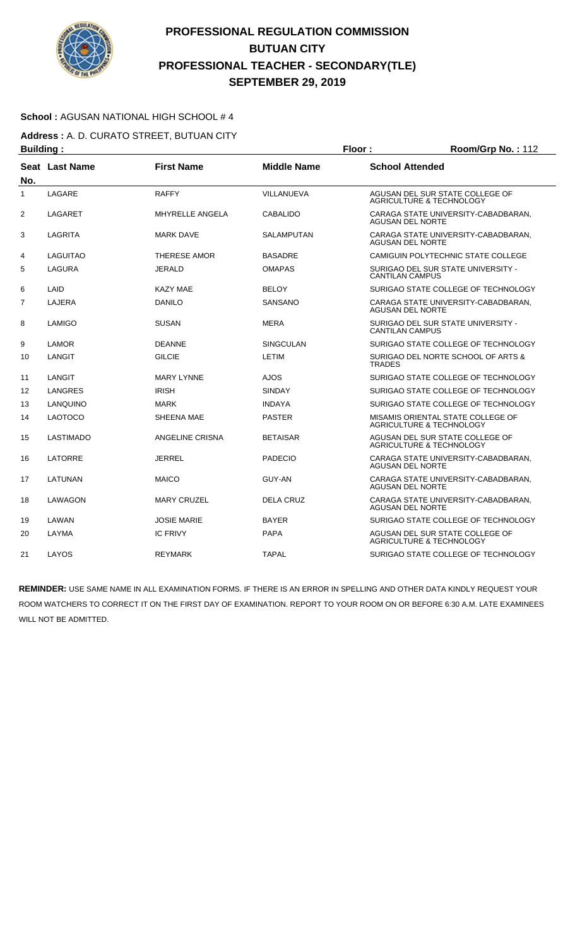

### **School :** AGUSAN NATIONAL HIGH SCHOOL # 4

**Address :** A. D. CURATO STREET, BUTUAN CITY **Building : Floor : Floor : Room/Grp No. : 112** 

|     | sananiyi              |                        |                    |                                                                        |
|-----|-----------------------|------------------------|--------------------|------------------------------------------------------------------------|
| No. | <b>Seat Last Name</b> | <b>First Name</b>      | <b>Middle Name</b> | <b>School Attended</b>                                                 |
| 1   | LAGARE                | <b>RAFFY</b>           | VILLANUEVA         | AGUSAN DEL SUR STATE COLLEGE OF<br><b>AGRICULTURE &amp; TECHNOLOGY</b> |
| 2   | <b>LAGARET</b>        | <b>MHYRELLE ANGELA</b> | <b>CABALIDO</b>    | CARAGA STATE UNIVERSITY-CABADBARAN,<br>AGUSAN DEL NORTE                |
| 3   | LAGRITA               | <b>MARK DAVE</b>       | SALAMPUTAN         | CARAGA STATE UNIVERSITY-CABADBARAN,<br>AGUSAN DEL NORTE                |
| 4   | LAGUITAO              | <b>THERESE AMOR</b>    | <b>BASADRE</b>     | CAMIGUIN POLYTECHNIC STATE COLLEGE                                     |
| 5   | <b>LAGURA</b>         | JERALD                 | <b>OMAPAS</b>      | SURIGAO DEL SUR STATE UNIVERSITY -<br><b>CANTILAN CAMPUS</b>           |
| 6   | LAID                  | <b>KAZY MAE</b>        | <b>BELOY</b>       | SURIGAO STATE COLLEGE OF TECHNOLOGY                                    |
| 7   | LAJERA                | <b>DANILO</b>          | <b>SANSANO</b>     | CARAGA STATE UNIVERSITY-CABADBARAN,<br>AGUSAN DEL NORTE                |
| 8   | LAMIGO                | <b>SUSAN</b>           | <b>MERA</b>        | SURIGAO DEL SUR STATE UNIVERSITY -<br><b>CANTILAN CAMPUS</b>           |
| 9   | LAMOR                 | <b>DEANNE</b>          | <b>SINGCULAN</b>   | SURIGAO STATE COLLEGE OF TECHNOLOGY                                    |
| 10  | LANGIT                | <b>GILCIE</b>          | <b>LETIM</b>       | SURIGAO DEL NORTE SCHOOL OF ARTS &<br>TRADES                           |
| 11  | LANGIT                | <b>MARY LYNNE</b>      | <b>AJOS</b>        | SURIGAO STATE COLLEGE OF TECHNOLOGY                                    |
| 12  | LANGRES               | <b>IRISH</b>           | <b>SINDAY</b>      | SURIGAO STATE COLLEGE OF TECHNOLOGY                                    |
| 13  | LANQUINO              | <b>MARK</b>            | <b>INDAYA</b>      | SURIGAO STATE COLLEGE OF TECHNOLOGY                                    |
| 14  | <b>LAOTOCO</b>        | SHEENA MAE             | <b>PASTER</b>      | MISAMIS ORIENTAL STATE COLLEGE OF<br>AGRICULTURE & TECHNOLOGY          |
| 15  | <b>LASTIMADO</b>      | ANGELINE CRISNA        | <b>BETAISAR</b>    | AGUSAN DEL SUR STATE COLLEGE OF<br><b>AGRICULTURE &amp; TECHNOLOGY</b> |
| 16  | LATORRE               | <b>JERREL</b>          | <b>PADECIO</b>     | CARAGA STATE UNIVERSITY-CABADBARAN,<br><b>AGUSAN DEL NORTE</b>         |
| 17  | LATUNAN               | <b>MAICO</b>           | <b>GUY-AN</b>      | CARAGA STATE UNIVERSITY-CABADBARAN.<br><b>AGUSAN DEL NORTE</b>         |
| 18  | LAWAGON               | <b>MARY CRUZEL</b>     | <b>DELA CRUZ</b>   | CARAGA STATE UNIVERSITY-CABADBARAN,<br><b>AGUSAN DEL NORTE</b>         |
| 19  | LAWAN                 | <b>JOSIE MARIE</b>     | <b>BAYER</b>       | SURIGAO STATE COLLEGE OF TECHNOLOGY                                    |
| 20  | LAYMA                 | <b>IC FRIVY</b>        | <b>PAPA</b>        | AGUSAN DEL SUR STATE COLLEGE OF<br>AGRICULTURE & TECHNOLOGY            |
| 21  | LAYOS                 | <b>REYMARK</b>         | <b>TAPAL</b>       | SURIGAO STATE COLLEGE OF TECHNOLOGY                                    |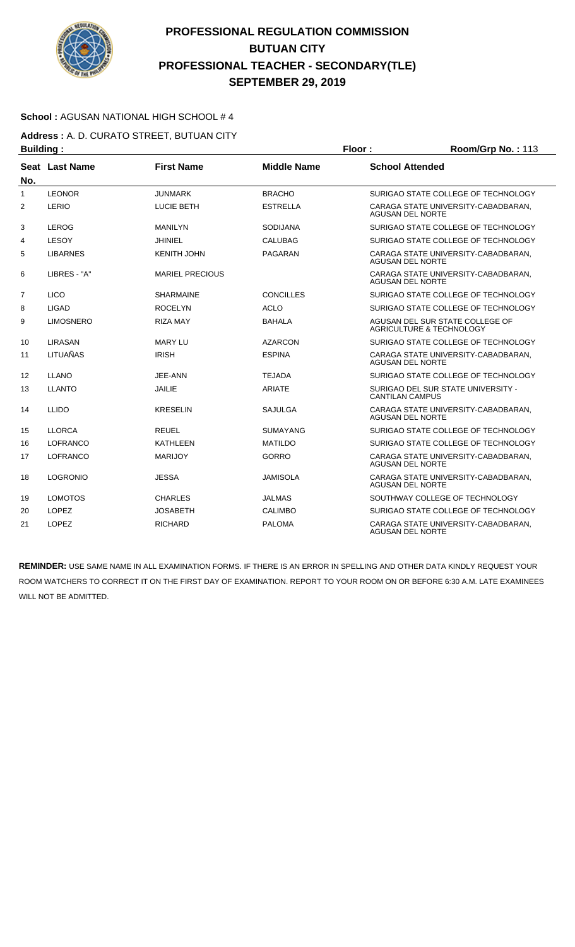

### **School :** AGUSAN NATIONAL HIGH SCHOOL # 4

**Address :** A. D. CURATO STREET, BUTUAN CITY **Building : Floor : Floor : Room/Grp No. : 113** 

| No.          | Seat Last Name   | <b>First Name</b>      | <b>Middle Name</b> | <b>School Attended</b>                                         |
|--------------|------------------|------------------------|--------------------|----------------------------------------------------------------|
| $\mathbf{1}$ | <b>LEONOR</b>    | <b>JUNMARK</b>         | <b>BRACHO</b>      | SURIGAO STATE COLLEGE OF TECHNOLOGY                            |
| 2            | LERIO            | LUCIE BETH             | <b>ESTRELLA</b>    | CARAGA STATE UNIVERSITY-CABADBARAN,<br><b>AGUSAN DEL NORTE</b> |
| 3            | <b>LEROG</b>     | <b>MANILYN</b>         | <b>SODIJANA</b>    | SURIGAO STATE COLLEGE OF TECHNOLOGY                            |
| 4            | LESOY            | JHINIEL                | CALUBAG            | SURIGAO STATE COLLEGE OF TECHNOLOGY                            |
| 5            | <b>LIBARNES</b>  | <b>KENITH JOHN</b>     | <b>PAGARAN</b>     | CARAGA STATE UNIVERSITY-CABADBARAN,<br><b>AGUSAN DEL NORTE</b> |
| 6            | LIBRES - "A"     | <b>MARIEL PRECIOUS</b> |                    | CARAGA STATE UNIVERSITY-CABADBARAN,<br><b>AGUSAN DEL NORTE</b> |
| 7            | <b>LICO</b>      | <b>SHARMAINE</b>       | <b>CONCILLES</b>   | SURIGAO STATE COLLEGE OF TECHNOLOGY                            |
| 8            | LIGAD            | <b>ROCELYN</b>         | <b>ACLO</b>        | SURIGAO STATE COLLEGE OF TECHNOLOGY                            |
| 9            | <b>LIMOSNERO</b> | <b>RIZA MAY</b>        | <b>BAHALA</b>      | AGUSAN DEL SUR STATE COLLEGE OF<br>AGRICULTURE & TECHNOLOGY    |
| 10           | LIRASAN          | <b>MARY LU</b>         | <b>AZARCON</b>     | SURIGAO STATE COLLEGE OF TECHNOLOGY                            |
| 11           | LITUAÑAS         | <b>IRISH</b>           | <b>ESPINA</b>      | CARAGA STATE UNIVERSITY-CABADBARAN,<br><b>AGUSAN DEL NORTE</b> |
| 12           | <b>LLANO</b>     | JEE-ANN                | <b>TEJADA</b>      | SURIGAO STATE COLLEGE OF TECHNOLOGY                            |
| 13           | <b>LLANTO</b>    | JAILIE                 | <b>ARIATE</b>      | SURIGAO DEL SUR STATE UNIVERSITY -<br><b>CANTILAN CAMPUS</b>   |
| 14           | <b>LLIDO</b>     | <b>KRESELIN</b>        | <b>SAJULGA</b>     | CARAGA STATE UNIVERSITY-CABADBARAN.<br><b>AGUSAN DEL NORTE</b> |
| 15           | <b>LLORCA</b>    | <b>REUEL</b>           | <b>SUMAYANG</b>    | SURIGAO STATE COLLEGE OF TECHNOLOGY                            |
| 16           | <b>LOFRANCO</b>  | <b>KATHLEEN</b>        | <b>MATILDO</b>     | SURIGAO STATE COLLEGE OF TECHNOLOGY                            |
| 17           | <b>LOFRANCO</b>  | <b>MARIJOY</b>         | <b>GORRO</b>       | CARAGA STATE UNIVERSITY-CABADBARAN.<br><b>AGUSAN DEL NORTE</b> |
| 18           | <b>LOGRONIO</b>  | <b>JESSA</b>           | JAMISOLA           | CARAGA STATE UNIVERSITY-CABADBARAN.<br><b>AGUSAN DEL NORTE</b> |
| 19           | <b>LOMOTOS</b>   | <b>CHARLES</b>         | <b>JALMAS</b>      | SOUTHWAY COLLEGE OF TECHNOLOGY                                 |
| 20           | <b>LOPEZ</b>     | <b>JOSABETH</b>        | <b>CALIMBO</b>     | SURIGAO STATE COLLEGE OF TECHNOLOGY                            |
| 21           | <b>LOPEZ</b>     | <b>RICHARD</b>         | <b>PALOMA</b>      | CARAGA STATE UNIVERSITY-CABADBARAN,<br><b>AGUSAN DEL NORTE</b> |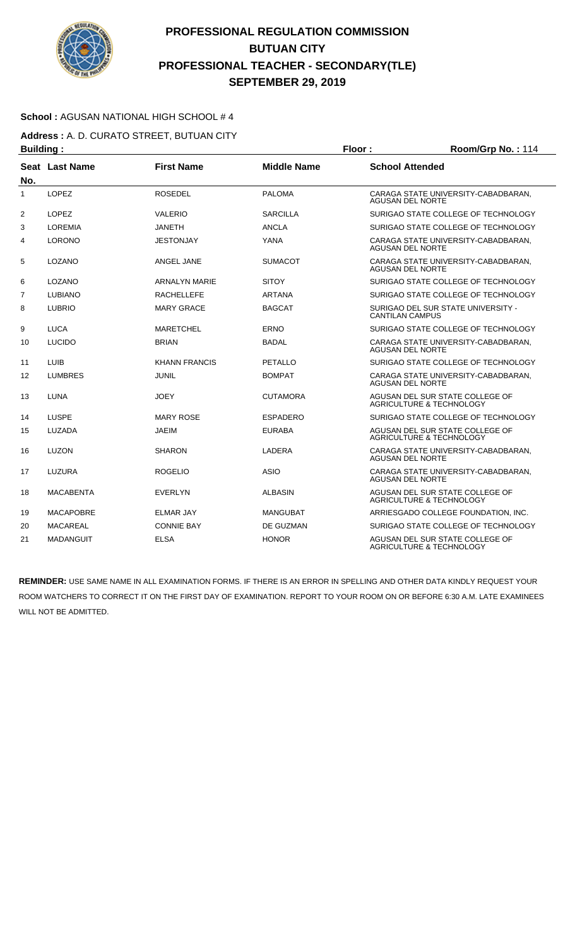

### **School :** AGUSAN NATIONAL HIGH SCHOOL # 4

**Address :** A. D. CURATO STREET, BUTUAN CITY **Building : Floor : Room/Grp No. :** 114

| . <u>.</u>     |                  |                      |                    |                                                                        |
|----------------|------------------|----------------------|--------------------|------------------------------------------------------------------------|
| No.            | Seat Last Name   | <b>First Name</b>    | <b>Middle Name</b> | <b>School Attended</b>                                                 |
| 1              | <b>LOPEZ</b>     | <b>ROSEDEL</b>       | <b>PALOMA</b>      | CARAGA STATE UNIVERSITY-CABADBARAN,<br><b>AGUSAN DEL NORTE</b>         |
| $\overline{2}$ | LOPEZ            | VALERIO              | <b>SARCILLA</b>    | SURIGAO STATE COLLEGE OF TECHNOLOGY                                    |
| 3              | <b>LOREMIA</b>   | <b>JANETH</b>        | <b>ANCLA</b>       | SURIGAO STATE COLLEGE OF TECHNOLOGY                                    |
| 4              | <b>LORONO</b>    | <b>JESTONJAY</b>     | <b>YANA</b>        | CARAGA STATE UNIVERSITY-CABADBARAN,<br><b>AGUSAN DEL NORTE</b>         |
| 5              | LOZANO           | ANGEL JANE           | <b>SUMACOT</b>     | CARAGA STATE UNIVERSITY-CABADBARAN,<br><b>AGUSAN DEL NORTE</b>         |
| 6              | LOZANO           | <b>ARNALYN MARIE</b> | <b>SITOY</b>       | SURIGAO STATE COLLEGE OF TECHNOLOGY                                    |
| $\overline{7}$ | <b>LUBIANO</b>   | <b>RACHELLEFE</b>    | <b>ARTANA</b>      | SURIGAO STATE COLLEGE OF TECHNOLOGY                                    |
| 8              | <b>LUBRIO</b>    | <b>MARY GRACE</b>    | <b>BAGCAT</b>      | SURIGAO DEL SUR STATE UNIVERSITY -<br><b>CANTILAN CAMPUS</b>           |
| 9              | <b>LUCA</b>      | <b>MARETCHEL</b>     | ERNO               | SURIGAO STATE COLLEGE OF TECHNOLOGY                                    |
| 10             | <b>LUCIDO</b>    | <b>BRIAN</b>         | <b>BADAL</b>       | CARAGA STATE UNIVERSITY-CABADBARAN,<br><b>AGUSAN DEL NORTE</b>         |
| 11             | <b>LUIB</b>      | <b>KHANN FRANCIS</b> | <b>PETALLO</b>     | SURIGAO STATE COLLEGE OF TECHNOLOGY                                    |
| 12             | <b>LUMBRES</b>   | <b>JUNIL</b>         | <b>BOMPAT</b>      | CARAGA STATE UNIVERSITY-CABADBARAN,<br><b>AGUSAN DEL NORTE</b>         |
| 13             | <b>LUNA</b>      | <b>JOEY</b>          | <b>CUTAMORA</b>    | AGUSAN DEL SUR STATE COLLEGE OF<br>AGRICULTURE & TECHNOLOGY            |
| 14             | LUSPE            | <b>MARY ROSE</b>     | <b>ESPADERO</b>    | SURIGAO STATE COLLEGE OF TECHNOLOGY                                    |
| 15             | LUZADA           | <b>JAEIM</b>         | <b>EURABA</b>      | AGUSAN DEL SUR STATE COLLEGE OF<br>AGRICULTURE & TECHNOLOGY            |
| 16             | LUZON            | <b>SHARON</b>        | LADERA             | CARAGA STATE UNIVERSITY-CABADBARAN,<br><b>AGUSAN DEL NORTE</b>         |
| 17             | LUZURA           | <b>ROGELIO</b>       | <b>ASIO</b>        | CARAGA STATE UNIVERSITY-CABADBARAN,<br><b>AGUSAN DEL NORTE</b>         |
| 18             | <b>MACABENTA</b> | <b>EVERLYN</b>       | <b>ALBASIN</b>     | AGUSAN DEL SUR STATE COLLEGE OF<br><b>AGRICULTURE &amp; TECHNOLOGY</b> |
| 19             | <b>MACAPOBRE</b> | <b>ELMAR JAY</b>     | MANGUBAT           | ARRIESGADO COLLEGE FOUNDATION, INC.                                    |
| 20             | <b>MACAREAL</b>  | <b>CONNIE BAY</b>    | DE GUZMAN          | SURIGAO STATE COLLEGE OF TECHNOLOGY                                    |
| 21             | <b>MADANGUIT</b> | <b>ELSA</b>          | <b>HONOR</b>       | AGUSAN DEL SUR STATE COLLEGE OF<br><b>AGRICULTURE &amp; TECHNOLOGY</b> |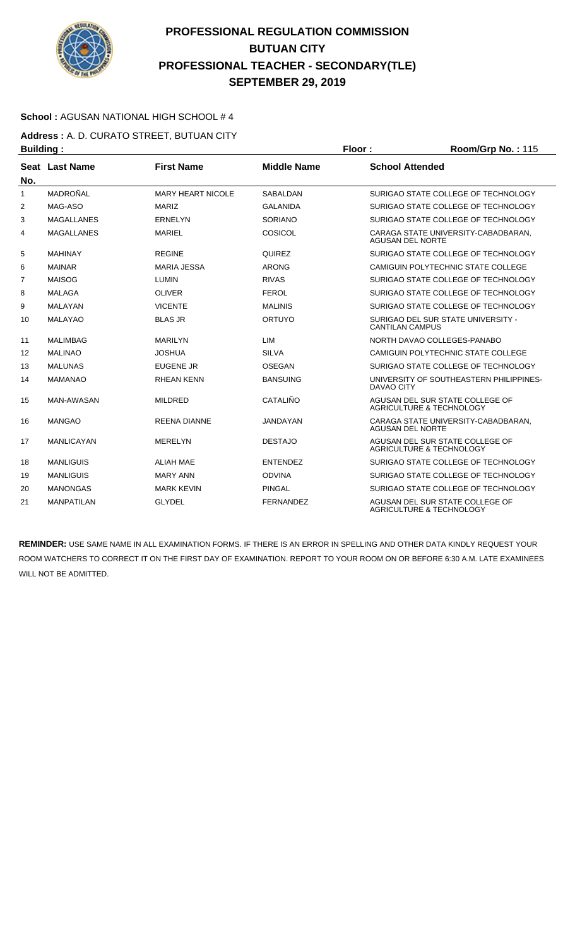

### **School :** AGUSAN NATIONAL HIGH SCHOOL # 4

**Address :** A. D. CURATO STREET, BUTUAN CITY **Building : Floor : Room/Grp No. : 115** 

| No.            | <b>Seat Last Name</b> | <b>First Name</b>        | <b>Middle Name</b> | <b>School Attended</b>                                         |
|----------------|-----------------------|--------------------------|--------------------|----------------------------------------------------------------|
| 1              | MADROÑAL              | <b>MARY HEART NICOLE</b> | SABALDAN           | SURIGAO STATE COLLEGE OF TECHNOLOGY                            |
| 2              | MAG-ASO               | <b>MARIZ</b>             | <b>GALANIDA</b>    | SURIGAO STATE COLLEGE OF TECHNOLOGY                            |
| 3              | <b>MAGALLANES</b>     | <b>ERNELYN</b>           | <b>SORIANO</b>     | SURIGAO STATE COLLEGE OF TECHNOLOGY                            |
| 4              | <b>MAGALLANES</b>     | <b>MARIEL</b>            | COSICOL            | CARAGA STATE UNIVERSITY-CABADBARAN.<br><b>AGUSAN DEL NORTE</b> |
| 5              | <b>MAHINAY</b>        | <b>REGINE</b>            | <b>QUIREZ</b>      | SURIGAO STATE COLLEGE OF TECHNOLOGY                            |
| 6              | <b>MAINAR</b>         | <b>MARIA JESSA</b>       | <b>ARONG</b>       | CAMIGUIN POLYTECHNIC STATE COLLEGE                             |
| $\overline{7}$ | <b>MAISOG</b>         | <b>LUMIN</b>             | <b>RIVAS</b>       | SURIGAO STATE COLLEGE OF TECHNOLOGY                            |
| 8              | <b>MALAGA</b>         | <b>OLIVER</b>            | <b>FEROL</b>       | SURIGAO STATE COLLEGE OF TECHNOLOGY                            |
| 9              | <b>MALAYAN</b>        | <b>VICENTE</b>           | <b>MALINIS</b>     | SURIGAO STATE COLLEGE OF TECHNOLOGY                            |
| 10             | <b>MALAYAO</b>        | <b>BLAS JR</b>           | ORTUYO             | SURIGAO DEL SUR STATE UNIVERSITY -<br><b>CANTILAN CAMPUS</b>   |
| 11             | <b>MALIMBAG</b>       | <b>MARILYN</b>           | <b>LIM</b>         | NORTH DAVAO COLLEGES-PANABO                                    |
| 12             | <b>MALINAO</b>        | <b>JOSHUA</b>            | <b>SILVA</b>       | CAMIGUIN POLYTECHNIC STATE COLLEGE                             |
| 13             | <b>MALUNAS</b>        | <b>EUGENE JR</b>         | <b>OSEGAN</b>      | SURIGAO STATE COLLEGE OF TECHNOLOGY                            |
| 14             | <b>MAMANAO</b>        | <b>RHEAN KENN</b>        | <b>BANSUING</b>    | UNIVERSITY OF SOUTHEASTERN PHILIPPINES-<br><b>DAVAO CITY</b>   |
| 15             | <b>MAN-AWASAN</b>     | <b>MILDRED</b>           | CATALIÑO           | AGUSAN DEL SUR STATE COLLEGE OF<br>AGRICULTURE & TECHNOLOGY    |
| 16             | <b>MANGAO</b>         | <b>REENA DIANNE</b>      | <b>JANDAYAN</b>    | CARAGA STATE UNIVERSITY-CABADBARAN,<br>AGUSAN DEL NORTE        |
| 17             | <b>MANLICAYAN</b>     | <b>MERELYN</b>           | <b>DESTAJO</b>     | AGUSAN DEL SUR STATE COLLEGE OF<br>AGRICULTURE & TECHNOLOGY    |
| 18             | <b>MANLIGUIS</b>      | <b>ALIAH MAE</b>         | <b>ENTENDEZ</b>    | SURIGAO STATE COLLEGE OF TECHNOLOGY                            |
| 19             | <b>MANLIGUIS</b>      | <b>MARY ANN</b>          | <b>ODVINA</b>      | SURIGAO STATE COLLEGE OF TECHNOLOGY                            |
| 20             | <b>MANONGAS</b>       | <b>MARK KEVIN</b>        | <b>PINGAL</b>      | SURIGAO STATE COLLEGE OF TECHNOLOGY                            |
| 21             | <b>MANPATILAN</b>     | <b>GLYDEL</b>            | <b>FERNANDEZ</b>   | AGUSAN DEL SUR STATE COLLEGE OF<br>AGRICULTURE & TECHNOLOGY    |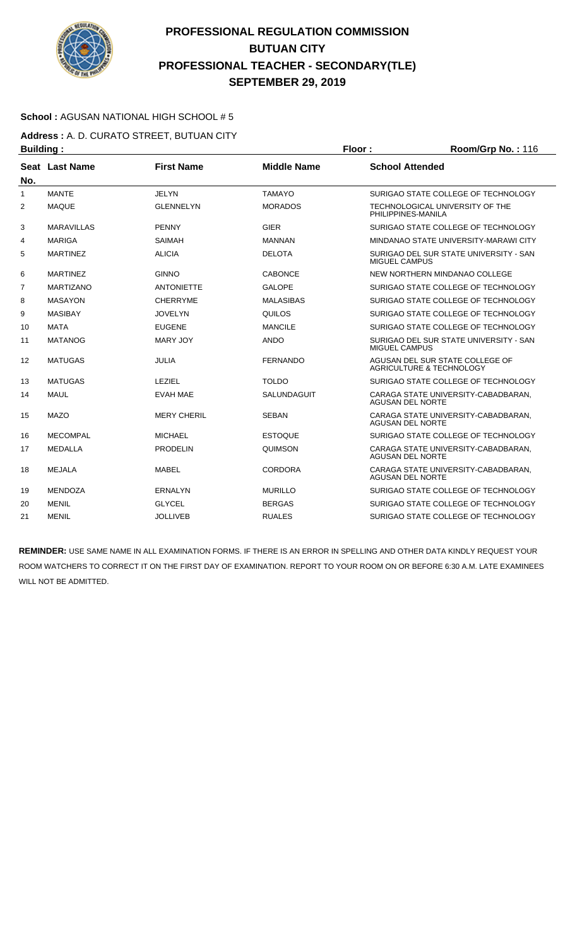

### **School :** AGUSAN NATIONAL HIGH SCHOOL # 5

**Address :** A. D. CURATO STREET, BUTUAN CITY **Building : Floor : Floor : Room/Grp No. : 116** 

| No.            | Seat Last Name    | <b>First Name</b>  | <b>Middle Name</b> | <b>School Attended</b>                                         |
|----------------|-------------------|--------------------|--------------------|----------------------------------------------------------------|
| $\mathbf{1}$   | <b>MANTE</b>      | <b>JELYN</b>       | <b>TAMAYO</b>      | SURIGAO STATE COLLEGE OF TECHNOLOGY                            |
| 2              | <b>MAQUE</b>      | <b>GLENNELYN</b>   | <b>MORADOS</b>     | TECHNOLOGICAL UNIVERSITY OF THE<br>PHILIPPINES-MANILA          |
| 3              | <b>MARAVILLAS</b> | <b>PENNY</b>       | <b>GIER</b>        | SURIGAO STATE COLLEGE OF TECHNOLOGY                            |
| 4              | <b>MARIGA</b>     | <b>SAIMAH</b>      | <b>MANNAN</b>      | MINDANAO STATE UNIVERSITY-MARAWI CITY                          |
| 5              | <b>MARTINEZ</b>   | <b>ALICIA</b>      | <b>DELOTA</b>      | SURIGAO DEL SUR STATE UNIVERSITY - SAN<br>MIGUEL CAMPUS        |
| 6              | <b>MARTINEZ</b>   | <b>GINNO</b>       | <b>CABONCE</b>     | NEW NORTHERN MINDANAO COLLEGE                                  |
| $\overline{7}$ | <b>MARTIZANO</b>  | <b>ANTONIETTE</b>  | <b>GALOPE</b>      | SURIGAO STATE COLLEGE OF TECHNOLOGY                            |
| 8              | <b>MASAYON</b>    | <b>CHERRYME</b>    | <b>MALASIBAS</b>   | SURIGAO STATE COLLEGE OF TECHNOLOGY                            |
| 9              | <b>MASIBAY</b>    | <b>JOVELYN</b>     | QUILOS             | SURIGAO STATE COLLEGE OF TECHNOLOGY                            |
| 10             | <b>MATA</b>       | <b>EUGENE</b>      | <b>MANCILE</b>     | SURIGAO STATE COLLEGE OF TECHNOLOGY                            |
| 11             | <b>MATANOG</b>    | MARY JOY           | <b>ANDO</b>        | SURIGAO DEL SUR STATE UNIVERSITY - SAN<br><b>MIGUEL CAMPUS</b> |
| 12             | <b>MATUGAS</b>    | <b>JULIA</b>       | <b>FERNANDO</b>    | AGUSAN DEL SUR STATE COLLEGE OF<br>AGRICULTURE & TECHNOLOGY    |
| 13             | <b>MATUGAS</b>    | LEZIEL             | <b>TOLDO</b>       | SURIGAO STATE COLLEGE OF TECHNOLOGY                            |
| 14             | <b>MAUL</b>       | <b>EVAH MAE</b>    | SALUNDAGUIT        | CARAGA STATE UNIVERSITY-CABADBARAN.<br><b>AGUSAN DEL NORTE</b> |
| 15             | <b>MAZO</b>       | <b>MERY CHERIL</b> | <b>SEBAN</b>       | CARAGA STATE UNIVERSITY-CABADBARAN.<br><b>AGUSAN DEL NORTE</b> |
| 16             | <b>MECOMPAL</b>   | <b>MICHAEL</b>     | <b>ESTOQUE</b>     | SURIGAO STATE COLLEGE OF TECHNOLOGY                            |
| 17             | <b>MEDALLA</b>    | <b>PRODELIN</b>    | QUIMSON            | CARAGA STATE UNIVERSITY-CABADBARAN.<br><b>AGUSAN DEL NORTE</b> |
| 18             | <b>MEJALA</b>     | <b>MABEL</b>       | CORDORA            | CARAGA STATE UNIVERSITY-CABADBARAN.<br><b>AGUSAN DEL NORTE</b> |
| 19             | <b>MENDOZA</b>    | <b>ERNALYN</b>     | <b>MURILLO</b>     | SURIGAO STATE COLLEGE OF TECHNOLOGY                            |
| 20             | <b>MENIL</b>      | <b>GLYCEL</b>      | <b>BERGAS</b>      | SURIGAO STATE COLLEGE OF TECHNOLOGY                            |
| 21             | <b>MENIL</b>      | <b>JOLLIVEB</b>    | <b>RUALES</b>      | SURIGAO STATE COLLEGE OF TECHNOLOGY                            |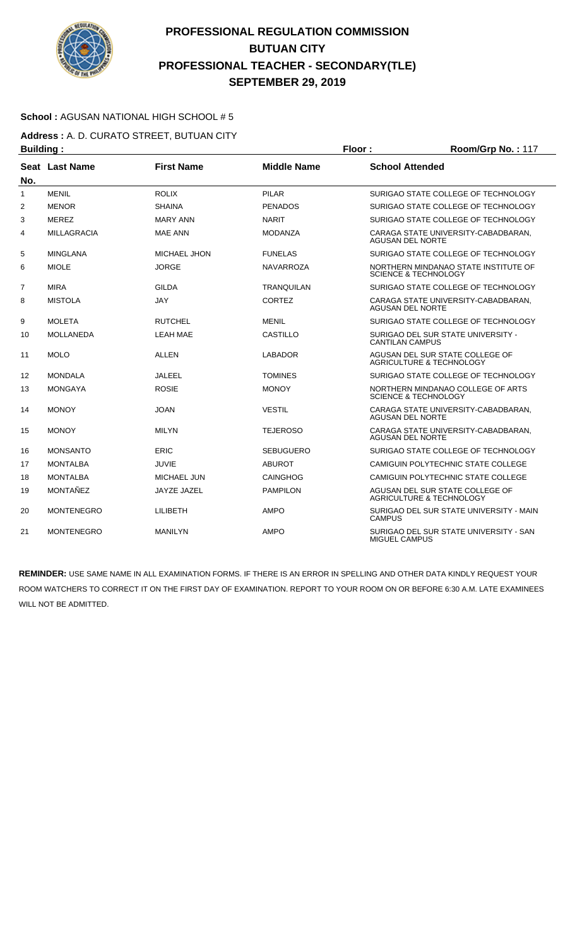

### **School :** AGUSAN NATIONAL HIGH SCHOOL # 5

**Address :** A. D. CURATO STREET, BUTUAN CITY **Building : Floor : Floor : Room/Grp No. : 117** 

| -------        |                    |                   |                    |                                                                         |
|----------------|--------------------|-------------------|--------------------|-------------------------------------------------------------------------|
| No.            | Seat Last Name     | <b>First Name</b> | <b>Middle Name</b> | <b>School Attended</b>                                                  |
| 1              | <b>MENIL</b>       | <b>ROLIX</b>      | <b>PILAR</b>       | SURIGAO STATE COLLEGE OF TECHNOLOGY                                     |
| 2              | <b>MENOR</b>       | <b>SHAINA</b>     | <b>PENADOS</b>     | SURIGAO STATE COLLEGE OF TECHNOLOGY                                     |
| 3              | <b>MEREZ</b>       | <b>MARY ANN</b>   | <b>NARIT</b>       | SURIGAO STATE COLLEGE OF TECHNOLOGY                                     |
| 4              | <b>MILLAGRACIA</b> | <b>MAE ANN</b>    | <b>MODANZA</b>     | CARAGA STATE UNIVERSITY-CABADBARAN.<br><b>AGUSAN DEL NORTE</b>          |
| 5              | <b>MINGLANA</b>    | MICHAEL JHON      | <b>FUNELAS</b>     | SURIGAO STATE COLLEGE OF TECHNOLOGY                                     |
| 6              | <b>MIOLE</b>       | <b>JORGE</b>      | <b>NAVARROZA</b>   | NORTHERN MINDANAO STATE INSTITUTE OF<br><b>SCIENCE &amp; TECHNOLOGY</b> |
| $\overline{7}$ | <b>MIRA</b>        | <b>GILDA</b>      | <b>TRANQUILAN</b>  | SURIGAO STATE COLLEGE OF TECHNOLOGY                                     |
| 8              | <b>MISTOLA</b>     | <b>JAY</b>        | <b>CORTEZ</b>      | CARAGA STATE UNIVERSITY-CABADBARAN,<br><b>AGUSAN DEL NORTE</b>          |
| 9              | <b>MOLETA</b>      | <b>RUTCHEL</b>    | <b>MENIL</b>       | SURIGAO STATE COLLEGE OF TECHNOLOGY                                     |
| 10             | <b>MOLLANEDA</b>   | <b>LEAH MAE</b>   | <b>CASTILLO</b>    | SURIGAO DEL SUR STATE UNIVERSITY -<br><b>CANTILAN CAMPUS</b>            |
| 11             | <b>MOLO</b>        | <b>ALLEN</b>      | <b>LABADOR</b>     | AGUSAN DEL SUR STATE COLLEGE OF<br><b>AGRICULTURE &amp; TECHNOLOGY</b>  |
| 12             | <b>MONDALA</b>     | <b>JALEEL</b>     | <b>TOMINES</b>     | SURIGAO STATE COLLEGE OF TECHNOLOGY                                     |
| 13             | <b>MONGAYA</b>     | <b>ROSIE</b>      | <b>MONOY</b>       | NORTHERN MINDANAO COLLEGE OF ARTS<br><b>SCIENCE &amp; TECHNOLOGY</b>    |
| 14             | <b>MONOY</b>       | <b>JOAN</b>       | <b>VESTIL</b>      | CARAGA STATE UNIVERSITY-CABADBARAN.<br><b>AGUSAN DEL NORTE</b>          |
| 15             | <b>MONOY</b>       | <b>MILYN</b>      | <b>TEJEROSO</b>    | CARAGA STATE UNIVERSITY-CABADBARAN.<br><b>AGUSAN DEL NORTE</b>          |
| 16             | <b>MONSANTO</b>    | ERIC              | <b>SEBUGUERO</b>   | SURIGAO STATE COLLEGE OF TECHNOLOGY                                     |
| 17             | <b>MONTALBA</b>    | JUVIE             | <b>ABUROT</b>      | CAMIGUIN POLYTECHNIC STATE COLLEGE                                      |
| 18             | <b>MONTALBA</b>    | MICHAEL JUN       | <b>CAINGHOG</b>    | CAMIGUIN POLYTECHNIC STATE COLLEGE                                      |
| 19             | MONTAÑEZ           | JAYZE JAZEL       | <b>PAMPILON</b>    | AGUSAN DEL SUR STATE COLLEGE OF<br><b>AGRICULTURE &amp; TECHNOLOGY</b>  |
| 20             | <b>MONTENEGRO</b>  | LILIBETH          | <b>AMPO</b>        | SURIGAO DEL SUR STATE UNIVERSITY - MAIN<br><b>CAMPUS</b>                |
| 21             | <b>MONTENEGRO</b>  | <b>MANILYN</b>    | <b>AMPO</b>        | SURIGAO DEL SUR STATE UNIVERSITY - SAN<br>MIGUEL CAMPUS                 |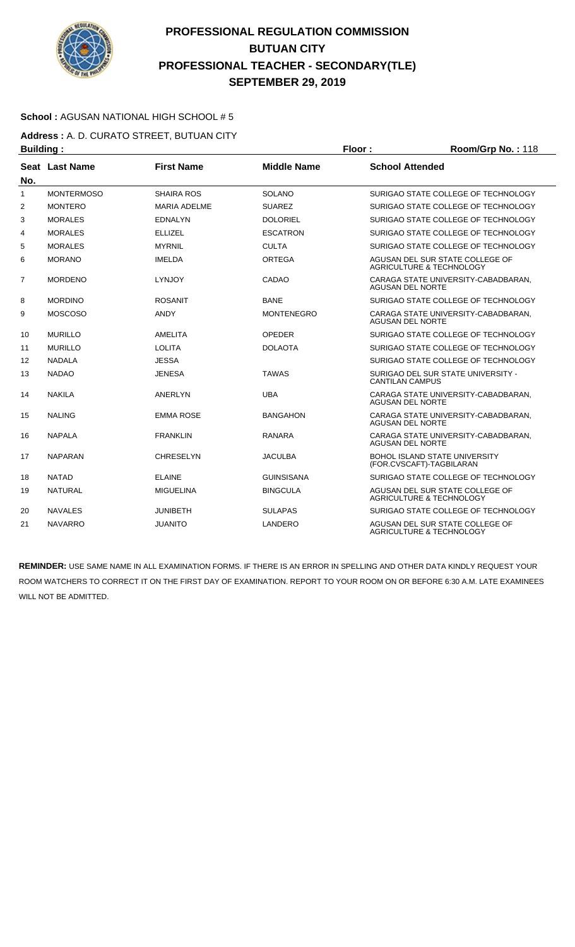

### **School :** AGUSAN NATIONAL HIGH SCHOOL # 5

**Address :** A. D. CURATO STREET, BUTUAN CITY **Building : Floor : Floor : Room/Grp No. : 118** 

| No.            | Seat Last Name    | <b>First Name</b>   | <b>Middle Name</b> | <b>School Attended</b>                                                 |
|----------------|-------------------|---------------------|--------------------|------------------------------------------------------------------------|
| $\mathbf{1}$   | <b>MONTERMOSO</b> | <b>SHAIRA ROS</b>   | <b>SOLANO</b>      | SURIGAO STATE COLLEGE OF TECHNOLOGY                                    |
| $\overline{2}$ | <b>MONTERO</b>    | <b>MARIA ADELME</b> | <b>SUAREZ</b>      | SURIGAO STATE COLLEGE OF TECHNOLOGY                                    |
| 3              | <b>MORALES</b>    | <b>EDNALYN</b>      | <b>DOLORIEL</b>    | SURIGAO STATE COLLEGE OF TECHNOLOGY                                    |
| 4              | <b>MORALES</b>    | <b>ELLIZEL</b>      | <b>ESCATRON</b>    | SURIGAO STATE COLLEGE OF TECHNOLOGY                                    |
| 5              | <b>MORALES</b>    | <b>MYRNIL</b>       | <b>CULTA</b>       | SURIGAO STATE COLLEGE OF TECHNOLOGY                                    |
| 6              | <b>MORANO</b>     | <b>IMELDA</b>       | <b>ORTEGA</b>      | AGUSAN DEL SUR STATE COLLEGE OF<br><b>AGRICULTURE &amp; TECHNOLOGY</b> |
| 7              | <b>MORDENO</b>    | <b>LYNJOY</b>       | CADAO              | CARAGA STATE UNIVERSITY-CABADBARAN,<br><b>AGUSAN DEL NORTE</b>         |
| 8              | <b>MORDINO</b>    | <b>ROSANIT</b>      | <b>BANE</b>        | SURIGAO STATE COLLEGE OF TECHNOLOGY                                    |
| 9              | <b>MOSCOSO</b>    | <b>ANDY</b>         | <b>MONTENEGRO</b>  | CARAGA STATE UNIVERSITY-CABADBARAN,<br><b>AGUSAN DEL NORTE</b>         |
| 10             | <b>MURILLO</b>    | AMELITA             | <b>OPEDER</b>      | SURIGAO STATE COLLEGE OF TECHNOLOGY                                    |
| 11             | <b>MURILLO</b>    | <b>LOLITA</b>       | <b>DOLAOTA</b>     | SURIGAO STATE COLLEGE OF TECHNOLOGY                                    |
| 12             | <b>NADALA</b>     | <b>JESSA</b>        |                    | SURIGAO STATE COLLEGE OF TECHNOLOGY                                    |
| 13             | <b>NADAO</b>      | <b>JENESA</b>       | <b>TAWAS</b>       | SURIGAO DEL SUR STATE UNIVERSITY -<br><b>CANTILAN CAMPUS</b>           |
| 14             | <b>NAKILA</b>     | ANERLYN             | <b>UBA</b>         | CARAGA STATE UNIVERSITY-CABADBARAN,<br><b>AGUSAN DEL NORTE</b>         |
| 15             | <b>NALING</b>     | <b>EMMA ROSE</b>    | <b>BANGAHON</b>    | CARAGA STATE UNIVERSITY-CABADBARAN,<br><b>AGUSAN DEL NORTE</b>         |
| 16             | <b>NAPALA</b>     | <b>FRANKLIN</b>     | <b>RANARA</b>      | CARAGA STATE UNIVERSITY-CABADBARAN.<br><b>AGUSAN DEL NORTE</b>         |
| 17             | <b>NAPARAN</b>    | <b>CHRESELYN</b>    | <b>JACULBA</b>     | <b>BOHOL ISLAND STATE UNIVERSITY</b><br>(FOR.CVSCAFT)-TAGBILARAN       |
| 18             | <b>NATAD</b>      | <b>ELAINE</b>       | GUINSISANA         | SURIGAO STATE COLLEGE OF TECHNOLOGY                                    |
| 19             | <b>NATURAL</b>    | <b>MIGUELINA</b>    | <b>BINGCULA</b>    | AGUSAN DEL SUR STATE COLLEGE OF<br>AGRICULTURE & TECHNOLOGY            |
| 20             | <b>NAVALES</b>    | <b>JUNIBETH</b>     | <b>SULAPAS</b>     | SURIGAO STATE COLLEGE OF TECHNOLOGY                                    |
| 21             | <b>NAVARRO</b>    | <b>JUANITO</b>      | LANDERO            | AGUSAN DEL SUR STATE COLLEGE OF<br>AGRICULTURE & TECHNOLOGY            |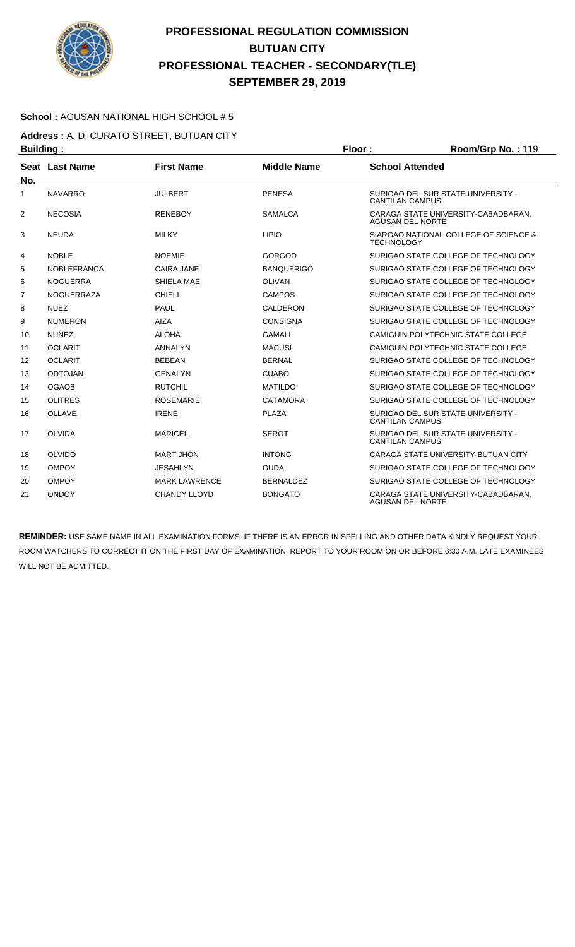

### **School :** AGUSAN NATIONAL HIGH SCHOOL # 5

**Address :** A. D. CURATO STREET, BUTUAN CITY **Building : Floor : Floor : Room/Grp No. : 119** 

| No.            | Seat Last Name     | <b>First Name</b>    | <b>Middle Name</b> | <b>School Attended</b>                                         |
|----------------|--------------------|----------------------|--------------------|----------------------------------------------------------------|
| 1              | <b>NAVARRO</b>     | <b>JULBERT</b>       | <b>PENESA</b>      | SURIGAO DEL SUR STATE UNIVERSITY -<br><b>CANTILAN CAMPUS</b>   |
| 2              | <b>NECOSIA</b>     | <b>RENEBOY</b>       | <b>SAMALCA</b>     | CARAGA STATE UNIVERSITY-CABADBARAN,<br><b>AGUSAN DEL NORTE</b> |
| 3              | <b>NEUDA</b>       | <b>MILKY</b>         | <b>LIPIO</b>       | SIARGAO NATIONAL COLLEGE OF SCIENCE &<br><b>TECHNOLOGY</b>     |
| 4              | <b>NOBLE</b>       | <b>NOEMIE</b>        | <b>GORGOD</b>      | SURIGAO STATE COLLEGE OF TECHNOLOGY                            |
| 5              | <b>NOBLEFRANCA</b> | <b>CAIRA JANE</b>    | <b>BANQUERIGO</b>  | SURIGAO STATE COLLEGE OF TECHNOLOGY                            |
| 6              | <b>NOGUERRA</b>    | SHIELA MAE           | <b>OLIVAN</b>      | SURIGAO STATE COLLEGE OF TECHNOLOGY                            |
| $\overline{7}$ | <b>NOGUERRAZA</b>  | CHIELL               | <b>CAMPOS</b>      | SURIGAO STATE COLLEGE OF TECHNOLOGY                            |
| 8              | <b>NUEZ</b>        | PAUL                 | CALDERON           | SURIGAO STATE COLLEGE OF TECHNOLOGY                            |
| 9              | <b>NUMERON</b>     | AIZA                 | <b>CONSIGNA</b>    | SURIGAO STATE COLLEGE OF TECHNOLOGY                            |
| 10             | <b>NUÑEZ</b>       | <b>ALOHA</b>         | <b>GAMALI</b>      | CAMIGUIN POLYTECHNIC STATE COLLEGE                             |
| 11             | <b>OCLARIT</b>     | ANNALYN              | <b>MACUSI</b>      | CAMIGUIN POLYTECHNIC STATE COLLEGE                             |
| 12             | <b>OCLARIT</b>     | <b>BEBEAN</b>        | <b>BERNAL</b>      | SURIGAO STATE COLLEGE OF TECHNOLOGY                            |
| 13             | <b>ODTOJAN</b>     | <b>GENALYN</b>       | <b>CUABO</b>       | SURIGAO STATE COLLEGE OF TECHNOLOGY                            |
| 14             | <b>OGAOB</b>       | <b>RUTCHIL</b>       | <b>MATILDO</b>     | SURIGAO STATE COLLEGE OF TECHNOLOGY                            |
| 15             | <b>OLITRES</b>     | <b>ROSEMARIE</b>     | <b>CATAMORA</b>    | SURIGAO STATE COLLEGE OF TECHNOLOGY                            |
| 16             | <b>OLLAVE</b>      | <b>IRENE</b>         | <b>PLAZA</b>       | SURIGAO DEL SUR STATE UNIVERSITY -<br><b>CANTILAN CAMPUS</b>   |
| 17             | OLVIDA             | MARICEL              | <b>SEROT</b>       | SURIGAO DEL SUR STATE UNIVERSITY -<br><b>CANTILAN CAMPUS</b>   |
| 18             | OLVIDO             | <b>MART JHON</b>     | <b>INTONG</b>      | CARAGA STATE UNIVERSITY-BUTUAN CITY                            |
| 19             | <b>OMPOY</b>       | <b>JESAHLYN</b>      | <b>GUDA</b>        | SURIGAO STATE COLLEGE OF TECHNOLOGY                            |
| 20             | <b>OMPOY</b>       | <b>MARK LAWRENCE</b> | <b>BERNALDEZ</b>   | SURIGAO STATE COLLEGE OF TECHNOLOGY                            |
| 21             | <b>ONDOY</b>       | CHANDY LLOYD         | <b>BONGATO</b>     | CARAGA STATE UNIVERSITY-CABADBARAN.<br><b>AGUSAN DEL NORTE</b> |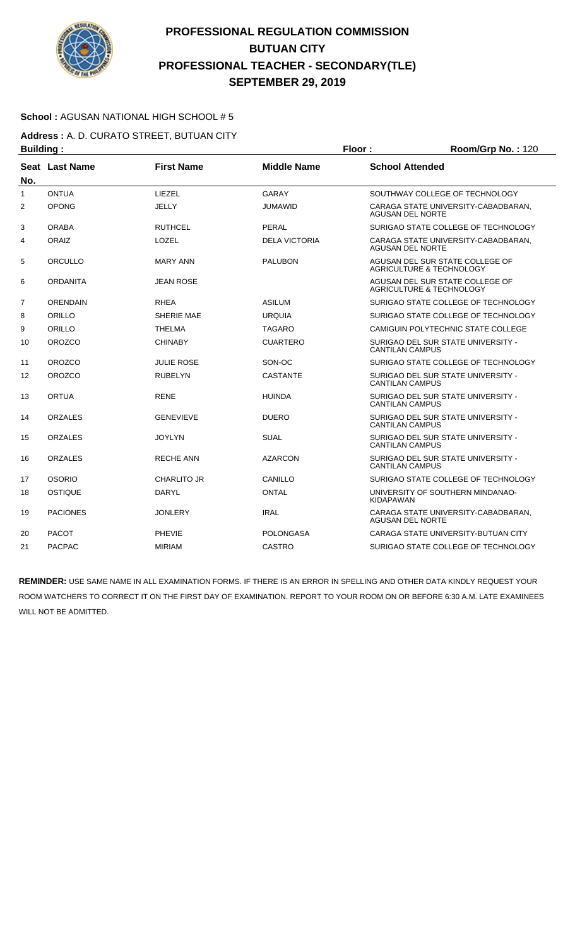

### **School :** AGUSAN NATIONAL HIGH SCHOOL # 5

**Address :** A. D. CURATO STREET, BUTUAN CITY **Building : Floor : Floor : Room/Grp No. : 120** 

| sananiyi       |                       |                    |                      |                                                                |
|----------------|-----------------------|--------------------|----------------------|----------------------------------------------------------------|
| No.            | <b>Seat Last Name</b> | <b>First Name</b>  | <b>Middle Name</b>   | <b>School Attended</b>                                         |
| 1              | <b>ONTUA</b>          | LIEZEL             | GARAY                | SOUTHWAY COLLEGE OF TECHNOLOGY                                 |
| $\overline{2}$ | <b>OPONG</b>          | JELLY              | <b>JUMAWID</b>       | CARAGA STATE UNIVERSITY-CABADBARAN,<br><b>AGUSAN DEL NORTE</b> |
| 3              | <b>ORABA</b>          | <b>RUTHCEL</b>     | <b>PERAL</b>         | SURIGAO STATE COLLEGE OF TECHNOLOGY                            |
| 4              | ORAIZ                 | LOZEL              | <b>DELA VICTORIA</b> | CARAGA STATE UNIVERSITY-CABADBARAN,<br><b>AGUSAN DEL NORTE</b> |
| 5              | ORCULLO               | <b>MARY ANN</b>    | <b>PALUBON</b>       | AGUSAN DEL SUR STATE COLLEGE OF<br>AGRICULTURE & TECHNOLOGY    |
| 6              | <b>ORDANITA</b>       | <b>JEAN ROSE</b>   |                      | AGUSAN DEL SUR STATE COLLEGE OF<br>AGRICULTURE & TECHNOLOGY    |
| $\overline{7}$ | <b>ORENDAIN</b>       | <b>RHEA</b>        | <b>ASILUM</b>        | SURIGAO STATE COLLEGE OF TECHNOLOGY                            |
| 8              | ORILLO                | SHERIE MAE         | <b>URQUIA</b>        | SURIGAO STATE COLLEGE OF TECHNOLOGY                            |
| 9              | ORILLO                | <b>THELMA</b>      | TAGARO               | CAMIGUIN POLYTECHNIC STATE COLLEGE                             |
| 10             | <b>OROZCO</b>         | <b>CHINABY</b>     | <b>CUARTERO</b>      | SURIGAO DEL SUR STATE UNIVERSITY -<br><b>CANTILAN CAMPUS</b>   |
| 11             | <b>OROZCO</b>         | <b>JULIE ROSE</b>  | SON-OC               | SURIGAO STATE COLLEGE OF TECHNOLOGY                            |
| 12             | <b>OROZCO</b>         | <b>RUBELYN</b>     | <b>CASTANTE</b>      | SURIGAO DEL SUR STATE UNIVERSITY -<br><b>CANTILAN CAMPUS</b>   |
| 13             | <b>ORTUA</b>          | <b>RENE</b>        | <b>HUINDA</b>        | SURIGAO DEL SUR STATE UNIVERSITY -<br><b>CANTILAN CAMPUS</b>   |
| 14             | <b>ORZALES</b>        | <b>GENEVIEVE</b>   | <b>DUERO</b>         | SURIGAO DEL SUR STATE UNIVERSITY -<br><b>CANTILAN CAMPUS</b>   |
| 15             | <b>ORZALES</b>        | <b>JOYLYN</b>      | <b>SUAL</b>          | SURIGAO DEL SUR STATE UNIVERSITY -<br><b>CANTILAN CAMPUS</b>   |
| 16             | <b>ORZALES</b>        | <b>RECHE ANN</b>   | <b>AZARCON</b>       | SURIGAO DEL SUR STATE UNIVERSITY -<br><b>CANTILAN CAMPUS</b>   |
| 17             | <b>OSORIO</b>         | <b>CHARLITO JR</b> | CANILLO              | SURIGAO STATE COLLEGE OF TECHNOLOGY                            |
| 18             | OSTIQUE               | DARYL              | <b>ONTAL</b>         | UNIVERSITY OF SOUTHERN MINDANAO-<br><b>KIDAPAWAN</b>           |
| 19             | <b>PACIONES</b>       | <b>JONLERY</b>     | <b>IRAL</b>          | CARAGA STATE UNIVERSITY-CABADBARAN,<br>AGUSAN DEL NORTE        |
| 20             | <b>PACOT</b>          | <b>PHEVIE</b>      | <b>POLONGASA</b>     | CARAGA STATE UNIVERSITY-BUTUAN CITY                            |
| 21             | <b>PACPAC</b>         | <b>MIRIAM</b>      | <b>CASTRO</b>        | SURIGAO STATE COLLEGE OF TECHNOLOGY                            |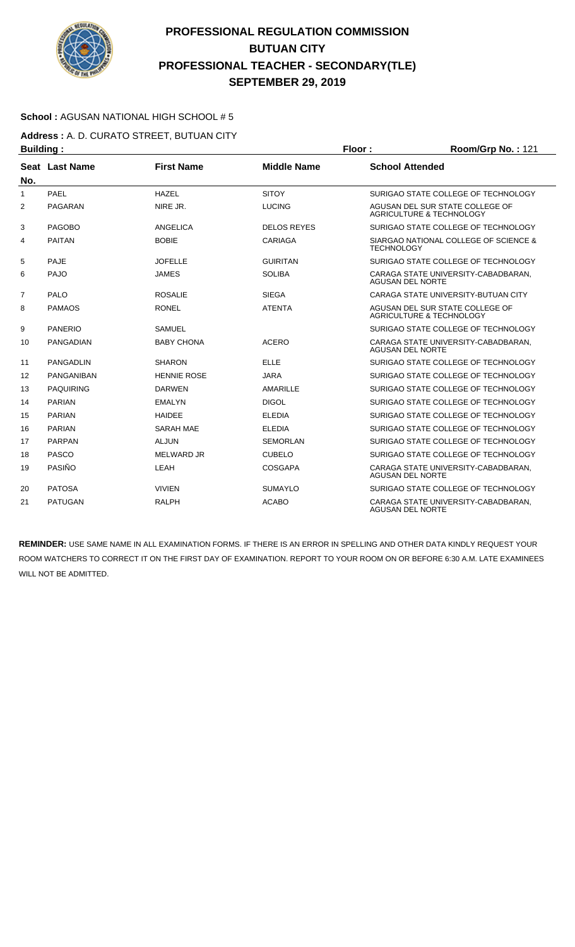

### **School :** AGUSAN NATIONAL HIGH SCHOOL # 5

**Address :** A. D. CURATO STREET, BUTUAN CITY **Building : Floor : Room/Grp No. :** 121

| .              |                   |                    |                    |                                                                        |
|----------------|-------------------|--------------------|--------------------|------------------------------------------------------------------------|
| No.            | Seat Last Name    | <b>First Name</b>  | <b>Middle Name</b> | <b>School Attended</b>                                                 |
| 1              | <b>PAEL</b>       | <b>HAZEL</b>       | <b>SITOY</b>       | SURIGAO STATE COLLEGE OF TECHNOLOGY                                    |
| 2              | PAGARAN           | NIRE JR.           | <b>LUCING</b>      | AGUSAN DEL SUR STATE COLLEGE OF<br>AGRICULTURE & TECHNOLOGY            |
| 3              | <b>PAGOBO</b>     | ANGELICA           | <b>DELOS REYES</b> | SURIGAO STATE COLLEGE OF TECHNOLOGY                                    |
| 4              | <b>PAITAN</b>     | <b>BOBIE</b>       | <b>CARIAGA</b>     | SIARGAO NATIONAL COLLEGE OF SCIENCE &<br><b>TECHNOLOGY</b>             |
| 5              | <b>PAJE</b>       | <b>JOFELLE</b>     | <b>GUIRITAN</b>    | SURIGAO STATE COLLEGE OF TECHNOLOGY                                    |
| 6              | PAJO              | JAMES              | <b>SOLIBA</b>      | CARAGA STATE UNIVERSITY-CABADBARAN.<br><b>AGUSAN DEL NORTE</b>         |
| $\overline{7}$ | PALO              | <b>ROSALIE</b>     | <b>SIEGA</b>       | CARAGA STATE UNIVERSITY-BUTUAN CITY                                    |
| 8              | <b>PAMAOS</b>     | <b>RONEL</b>       | <b>ATENTA</b>      | AGUSAN DEL SUR STATE COLLEGE OF<br><b>AGRICULTURE &amp; TECHNOLOGY</b> |
| 9              | <b>PANERIO</b>    | <b>SAMUEL</b>      |                    | SURIGAO STATE COLLEGE OF TECHNOLOGY                                    |
| 10             | <b>PANGADIAN</b>  | <b>BABY CHONA</b>  | <b>ACERO</b>       | CARAGA STATE UNIVERSITY-CABADBARAN,<br><b>AGUSAN DEL NORTE</b>         |
| 11             | <b>PANGADLIN</b>  | <b>SHARON</b>      | <b>ELLE</b>        | SURIGAO STATE COLLEGE OF TECHNOLOGY                                    |
| 12             | <b>PANGANIBAN</b> | <b>HENNIE ROSE</b> | <b>JARA</b>        | SURIGAO STATE COLLEGE OF TECHNOLOGY                                    |
| 13             | <b>PAQUIRING</b>  | <b>DARWEN</b>      | AMARILLE           | SURIGAO STATE COLLEGE OF TECHNOLOGY                                    |
| 14             | <b>PARIAN</b>     | <b>EMALYN</b>      | <b>DIGOL</b>       | SURIGAO STATE COLLEGE OF TECHNOLOGY                                    |
| 15             | <b>PARIAN</b>     | <b>HAIDEE</b>      | <b>ELEDIA</b>      | SURIGAO STATE COLLEGE OF TECHNOLOGY                                    |
| 16             | <b>PARIAN</b>     | <b>SARAH MAE</b>   | <b>ELEDIA</b>      | SURIGAO STATE COLLEGE OF TECHNOLOGY                                    |
| 17             | <b>PARPAN</b>     | <b>ALJUN</b>       | <b>SEMORLAN</b>    | SURIGAO STATE COLLEGE OF TECHNOLOGY                                    |
| 18             | <b>PASCO</b>      | <b>MELWARD JR</b>  | <b>CUBELO</b>      | SURIGAO STATE COLLEGE OF TECHNOLOGY                                    |
| 19             | PASIÑO            | LEAH               | <b>COSGAPA</b>     | CARAGA STATE UNIVERSITY-CABADBARAN,<br><b>AGUSAN DEL NORTE</b>         |
| 20             | <b>PATOSA</b>     | <b>VIVIEN</b>      | <b>SUMAYLO</b>     | SURIGAO STATE COLLEGE OF TECHNOLOGY                                    |
| 21             | <b>PATUGAN</b>    | <b>RALPH</b>       | <b>ACABO</b>       | CARAGA STATE UNIVERSITY-CABADBARAN.<br><b>AGUSAN DEL NORTE</b>         |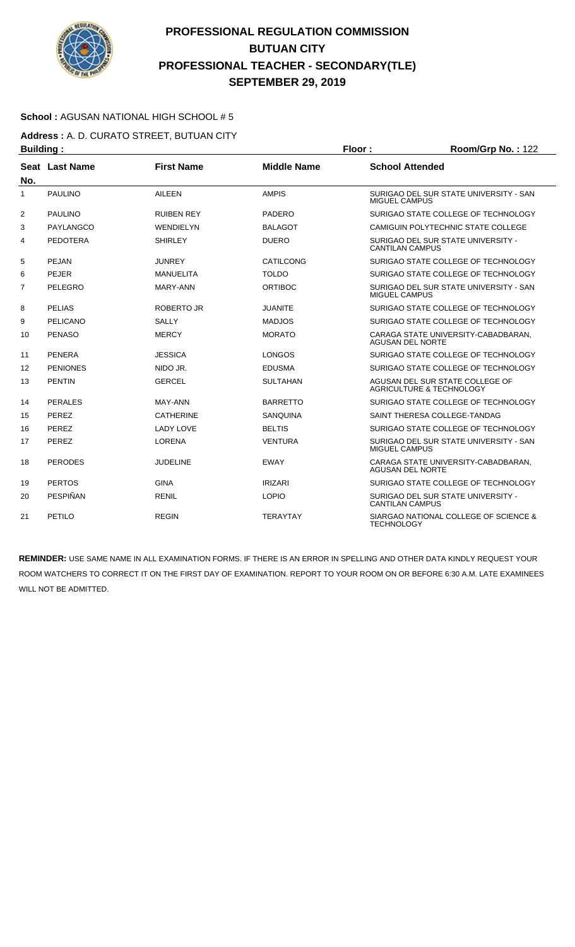

### **School :** AGUSAN NATIONAL HIGH SCHOOL # 5

**Address :** A. D. CURATO STREET, BUTUAN CITY **Building : Floor : Room/Grp No. :** 122

| .              |                 |                   |                    |                                                                |
|----------------|-----------------|-------------------|--------------------|----------------------------------------------------------------|
| No.            | Seat Last Name  | <b>First Name</b> | <b>Middle Name</b> | <b>School Attended</b>                                         |
| 1              | <b>PAULINO</b>  | <b>AILEEN</b>     | <b>AMPIS</b>       | SURIGAO DEL SUR STATE UNIVERSITY - SAN<br><b>MIGUEL CAMPUS</b> |
| 2              | <b>PAULINO</b>  | <b>RUIBEN REY</b> | <b>PADERO</b>      | SURIGAO STATE COLLEGE OF TECHNOLOGY                            |
| 3              | PAYLANGCO       | <b>WENDIELYN</b>  | <b>BALAGOT</b>     | CAMIGUIN POLYTECHNIC STATE COLLEGE                             |
| 4              | <b>PEDOTERA</b> | <b>SHIRLEY</b>    | <b>DUERO</b>       | SURIGAO DEL SUR STATE UNIVERSITY -<br><b>CANTILAN CAMPUS</b>   |
| 5              | PEJAN           | <b>JUNREY</b>     | CATILCONG          | SURIGAO STATE COLLEGE OF TECHNOLOGY                            |
| 6              | <b>PEJER</b>    | <b>MANUELITA</b>  | <b>TOLDO</b>       | SURIGAO STATE COLLEGE OF TECHNOLOGY                            |
| $\overline{7}$ | PELEGRO         | MARY-ANN          | <b>ORTIBOC</b>     | SURIGAO DEL SUR STATE UNIVERSITY - SAN<br><b>MIGUEL CAMPUS</b> |
| 8              | <b>PELIAS</b>   | <b>ROBERTO JR</b> | JUANITE            | SURIGAO STATE COLLEGE OF TECHNOLOGY                            |
| 9              | PELICANO        | <b>SALLY</b>      | <b>MADJOS</b>      | SURIGAO STATE COLLEGE OF TECHNOLOGY                            |
| 10             | <b>PENASO</b>   | <b>MERCY</b>      | <b>MORATO</b>      | CARAGA STATE UNIVERSITY-CABADBARAN,<br><b>AGUSAN DEL NORTE</b> |
| 11             | <b>PENERA</b>   | <b>JESSICA</b>    | <b>LONGOS</b>      | SURIGAO STATE COLLEGE OF TECHNOLOGY                            |
| 12             | <b>PENIONES</b> | NIDO JR.          | <b>EDUSMA</b>      | SURIGAO STATE COLLEGE OF TECHNOLOGY                            |
| 13             | <b>PENTIN</b>   | <b>GERCEL</b>     | <b>SULTAHAN</b>    | AGUSAN DEL SUR STATE COLLEGE OF<br>AGRICULTURE & TECHNOLOGY    |
| 14             | <b>PERALES</b>  | MAY-ANN           | <b>BARRETTO</b>    | SURIGAO STATE COLLEGE OF TECHNOLOGY                            |
| 15             | PEREZ           | <b>CATHERINE</b>  | <b>SANQUINA</b>    | SAINT THERESA COLLEGE-TANDAG                                   |
| 16             | PEREZ           | <b>LADY LOVE</b>  | <b>BELTIS</b>      | SURIGAO STATE COLLEGE OF TECHNOLOGY                            |
| 17             | PEREZ           | <b>LORENA</b>     | <b>VENTURA</b>     | SURIGAO DEL SUR STATE UNIVERSITY - SAN<br><b>MIGUEL CAMPUS</b> |
| 18             | <b>PERODES</b>  | <b>JUDELINE</b>   | <b>EWAY</b>        | CARAGA STATE UNIVERSITY-CABADBARAN.<br><b>AGUSAN DEL NORTE</b> |
| 19             | <b>PERTOS</b>   | <b>GINA</b>       | <b>IRIZARI</b>     | SURIGAO STATE COLLEGE OF TECHNOLOGY                            |
| 20             | PESPIÑAN        | <b>RENIL</b>      | <b>LOPIO</b>       | SURIGAO DEL SUR STATE UNIVERSITY -<br><b>CANTILAN CAMPUS</b>   |
| 21             | PETILO          | <b>REGIN</b>      | <b>TERAYTAY</b>    | SIARGAO NATIONAL COLLEGE OF SCIENCE &<br><b>TECHNOLOGY</b>     |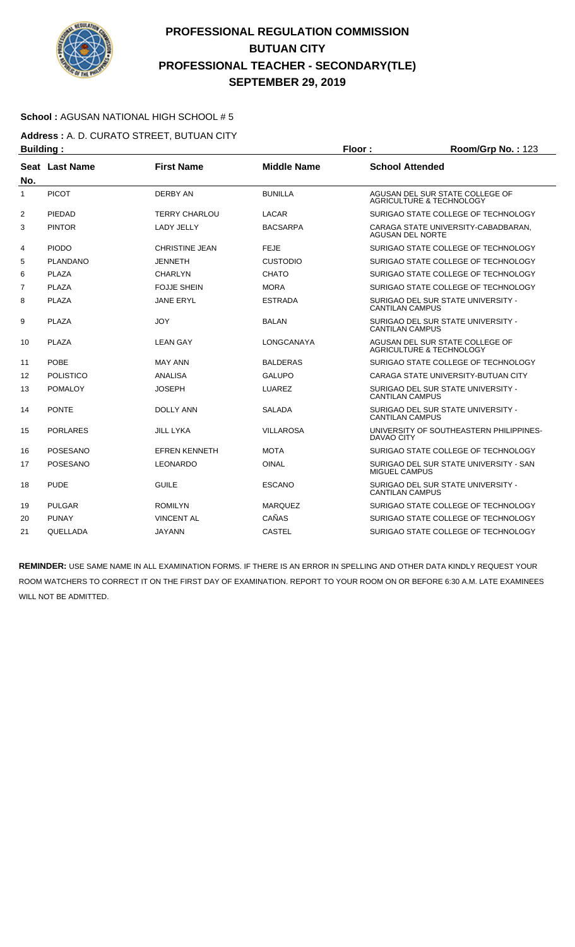

### **School :** AGUSAN NATIONAL HIGH SCHOOL # 5

**Address :** A. D. CURATO STREET, BUTUAN CITY **Building : Floor : Floor : Room/Grp No. : 123** 

| No.            | Seat Last Name   | <b>First Name</b>     | <b>Middle Name</b> | <b>School Attended</b>                                                 |
|----------------|------------------|-----------------------|--------------------|------------------------------------------------------------------------|
| 1              | <b>PICOT</b>     | <b>DERBY AN</b>       | <b>BUNILLA</b>     | AGUSAN DEL SUR STATE COLLEGE OF<br>AGRICULTURE & TECHNOLOGY            |
| $\overline{2}$ | PIEDAD           | <b>TERRY CHARLOU</b>  | <b>LACAR</b>       | SURIGAO STATE COLLEGE OF TECHNOLOGY                                    |
| 3              | <b>PINTOR</b>    | <b>LADY JELLY</b>     | <b>BACSARPA</b>    | CARAGA STATE UNIVERSITY-CABADBARAN,<br><b>AGUSAN DEL NORTE</b>         |
| 4              | <b>PIODO</b>     | <b>CHRISTINE JEAN</b> | <b>FEJE</b>        | SURIGAO STATE COLLEGE OF TECHNOLOGY                                    |
| 5              | <b>PLANDANO</b>  | <b>JENNETH</b>        | <b>CUSTODIO</b>    | SURIGAO STATE COLLEGE OF TECHNOLOGY                                    |
| 6              | <b>PLAZA</b>     | <b>CHARLYN</b>        | <b>CHATO</b>       | SURIGAO STATE COLLEGE OF TECHNOLOGY                                    |
| 7              | <b>PLAZA</b>     | <b>FOJJE SHEIN</b>    | <b>MORA</b>        | SURIGAO STATE COLLEGE OF TECHNOLOGY                                    |
| 8              | <b>PLAZA</b>     | <b>JANE ERYL</b>      | <b>ESTRADA</b>     | SURIGAO DEL SUR STATE UNIVERSITY -<br><b>CANTILAN CAMPUS</b>           |
| 9              | <b>PLAZA</b>     | <b>JOY</b>            | <b>BALAN</b>       | SURIGAO DEL SUR STATE UNIVERSITY -<br><b>CANTILAN CAMPUS</b>           |
| 10             | <b>PLAZA</b>     | <b>LEAN GAY</b>       | LONGCANAYA         | AGUSAN DEL SUR STATE COLLEGE OF<br><b>AGRICULTURE &amp; TECHNOLOGY</b> |
| 11             | POBE             | <b>MAY ANN</b>        | <b>BALDERAS</b>    | SURIGAO STATE COLLEGE OF TECHNOLOGY                                    |
| 12             | <b>POLISTICO</b> | ANALISA               | <b>GALUPO</b>      | CARAGA STATE UNIVERSITY-BUTUAN CITY                                    |
| 13             | <b>POMALOY</b>   | <b>JOSEPH</b>         | LUAREZ             | SURIGAO DEL SUR STATE UNIVERSITY -<br><b>CANTILAN CAMPUS</b>           |
| 14             | <b>PONTE</b>     | <b>DOLLY ANN</b>      | <b>SALADA</b>      | SURIGAO DEL SUR STATE UNIVERSITY -<br><b>CANTILAN CAMPUS</b>           |
| 15             | <b>PORLARES</b>  | <b>JILL LYKA</b>      | <b>VILLAROSA</b>   | UNIVERSITY OF SOUTHEASTERN PHILIPPINES-<br><b>DAVAO CITY</b>           |
| 16             | POSESANO         | <b>EFREN KENNETH</b>  | <b>MOTA</b>        | SURIGAO STATE COLLEGE OF TECHNOLOGY                                    |
| 17             | <b>POSESANO</b>  | <b>LEONARDO</b>       | <b>OINAL</b>       | SURIGAO DEL SUR STATE UNIVERSITY - SAN<br><b>MIGUEL CAMPUS</b>         |
| 18             | <b>PUDE</b>      | <b>GUILE</b>          | <b>ESCANO</b>      | SURIGAO DEL SUR STATE UNIVERSITY -<br><b>CANTILAN CAMPUS</b>           |
| 19             | <b>PULGAR</b>    | <b>ROMILYN</b>        | <b>MARQUEZ</b>     | SURIGAO STATE COLLEGE OF TECHNOLOGY                                    |
| 20             | <b>PUNAY</b>     | <b>VINCENT AL</b>     | CAÑAS              | SURIGAO STATE COLLEGE OF TECHNOLOGY                                    |
| 21             | QUELLADA         | JAYANN                | <b>CASTEL</b>      | SURIGAO STATE COLLEGE OF TECHNOLOGY                                    |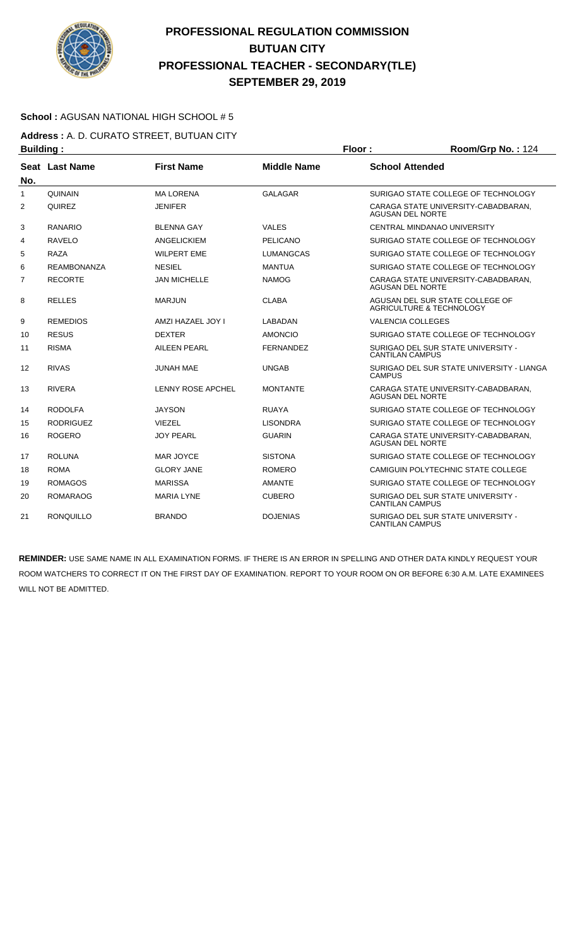

### **School :** AGUSAN NATIONAL HIGH SCHOOL # 5

**Address :** A. D. CURATO STREET, BUTUAN CITY **Building : Floor : Floor : Room/Grp No. : 124** 

| No.            | Seat Last Name     | <b>First Name</b>        | <b>Middle Name</b> | <b>School Attended</b>                                                 |
|----------------|--------------------|--------------------------|--------------------|------------------------------------------------------------------------|
| $\mathbf{1}$   | <b>QUINAIN</b>     | <b>MALORENA</b>          | <b>GALAGAR</b>     | SURIGAO STATE COLLEGE OF TECHNOLOGY                                    |
| $\overline{2}$ | <b>QUIREZ</b>      | <b>JENIFER</b>           |                    | CARAGA STATE UNIVERSITY-CABADBARAN.<br><b>AGUSAN DEL NORTE</b>         |
| 3              | <b>RANARIO</b>     | <b>BLENNA GAY</b>        | <b>VALES</b>       | CENTRAL MINDANAO UNIVERSITY                                            |
| 4              | RAVELO             | <b>ANGELICKIEM</b>       | <b>PELICANO</b>    | SURIGAO STATE COLLEGE OF TECHNOLOGY                                    |
| 5              | <b>RAZA</b>        | <b>WILPERT EME</b>       | <b>LUMANGCAS</b>   | SURIGAO STATE COLLEGE OF TECHNOLOGY                                    |
| 6              | <b>REAMBONANZA</b> | <b>NESIEL</b>            | <b>MANTUA</b>      | SURIGAO STATE COLLEGE OF TECHNOLOGY                                    |
| $\overline{7}$ | <b>RECORTE</b>     | <b>JAN MICHELLE</b>      | <b>NAMOG</b>       | CARAGA STATE UNIVERSITY-CABADBARAN,<br><b>AGUSAN DEL NORTE</b>         |
| 8              | <b>RELLES</b>      | <b>MARJUN</b>            | <b>CLABA</b>       | AGUSAN DEL SUR STATE COLLEGE OF<br><b>AGRICULTURE &amp; TECHNOLOGY</b> |
| 9              | <b>REMEDIOS</b>    | AMZI HAZAEL JOY I        | LABADAN            | <b>VALENCIA COLLEGES</b>                                               |
| 10             | <b>RESUS</b>       | <b>DEXTER</b>            | <b>AMONCIO</b>     | SURIGAO STATE COLLEGE OF TECHNOLOGY                                    |
| 11             | <b>RISMA</b>       | <b>AILEEN PEARL</b>      | <b>FERNANDEZ</b>   | SURIGAO DEL SUR STATE UNIVERSITY -<br><b>CANTILAN CAMPUS</b>           |
| 12             | <b>RIVAS</b>       | <b>JUNAH MAE</b>         | <b>UNGAB</b>       | SURIGAO DEL SUR STATE UNIVERSITY - LIANGA<br><b>CAMPUS</b>             |
| 13             | <b>RIVERA</b>      | <b>LENNY ROSE APCHEL</b> | <b>MONTANTE</b>    | CARAGA STATE UNIVERSITY-CABADBARAN,<br><b>AGUSAN DEL NORTE</b>         |
| 14             | <b>RODOLFA</b>     | <b>JAYSON</b>            | <b>RUAYA</b>       | SURIGAO STATE COLLEGE OF TECHNOLOGY                                    |
| 15             | <b>RODRIGUEZ</b>   | <b>VIEZEL</b>            | <b>LISONDRA</b>    | SURIGAO STATE COLLEGE OF TECHNOLOGY                                    |
| 16             | <b>ROGERO</b>      | <b>JOY PEARL</b>         | <b>GUARIN</b>      | CARAGA STATE UNIVERSITY-CABADBARAN,<br><b>AGUSAN DEL NORTE</b>         |
| 17             | <b>ROLUNA</b>      | MAR JOYCE                | <b>SISTONA</b>     | SURIGAO STATE COLLEGE OF TECHNOLOGY                                    |
| 18             | <b>ROMA</b>        | <b>GLORY JANE</b>        | <b>ROMERO</b>      | CAMIGUIN POLYTECHNIC STATE COLLEGE                                     |
| 19             | <b>ROMAGOS</b>     | <b>MARISSA</b>           | <b>AMANTE</b>      | SURIGAO STATE COLLEGE OF TECHNOLOGY                                    |
| 20             | <b>ROMARAOG</b>    | <b>MARIA LYNE</b>        | <b>CUBERO</b>      | SURIGAO DEL SUR STATE UNIVERSITY -<br><b>CANTILAN CAMPUS</b>           |
| 21             | <b>RONQUILLO</b>   | <b>BRANDO</b>            | <b>DOJENIAS</b>    | SURIGAO DEL SUR STATE UNIVERSITY -<br><b>CANTILAN CAMPUS</b>           |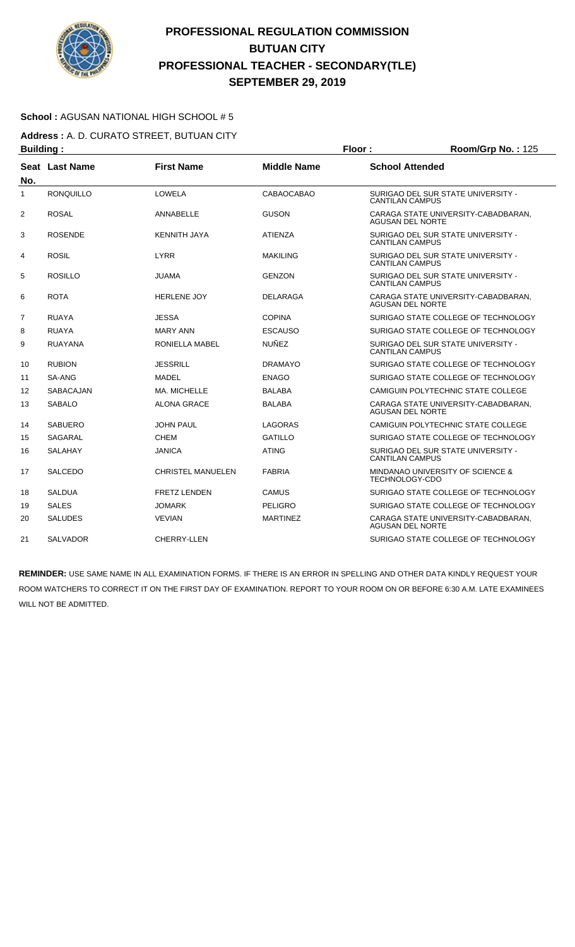

#### **School :** AGUSAN NATIONAL HIGH SCHOOL # 5

**Address :** A. D. CURATO STREET, BUTUAN CITY **Building : Floor : Floor : Room/Grp No. : 125** 

| No.            | Seat Last Name   | <b>First Name</b>        | <b>Middle Name</b> | <b>School Attended</b>                                         |
|----------------|------------------|--------------------------|--------------------|----------------------------------------------------------------|
| $\mathbf{1}$   | <b>RONQUILLO</b> | LOWELA                   | CABAOCABAO         | SURIGAO DEL SUR STATE UNIVERSITY -<br><b>CANTILAN CAMPUS</b>   |
| 2              | <b>ROSAL</b>     | ANNABELLE                | <b>GUSON</b>       | CARAGA STATE UNIVERSITY-CABADBARAN,<br>AGUSAN DEL NORTE        |
| 3              | <b>ROSENDE</b>   | <b>KENNITH JAYA</b>      | <b>ATIENZA</b>     | SURIGAO DEL SUR STATE UNIVERSITY -<br><b>CANTILAN CAMPUS</b>   |
| 4              | <b>ROSIL</b>     | <b>LYRR</b>              | <b>MAKILING</b>    | SURIGAO DEL SUR STATE UNIVERSITY -<br><b>CANTILAN CAMPUS</b>   |
| 5              | <b>ROSILLO</b>   | <b>JUAMA</b>             | <b>GENZON</b>      | SURIGAO DEL SUR STATE UNIVERSITY -<br><b>CANTILAN CAMPUS</b>   |
| 6              | <b>ROTA</b>      | <b>HERLENE JOY</b>       | <b>DELARAGA</b>    | CARAGA STATE UNIVERSITY-CABADBARAN,<br><b>AGUSAN DEL NORTE</b> |
| $\overline{7}$ | <b>RUAYA</b>     | <b>JESSA</b>             | <b>COPINA</b>      | SURIGAO STATE COLLEGE OF TECHNOLOGY                            |
| 8              | <b>RUAYA</b>     | <b>MARY ANN</b>          | <b>ESCAUSO</b>     | SURIGAO STATE COLLEGE OF TECHNOLOGY                            |
| 9              | <b>RUAYANA</b>   | RONIELLA MABEL           | <b>NUÑEZ</b>       | SURIGAO DEL SUR STATE UNIVERSITY -<br><b>CANTILAN CAMPUS</b>   |
| 10             | <b>RUBION</b>    | <b>JESSRILL</b>          | <b>DRAMAYO</b>     | SURIGAO STATE COLLEGE OF TECHNOLOGY                            |
| 11             | SA-ANG           | MADEL                    | <b>ENAGO</b>       | SURIGAO STATE COLLEGE OF TECHNOLOGY                            |
| 12             | SABACAJAN        | MA. MICHELLE             | <b>BALABA</b>      | CAMIGUIN POLYTECHNIC STATE COLLEGE                             |
| 13             | <b>SABALO</b>    | <b>ALONA GRACE</b>       | <b>BALABA</b>      | CARAGA STATE UNIVERSITY-CABADBARAN,<br><b>AGUSAN DEL NORTE</b> |
| 14             | <b>SABUERO</b>   | <b>JOHN PAUL</b>         | LAGORAS            | CAMIGUIN POLYTECHNIC STATE COLLEGE                             |
| 15             | <b>SAGARAL</b>   | <b>CHEM</b>              | <b>GATILLO</b>     | SURIGAO STATE COLLEGE OF TECHNOLOGY                            |
| 16             | <b>SALAHAY</b>   | <b>JANICA</b>            | <b>ATING</b>       | SURIGAO DEL SUR STATE UNIVERSITY -<br><b>CANTILAN CAMPUS</b>   |
| 17             | <b>SALCEDO</b>   | <b>CHRISTEL MANUELEN</b> | <b>FABRIA</b>      | MINDANAO UNIVERSITY OF SCIENCE &<br>TECHNOLOGY-CDO             |
| 18             | <b>SALDUA</b>    | <b>FRETZ LENDEN</b>      | <b>CAMUS</b>       | SURIGAO STATE COLLEGE OF TECHNOLOGY                            |
| 19             | <b>SALES</b>     | JOMARK                   | PELIGRO            | SURIGAO STATE COLLEGE OF TECHNOLOGY                            |
| 20             | <b>SALUDES</b>   | <b>VEVIAN</b>            | <b>MARTINEZ</b>    | CARAGA STATE UNIVERSITY-CABADBARAN.<br><b>AGUSAN DEL NORTE</b> |
| 21             | <b>SALVADOR</b>  | CHERRY-LLEN              |                    | SURIGAO STATE COLLEGE OF TECHNOLOGY                            |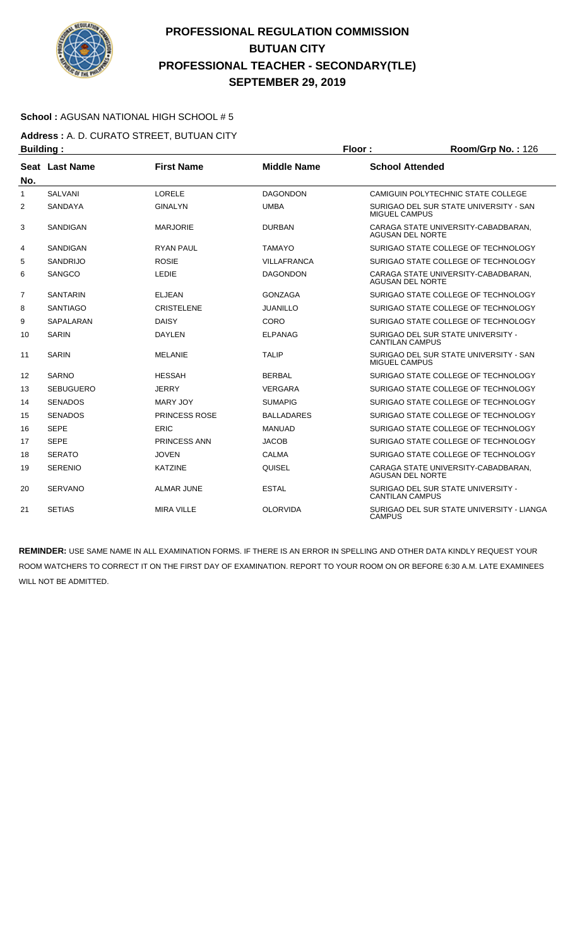

### **School :** AGUSAN NATIONAL HIGH SCHOOL # 5

**Address :** A. D. CURATO STREET, BUTUAN CITY **Building : Floor : Floor : Room/Grp No. : 126** 

|                | .                |                      |                    |                                                                |
|----------------|------------------|----------------------|--------------------|----------------------------------------------------------------|
| No.            | Seat Last Name   | <b>First Name</b>    | <b>Middle Name</b> | <b>School Attended</b>                                         |
| 1              | <b>SALVANI</b>   | LORELE               | <b>DAGONDON</b>    | CAMIGUIN POLYTECHNIC STATE COLLEGE                             |
| 2              | <b>SANDAYA</b>   | <b>GINALYN</b>       | <b>UMBA</b>        | SURIGAO DEL SUR STATE UNIVERSITY - SAN<br><b>MIGUEL CAMPUS</b> |
| 3              | SANDIGAN         | <b>MARJORIE</b>      | <b>DURBAN</b>      | CARAGA STATE UNIVERSITY-CABADBARAN.<br><b>AGUSAN DEL NORTE</b> |
| 4              | SANDIGAN         | <b>RYAN PAUL</b>     | <b>TAMAYO</b>      | SURIGAO STATE COLLEGE OF TECHNOLOGY                            |
| 5              | <b>SANDRIJO</b>  | <b>ROSIE</b>         | <b>VILLAFRANCA</b> | SURIGAO STATE COLLEGE OF TECHNOLOGY                            |
| 6              | SANGCO           | <b>LEDIE</b>         | <b>DAGONDON</b>    | CARAGA STATE UNIVERSITY-CABADBARAN.<br><b>AGUSAN DEL NORTE</b> |
| $\overline{7}$ | <b>SANTARIN</b>  | <b>ELJEAN</b>        | <b>GONZAGA</b>     | SURIGAO STATE COLLEGE OF TECHNOLOGY                            |
| 8              | <b>SANTIAGO</b>  | <b>CRISTELENE</b>    | <b>JUANILLO</b>    | SURIGAO STATE COLLEGE OF TECHNOLOGY                            |
| 9              | SAPALARAN        | <b>DAISY</b>         | CORO               | SURIGAO STATE COLLEGE OF TECHNOLOGY                            |
| 10             | <b>SARIN</b>     | <b>DAYLEN</b>        | <b>ELPANAG</b>     | SURIGAO DEL SUR STATE UNIVERSITY -<br><b>CANTILAN CAMPUS</b>   |
| 11             | <b>SARIN</b>     | <b>MELANIE</b>       | <b>TALIP</b>       | SURIGAO DEL SUR STATE UNIVERSITY - SAN<br><b>MIGUEL CAMPUS</b> |
| 12             | <b>SARNO</b>     | <b>HESSAH</b>        | <b>BERBAL</b>      | SURIGAO STATE COLLEGE OF TECHNOLOGY                            |
| 13             | <b>SEBUGUERO</b> | <b>JERRY</b>         | VERGARA            | SURIGAO STATE COLLEGE OF TECHNOLOGY                            |
| 14             | <b>SENADOS</b>   | MARY JOY             | <b>SUMAPIG</b>     | SURIGAO STATE COLLEGE OF TECHNOLOGY                            |
| 15             | <b>SENADOS</b>   | <b>PRINCESS ROSE</b> | <b>BALLADARES</b>  | SURIGAO STATE COLLEGE OF TECHNOLOGY                            |
| 16             | <b>SEPE</b>      | <b>ERIC</b>          | <b>MANUAD</b>      | SURIGAO STATE COLLEGE OF TECHNOLOGY                            |
| 17             | <b>SEPE</b>      | PRINCESS ANN         | <b>JACOB</b>       | SURIGAO STATE COLLEGE OF TECHNOLOGY                            |
| 18             | <b>SERATO</b>    | <b>JOVEN</b>         | CALMA              | SURIGAO STATE COLLEGE OF TECHNOLOGY                            |
| 19             | <b>SERENIO</b>   | <b>KATZINE</b>       | QUISEL             | CARAGA STATE UNIVERSITY-CABADBARAN,<br><b>AGUSAN DEL NORTE</b> |
| 20             | <b>SERVANO</b>   | <b>ALMAR JUNE</b>    | <b>ESTAL</b>       | SURIGAO DEL SUR STATE UNIVERSITY -<br><b>CANTILAN CAMPUS</b>   |
| 21             | <b>SETIAS</b>    | <b>MIRA VILLE</b>    | <b>OLORVIDA</b>    | SURIGAO DEL SUR STATE UNIVERSITY - LIANGA<br><b>CAMPUS</b>     |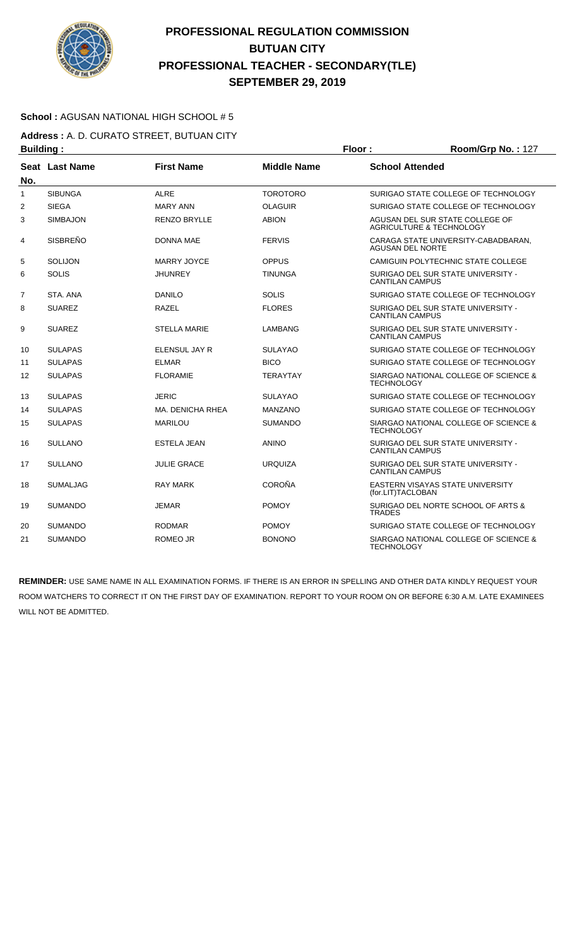

### **School :** AGUSAN NATIONAL HIGH SCHOOL # 5

**Address :** A. D. CURATO STREET, BUTUAN CITY **Building : Floor : Floor : Room/Grp No. : 127** 

| No. | Seat Last Name  | <b>First Name</b>   | <b>Middle Name</b> | <b>School Attended</b>                                       |
|-----|-----------------|---------------------|--------------------|--------------------------------------------------------------|
| 1   | <b>SIBUNGA</b>  | <b>ALRE</b>         | <b>TOROTORO</b>    | SURIGAO STATE COLLEGE OF TECHNOLOGY                          |
| 2   | <b>SIEGA</b>    | <b>MARY ANN</b>     | <b>OLAGUIR</b>     | SURIGAO STATE COLLEGE OF TECHNOLOGY                          |
| 3   | <b>SIMBAJON</b> | <b>RENZO BRYLLE</b> | <b>ABION</b>       | AGUSAN DEL SUR STATE COLLEGE OF<br>AGRICULTURE & TECHNOLOGY  |
| 4   | <b>SISBREÑO</b> | <b>DONNA MAE</b>    | <b>FERVIS</b>      | CARAGA STATE UNIVERSITY-CABADBARAN,<br>AGUSAN DEL NORTE      |
| 5   | SOLIJON         | MARRY JOYCE         | OPPUS              | CAMIGUIN POLYTECHNIC STATE COLLEGE                           |
| 6   | <b>SOLIS</b>    | <b>JHUNREY</b>      | <b>TINUNGA</b>     | SURIGAO DEL SUR STATE UNIVERSITY -<br><b>CANTILAN CAMPUS</b> |
| 7   | STA, ANA        | <b>DANILO</b>       | <b>SOLIS</b>       | SURIGAO STATE COLLEGE OF TECHNOLOGY                          |
| 8   | <b>SUAREZ</b>   | <b>RAZEL</b>        | <b>FLORES</b>      | SURIGAO DEL SUR STATE UNIVERSITY -<br><b>CANTILAN CAMPUS</b> |
| 9   | <b>SUAREZ</b>   | <b>STELLA MARIE</b> | <b>LAMBANG</b>     | SURIGAO DEL SUR STATE UNIVERSITY -<br><b>CANTILAN CAMPUS</b> |
| 10  | <b>SULAPAS</b>  | ELENSUL JAY R       | <b>SULAYAO</b>     | SURIGAO STATE COLLEGE OF TECHNOLOGY                          |
| 11  | <b>SULAPAS</b>  | <b>ELMAR</b>        | <b>BICO</b>        | SURIGAO STATE COLLEGE OF TECHNOLOGY                          |
| 12  | <b>SULAPAS</b>  | <b>FLORAMIE</b>     | <b>TERAYTAY</b>    | SIARGAO NATIONAL COLLEGE OF SCIENCE &<br><b>TECHNOLOGY</b>   |
| 13  | <b>SULAPAS</b>  | <b>JERIC</b>        | <b>SULAYAO</b>     | SURIGAO STATE COLLEGE OF TECHNOLOGY                          |
| 14  | <b>SULAPAS</b>  | MA. DENICHA RHEA    | <b>MANZANO</b>     | SURIGAO STATE COLLEGE OF TECHNOLOGY                          |
| 15  | <b>SULAPAS</b>  | <b>MARILOU</b>      | <b>SUMANDO</b>     | SIARGAO NATIONAL COLLEGE OF SCIENCE &<br><b>TECHNOLOGY</b>   |
| 16  | <b>SULLANO</b>  | <b>ESTELA JEAN</b>  | <b>ANINO</b>       | SURIGAO DEL SUR STATE UNIVERSITY -<br><b>CANTILAN CAMPUS</b> |
| 17  | <b>SULLANO</b>  | <b>JULIE GRACE</b>  | <b>URQUIZA</b>     | SURIGAO DEL SUR STATE UNIVERSITY -<br><b>CANTILAN CAMPUS</b> |
| 18  | <b>SUMALJAG</b> | <b>RAY MARK</b>     | <b>COROÑA</b>      | EASTERN VISAYAS STATE UNIVERSITY<br>(for.LIT)TACLOBAN        |
| 19  | <b>SUMANDO</b>  | <b>JEMAR</b>        | <b>POMOY</b>       | SURIGAO DEL NORTE SCHOOL OF ARTS &<br><b>TRADES</b>          |
| 20  | <b>SUMANDO</b>  | <b>RODMAR</b>       | <b>POMOY</b>       | SURIGAO STATE COLLEGE OF TECHNOLOGY                          |
| 21  | <b>SUMANDO</b>  | <b>ROMEO JR</b>     | <b>BONONO</b>      | SIARGAO NATIONAL COLLEGE OF SCIENCE &<br><b>TECHNOLOGY</b>   |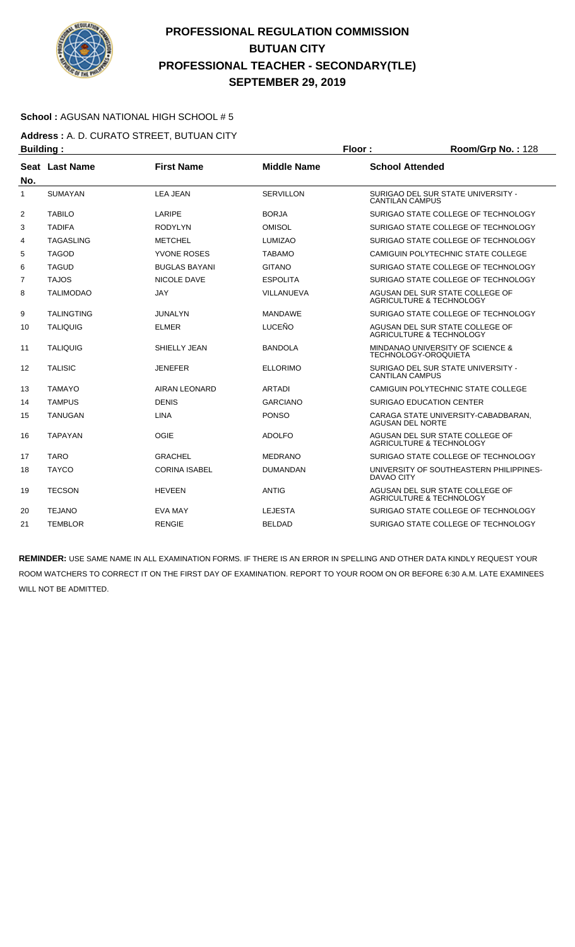

### **School :** AGUSAN NATIONAL HIGH SCHOOL # 5

**Address :** A. D. CURATO STREET, BUTUAN CITY **Building : Floor : Room/Grp No. :** 128

| No.            | Seat Last Name    | <b>First Name</b>    | <b>Middle Name</b> | <b>School Attended</b>                                                 |
|----------------|-------------------|----------------------|--------------------|------------------------------------------------------------------------|
| 1              | <b>SUMAYAN</b>    | <b>LEA JEAN</b>      | <b>SERVILLON</b>   | SURIGAO DEL SUR STATE UNIVERSITY -<br><b>CANTILAN CAMPUS</b>           |
| $\overline{2}$ | <b>TABILO</b>     | LARIPE               | <b>BORJA</b>       | SURIGAO STATE COLLEGE OF TECHNOLOGY                                    |
| 3              | <b>TADIFA</b>     | <b>RODYLYN</b>       | <b>OMISOL</b>      | SURIGAO STATE COLLEGE OF TECHNOLOGY                                    |
| 4              | <b>TAGASLING</b>  | <b>METCHEL</b>       | <b>LUMIZAO</b>     | SURIGAO STATE COLLEGE OF TECHNOLOGY                                    |
| 5              | <b>TAGOD</b>      | YVONE ROSES          | <b>TABAMO</b>      | CAMIGUIN POLYTECHNIC STATE COLLEGE                                     |
| 6              | <b>TAGUD</b>      | <b>BUGLAS BAYANI</b> | <b>GITANO</b>      | SURIGAO STATE COLLEGE OF TECHNOLOGY                                    |
| 7              | <b>TAJOS</b>      | NICOLE DAVE          | <b>ESPOLITA</b>    | SURIGAO STATE COLLEGE OF TECHNOLOGY                                    |
| 8              | <b>TALIMODAO</b>  | <b>JAY</b>           | VILLANUEVA         | AGUSAN DEL SUR STATE COLLEGE OF<br>AGRICULTURE & TECHNOLOGY            |
| 9              | <b>TALINGTING</b> | <b>JUNALYN</b>       | <b>MANDAWE</b>     | SURIGAO STATE COLLEGE OF TECHNOLOGY                                    |
| 10             | <b>TALIQUIG</b>   | <b>ELMER</b>         | LUCEÑO             | AGUSAN DEL SUR STATE COLLEGE OF<br>AGRICULTURE & TECHNOLOGY            |
| 11             | <b>TALIQUIG</b>   | SHIELLY JEAN         | <b>BANDOLA</b>     | MINDANAO UNIVERSITY OF SCIENCE &<br><b>TECHNOLOGY-OROQUIETA</b>        |
| 12             | <b>TALISIC</b>    | <b>JENEFER</b>       | <b>ELLORIMO</b>    | SURIGAO DEL SUR STATE UNIVERSITY -<br><b>CANTILAN CAMPUS</b>           |
| 13             | <b>TAMAYO</b>     | <b>AIRAN LEONARD</b> | <b>ARTADI</b>      | CAMIGUIN POLYTECHNIC STATE COLLEGE                                     |
| 14             | <b>TAMPUS</b>     | <b>DENIS</b>         | <b>GARCIANO</b>    | <b>SURIGAO EDUCATION CENTER</b>                                        |
| 15             | <b>TANUGAN</b>    | <b>LINA</b>          | <b>PONSO</b>       | CARAGA STATE UNIVERSITY-CABADBARAN,<br><b>AGUSAN DEL NORTE</b>         |
| 16             | <b>TAPAYAN</b>    | <b>OGIE</b>          | <b>ADOLFO</b>      | AGUSAN DEL SUR STATE COLLEGE OF<br>AGRICULTURE & TECHNOLOGY            |
| 17             | <b>TARO</b>       | <b>GRACHEL</b>       | <b>MEDRANO</b>     | SURIGAO STATE COLLEGE OF TECHNOLOGY                                    |
| 18             | <b>TAYCO</b>      | <b>CORINA ISABEL</b> | <b>DUMANDAN</b>    | UNIVERSITY OF SOUTHEASTERN PHILIPPINES-<br><b>DAVAO CITY</b>           |
| 19             | <b>TECSON</b>     | <b>HEVEEN</b>        | <b>ANTIG</b>       | AGUSAN DEL SUR STATE COLLEGE OF<br><b>AGRICULTURE &amp; TECHNOLOGY</b> |
| 20             | <b>TEJANO</b>     | EVA MAY              | <b>LEJESTA</b>     | SURIGAO STATE COLLEGE OF TECHNOLOGY                                    |
| 21             | <b>TEMBLOR</b>    | <b>RENGIE</b>        | <b>BELDAD</b>      | SURIGAO STATE COLLEGE OF TECHNOLOGY                                    |
|                |                   |                      |                    |                                                                        |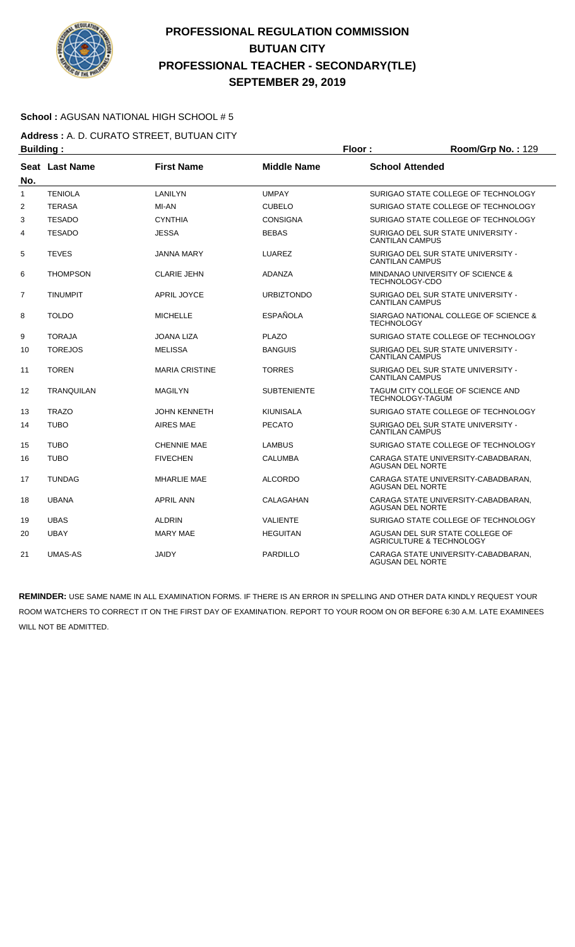

#### **School :** AGUSAN NATIONAL HIGH SCHOOL # 5

**Address :** A. D. CURATO STREET, BUTUAN CITY **Building : Floor : Floor : Room/Grp No. : 129** 

| No.            | Seat Last Name    | <b>First Name</b>     | <b>Middle Name</b> | <b>School Attended</b>                                         |  |
|----------------|-------------------|-----------------------|--------------------|----------------------------------------------------------------|--|
| $\mathbf{1}$   | <b>TENIOLA</b>    | LANILYN               | <b>UMPAY</b>       | SURIGAO STATE COLLEGE OF TECHNOLOGY                            |  |
| $\overline{2}$ | <b>TERASA</b>     | MI-AN                 | <b>CUBELO</b>      | SURIGAO STATE COLLEGE OF TECHNOLOGY                            |  |
| 3              | <b>TESADO</b>     | <b>CYNTHIA</b>        | <b>CONSIGNA</b>    | SURIGAO STATE COLLEGE OF TECHNOLOGY                            |  |
| 4              | <b>TESADO</b>     | <b>JESSA</b>          | <b>BEBAS</b>       | SURIGAO DEL SUR STATE UNIVERSITY -<br><b>CANTILAN CAMPUS</b>   |  |
| 5              | <b>TEVES</b>      | <b>JANNA MARY</b>     | <b>LUAREZ</b>      | SURIGAO DEL SUR STATE UNIVERSITY -<br><b>CANTILAN CAMPUS</b>   |  |
| 6              | <b>THOMPSON</b>   | <b>CLARIE JEHN</b>    | <b>ADANZA</b>      | MINDANAO UNIVERSITY OF SCIENCE &<br>TECHNOLOGY-CDO             |  |
| $\overline{7}$ | <b>TINUMPIT</b>   | <b>APRIL JOYCE</b>    | <b>URBIZTONDO</b>  | SURIGAO DEL SUR STATE UNIVERSITY -<br><b>CANTILAN CAMPUS</b>   |  |
| 8              | <b>TOLDO</b>      | <b>MICHELLE</b>       | <b>ESPAÑOLA</b>    | SIARGAO NATIONAL COLLEGE OF SCIENCE &<br><b>TECHNOLOGY</b>     |  |
| 9              | <b>TORAJA</b>     | JOANA LIZA            | <b>PLAZO</b>       | SURIGAO STATE COLLEGE OF TECHNOLOGY                            |  |
| 10             | <b>TOREJOS</b>    | <b>MELISSA</b>        | <b>BANGUIS</b>     | SURIGAO DEL SUR STATE UNIVERSITY -<br><b>CANTILAN CAMPUS</b>   |  |
| 11             | <b>TOREN</b>      | <b>MARIA CRISTINE</b> | <b>TORRES</b>      | SURIGAO DEL SUR STATE UNIVERSITY -<br><b>CANTILAN CAMPUS</b>   |  |
| 12             | <b>TRANQUILAN</b> | <b>MAGILYN</b>        | <b>SUBTENIENTE</b> | TAGUM CITY COLLEGE OF SCIENCE AND<br><b>TECHNOLOGY-TAGUM</b>   |  |
| 13             | <b>TRAZO</b>      | <b>JOHN KENNETH</b>   | <b>KIUNISALA</b>   | SURIGAO STATE COLLEGE OF TECHNOLOGY                            |  |
| 14             | <b>TUBO</b>       | AIRES MAE             | <b>PECATO</b>      | SURIGAO DEL SUR STATE UNIVERSITY -<br><b>CANTILAN CAMPUS</b>   |  |
| 15             | <b>TUBO</b>       | <b>CHENNIE MAE</b>    | <b>LAMBUS</b>      | SURIGAO STATE COLLEGE OF TECHNOLOGY                            |  |
| 16             | <b>TUBO</b>       | <b>FIVECHEN</b>       | <b>CALUMBA</b>     | CARAGA STATE UNIVERSITY-CABADBARAN,<br><b>AGUSAN DEL NORTE</b> |  |
| 17             | <b>TUNDAG</b>     | <b>MHARLIE MAE</b>    | <b>ALCORDO</b>     | CARAGA STATE UNIVERSITY-CABADBARAN,<br><b>AGUSAN DEL NORTE</b> |  |
| 18             | <b>UBANA</b>      | <b>APRIL ANN</b>      | CALAGAHAN          | CARAGA STATE UNIVERSITY-CABADBARAN,<br>AGUSAN DEL NORTE        |  |
| 19             | <b>UBAS</b>       | <b>ALDRIN</b>         | <b>VALIENTE</b>    | SURIGAO STATE COLLEGE OF TECHNOLOGY                            |  |
| 20             | <b>UBAY</b>       | <b>MARY MAE</b>       | <b>HEGUITAN</b>    | AGUSAN DEL SUR STATE COLLEGE OF<br>AGRICULTURE & TECHNOLOGY    |  |
| 21             | <b>UMAS-AS</b>    | <b>JAIDY</b>          | <b>PARDILLO</b>    | CARAGA STATE UNIVERSITY-CABADBARAN.<br><b>AGUSAN DEL NORTE</b> |  |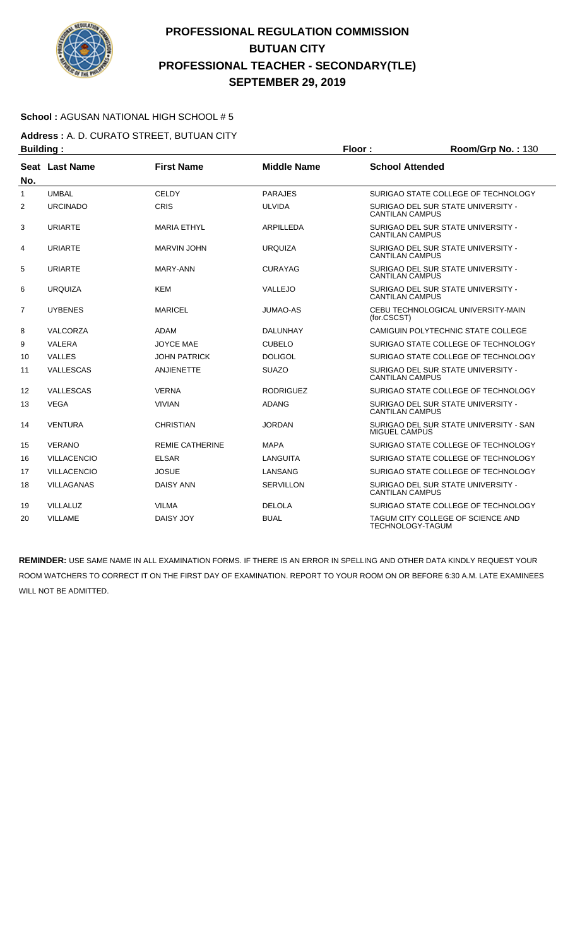

### **School :** AGUSAN NATIONAL HIGH SCHOOL # 5

**Address :** A. D. CURATO STREET, BUTUAN CITY **Building : Floor : Floor : Room/Grp No. : 130** 

| No.            | Seat Last Name     | <b>First Name</b>      | <b>Middle Name</b> | <b>School Attended</b>                                         |
|----------------|--------------------|------------------------|--------------------|----------------------------------------------------------------|
| $\mathbf{1}$   | <b>UMBAL</b>       | <b>CELDY</b>           | <b>PARAJES</b>     | SURIGAO STATE COLLEGE OF TECHNOLOGY                            |
| 2              | <b>URCINADO</b>    | CRIS                   | <b>ULVIDA</b>      | SURIGAO DEL SUR STATE UNIVERSITY -<br><b>CANTILAN CAMPUS</b>   |
| 3              | <b>URIARTE</b>     | <b>MARIA ETHYL</b>     | ARPILLEDA          | SURIGAO DEL SUR STATE UNIVERSITY -<br><b>CANTILAN CAMPUS</b>   |
| 4              | <b>URIARTE</b>     | <b>MARVIN JOHN</b>     | <b>URQUIZA</b>     | SURIGAO DEL SUR STATE UNIVERSITY -<br><b>CANTILAN CAMPUS</b>   |
| 5              | <b>URIARTE</b>     | <b>MARY-ANN</b>        | <b>CURAYAG</b>     | SURIGAO DEL SUR STATE UNIVERSITY -<br><b>CANTILAN CAMPUS</b>   |
| 6              | <b>URQUIZA</b>     | <b>KEM</b>             | VALLEJO            | SURIGAO DEL SUR STATE UNIVERSITY -<br><b>CANTILAN CAMPUS</b>   |
| $\overline{7}$ | <b>UYBENES</b>     | <b>MARICEL</b>         | <b>JUMAO-AS</b>    | CEBU TECHNOLOGICAL UNIVERSITY-MAIN<br>(for.CSCST)              |
| 8              | <b>VALCORZA</b>    | <b>ADAM</b>            | <b>DALUNHAY</b>    | CAMIGUIN POLYTECHNIC STATE COLLEGE                             |
| 9              | VALERA             | <b>JOYCE MAE</b>       | <b>CUBELO</b>      | SURIGAO STATE COLLEGE OF TECHNOLOGY                            |
| 10             | <b>VALLES</b>      | <b>JOHN PATRICK</b>    | <b>DOLIGOL</b>     | SURIGAO STATE COLLEGE OF TECHNOLOGY                            |
| 11             | VALLESCAS          | <b>ANJIENETTE</b>      | <b>SUAZO</b>       | SURIGAO DEL SUR STATE UNIVERSITY -<br><b>CANTILAN CAMPUS</b>   |
| 12             | VALLESCAS          | <b>VERNA</b>           | <b>RODRIGUEZ</b>   | SURIGAO STATE COLLEGE OF TECHNOLOGY                            |
| 13             | <b>VEGA</b>        | <b>VIVIAN</b>          | <b>ADANG</b>       | SURIGAO DEL SUR STATE UNIVERSITY -<br><b>CANTILAN CAMPUS</b>   |
| 14             | <b>VENTURA</b>     | <b>CHRISTIAN</b>       | <b>JORDAN</b>      | SURIGAO DEL SUR STATE UNIVERSITY - SAN<br><b>MIGUEL CAMPUS</b> |
| 15             | <b>VERANO</b>      | <b>REMIE CATHERINE</b> | <b>MAPA</b>        | SURIGAO STATE COLLEGE OF TECHNOLOGY                            |
| 16             | <b>VILLACENCIO</b> | <b>ELSAR</b>           | LANGUITA           | SURIGAO STATE COLLEGE OF TECHNOLOGY                            |
| 17             | <b>VILLACENCIO</b> | <b>JOSUE</b>           | LANSANG            | SURIGAO STATE COLLEGE OF TECHNOLOGY                            |
| 18             | <b>VILLAGANAS</b>  | <b>DAISY ANN</b>       | <b>SERVILLON</b>   | SURIGAO DEL SUR STATE UNIVERSITY -<br><b>CANTILAN CAMPUS</b>   |
| 19             | VILLALUZ           | <b>VILMA</b>           | <b>DELOLA</b>      | SURIGAO STATE COLLEGE OF TECHNOLOGY                            |
| 20             | <b>VILLAME</b>     | DAISY JOY              | <b>BUAL</b>        | TAGUM CITY COLLEGE OF SCIENCE AND<br><b>TECHNOLOGY-TAGUM</b>   |